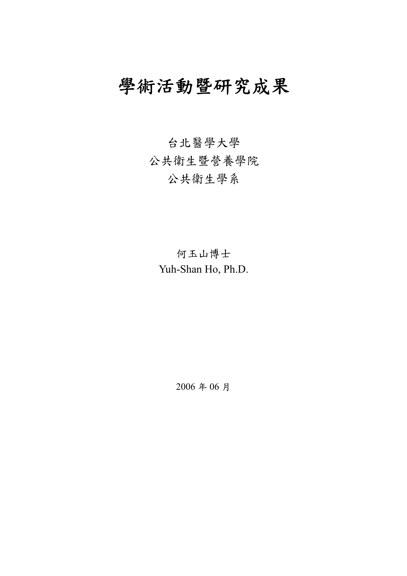# 學術活動暨研究成果

台北醫學大學 公共衛生暨營養學院 公共衛生學系

何玉山博士 Yuh-Shan Ho, Ph.D.

2006 年 06 月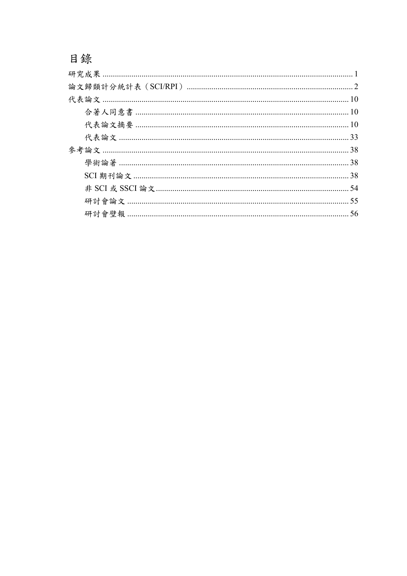目錄

| 33 |
|----|
| 38 |
|    |
| 38 |
| 54 |
| 55 |
| 56 |
|    |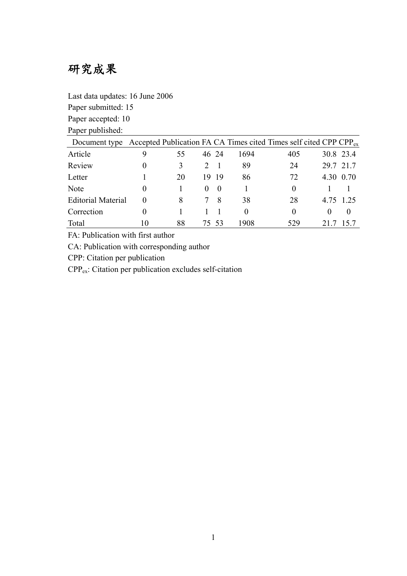# 研究成果

Last data updates: 16 June 2006

Paper submitted: 15

Paper accepted: 10

Paper published:

| Document type Accepted Publication FA CA Times cited Times self cited CPP CPP $_{\rm ex}$ |          |    |          |       |          |          |          |           |
|-------------------------------------------------------------------------------------------|----------|----|----------|-------|----------|----------|----------|-----------|
| Article                                                                                   |          |    |          | 46 24 | 1694     | 405      |          | 30.8 23.4 |
| Review                                                                                    | $\theta$ |    |          |       | 89       | 24       |          | 29.7 21.7 |
| Letter                                                                                    |          | 20 | 19       | -19   | 86       | 72       |          | 4.30 0.70 |
| <b>Note</b>                                                                               | $\theta$ |    | $\theta$ | - 0   |          | $\theta$ |          |           |
| <b>Editorial Material</b>                                                                 |          |    |          | -8    | 38       | 28       |          | 4.75 1.25 |
| Correction                                                                                |          |    |          |       | $\theta$ | $\theta$ | $\theta$ | $\theta$  |
| Total                                                                                     | 10       | 88 |          | 7553  | 1908     | 529      |          | 157       |

FA: Publication with first author

CA: Publication with corresponding author

CPP: Citation per publication

CPPex: Citation per publication excludes self-citation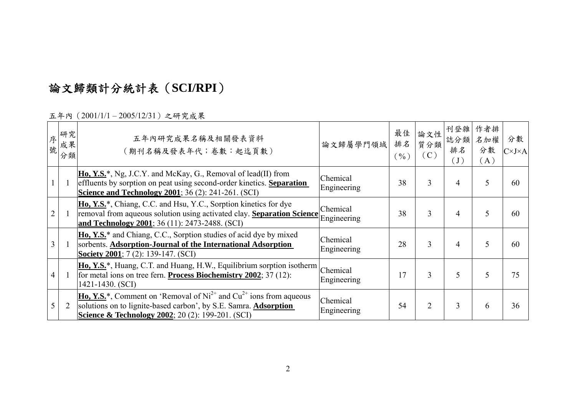# 論文歸類計分統計表(**SCI/RPI**)

五年內(2001/1/1 – 2005/12/31)之研究成果

| 序<br>號 | 研究<br>成果<br>分類 | 五年內研究成果名稱及相關發表資料<br>(期刊名稱及發表年代;卷數:起迄頁數)                                                                                                                                                                                         | 論文歸屬學門領域                | 最佳<br>排名<br>$(\frac{0}{0})$ | 論文性<br>質分類<br>(C) | 刊登雜<br>誌分類<br>排名<br>$\left( \, \mathrm{J} \, \right)$ | 作者排<br>名加權<br>分數<br>(A) | 分數<br>$C\times J\times A$ |
|--------|----------------|---------------------------------------------------------------------------------------------------------------------------------------------------------------------------------------------------------------------------------|-------------------------|-----------------------------|-------------------|-------------------------------------------------------|-------------------------|---------------------------|
|        |                | $\overline{H_0, Y.S.^*}$ , Ng, J.C.Y. and McKay, G., Removal of lead(II) from<br>effluents by sorption on peat using second-order kinetics. Separation<br><b>Science and Technology 2001</b> ; 36 (2): 241-261. (SCI)           | Chemical<br>Engineering | 38                          | 3                 | 4                                                     | 5                       | 60                        |
|        |                | Ho, Y.S. <sup>*</sup> , Chiang, C.C. and Hsu, Y.C., Sorption kinetics for dye<br>removal from aqueous solution using activated clay. Separation Science<br>and Technology 2001; 36 (11): 2473-2488. (SCI)                       | Chemical<br>Engineering | 38                          | 3                 | $\overline{4}$                                        | 5                       | 60                        |
|        |                | Ho, Y.S. <sup>*</sup> and Chiang, C.C., Sorption studies of acid dye by mixed<br>sorbents. Adsorption-Journal of the International Adsorption<br><b>Society 2001</b> ; 7 (2): 139-147. (SCI)                                    | Chemical<br>Engineering | 28                          | 3                 | $\overline{4}$                                        | 5                       | 60                        |
|        |                | $\underline{\textbf{Ho}, \textbf{Y.S.}}^*$ , Huang, C.T. and Huang, H.W., Equilibrium sorption isotherm Chemical<br>for metal ions on tree fern. <b>Process Biochemistry 2002</b> ; 37 (12):<br>1421-1430. (SCI)                | Engineering             | 17                          | 3                 | 5                                                     | 5                       | 75                        |
|        | $\overline{2}$ | <b>Ho, Y.S.</b> *, Comment on 'Removal of $Ni^{2+}$ and $Cu^{2+}$ ions from aqueous<br>solutions on to lignite-based carbon', by S.E. Samra. <b>Adsorption</b><br><b>Science &amp; Technology 2002</b> ; 20 (2): 199-201. (SCI) | Chemical<br>Engineering | 54                          | $\overline{2}$    | 3                                                     | 6                       | 36                        |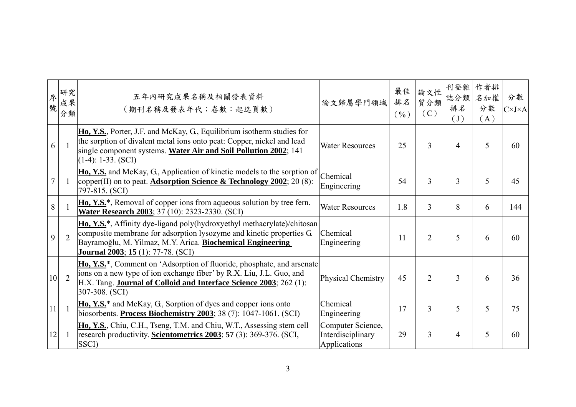| 序<br>號 | 研究<br>成果<br>分類 | 五年內研究成果名稱及相關發表資料<br>(期刊名稱及發表年代;卷數:起迄頁數)                                                                                                                                                                                                                                | 論文歸屬學門領域                                               | 最佳<br>排名<br>$(\frac{0}{0})$ | 論文性<br>質分類<br>(C) | 刊登雜<br>誌分類<br>排名<br>$(\mathrm{J})$ | 作者排<br>名加權<br>分數<br>(A) | 分數<br>$C\times J\times A$ |
|--------|----------------|------------------------------------------------------------------------------------------------------------------------------------------------------------------------------------------------------------------------------------------------------------------------|--------------------------------------------------------|-----------------------------|-------------------|------------------------------------|-------------------------|---------------------------|
| 6      |                | Ho, Y.S., Porter, J.F. and McKay, G., Equilibrium isotherm studies for<br>the sorption of divalent metal ions onto peat: Copper, nickel and lead<br><b>Water Resources</b><br>single component systems. Water Air and Soil Pollution 2002; 141<br>$(1-4): 1-33. (SCI)$ |                                                        | 25                          | 3                 | $\overline{4}$                     | 5                       | 60                        |
|        |                | Ho, Y.S. and McKay, G., Application of kinetic models to the sorption of<br>copper(II) on to peat. <b>Adsorption Science &amp; Technology 2002</b> ; 20 (8):<br>797-815. (SCI)                                                                                         | Chemical<br>Engineering                                | 54                          | 3                 | 3                                  | 5                       | 45                        |
| 8      |                | Ho, Y.S. <sup>*</sup> , Removal of copper ions from aqueous solution by tree fern.<br>Water Research 2003; 37 (10): 2323-2330. (SCI)                                                                                                                                   | <b>Water Resources</b>                                 | 1.8                         | 3                 | 8                                  | 6                       | 144                       |
| 9      | $\overline{2}$ | Ho, Y.S.*, Affinity dye-ligand poly(hydroxyethyl methacrylate)/chitosan<br>composite membrane for adsorption lysozyme and kinetic properties G.<br>Bayramoğlu, M. Yilmaz, M.Y. Arica. Biochemical Engineering<br><b>Journal 2003</b> ; <b>15</b> (1): 77-78. (SCI)     | Chemical<br>Engineering                                | 11                          | $\overline{2}$    | 5                                  | 6                       | 60                        |
| 10     | $\overline{2}$ | Ho, Y.S. <sup>*</sup> , Comment on 'Adsorption of fluoride, phosphate, and arsenate<br>ions on a new type of ion exchange fiber' by R.X. Liu, J.L. Guo, and<br>H.X. Tang. Journal of Colloid and Interface Science 2003; 262 (1):<br>307-308. (SCI)                    | Physical Chemistry                                     | 45                          | $\overline{2}$    | 3                                  | 6                       | 36                        |
| 11     |                | Ho, Y.S. <sup>*</sup> and McKay, G., Sorption of dyes and copper ions onto<br>biosorbents. Process Biochemistry 2003; 38 (7): 1047-1061. (SCI)                                                                                                                         | Chemical<br>Engineering                                | 17                          | 3                 | 5                                  | 5                       | 75                        |
| 12     |                | Ho, Y.S., Chiu, C.H., Tseng, T.M. and Chiu, W.T., Assessing stem cell<br>research productivity. Scientometrics 2003; 57 (3): 369-376. (SCI,<br>SSCI)                                                                                                                   | Computer Science,<br>Interdisciplinary<br>Applications | 29                          | 3                 | $\overline{4}$                     | 5                       | 60                        |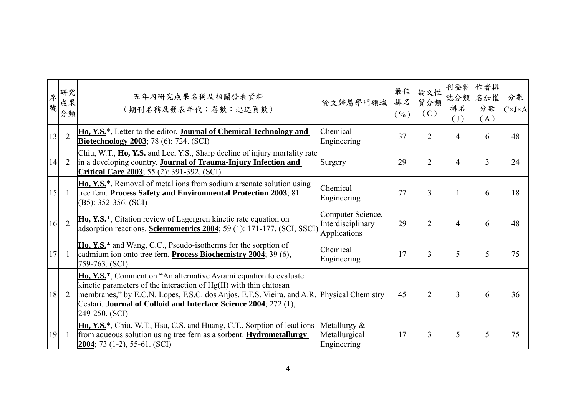| 序<br>號 | 研究<br>成果<br>分類 | 五年內研究成果名稱及相關發表資料<br>(期刊名稱及發表年代;卷數:起迄頁數)                                                                                                                                                                                                                                                                                                 | 論文歸屬學門領域                                               | 最佳<br>排名<br>$($ %) | 論文性<br>質分類<br>(C) | 刊登雜<br>誌分類<br>排名<br>$(\mathrm{J})$ | 作者排<br>名加權<br>分數<br>(A) | 分數<br>$C\times J\times A$ |
|--------|----------------|-----------------------------------------------------------------------------------------------------------------------------------------------------------------------------------------------------------------------------------------------------------------------------------------------------------------------------------------|--------------------------------------------------------|--------------------|-------------------|------------------------------------|-------------------------|---------------------------|
| 13     | $\overline{2}$ | Ho, Y.S. <sup>*</sup> , Letter to the editor. <b>Journal of Chemical Technology and</b><br><b>Biotechnology 2003</b> ; 78 (6): 724. (SCI)                                                                                                                                                                                               | Chemical<br>Engineering                                | 37                 | $\overline{2}$    | $\overline{4}$                     | 6                       | 48                        |
| 14     | 2              | Chiu, W.T., Ho, Y.S. and Lee, Y.S., Sharp decline of injury mortality rate<br>in a developing country. Journal of Trauma-Injury Infection and<br><b>Critical Care 2003</b> ; 55 (2): 391-392. (SCI)                                                                                                                                     | Surgery                                                | 29                 | 2                 | 4                                  | 3                       | 24                        |
| 15     | -1             | <b>Ho, Y.S.*</b> , Removal of metal ions from sodium arsenate solution using<br>tree fern. Process Safety and Environmental Protection 2003; 81<br>$(B5): 352-356. (SCI)$                                                                                                                                                               | Chemical<br>Engineering                                | 77                 | 3                 |                                    | 6                       | 18                        |
| 16     | $\overline{2}$ | <b>Ho, Y.S.</b> <sup>*</sup> , Citation review of Lagergren kinetic rate equation on<br>adsorption reactions. Scientometrics 2004; 59 (1): 171-177. (SCI, SSCI)                                                                                                                                                                         | Computer Science,<br>Interdisciplinary<br>Applications | 29                 | $\overline{2}$    | $\overline{4}$                     | 6                       | 48                        |
| 17     |                | Ho, Y.S. <sup>*</sup> and Wang, C.C., Pseudo-isotherms for the sorption of<br>cadmium ion onto tree fern. Process Biochemistry 2004; 39 (6),<br>759-763. (SCI)                                                                                                                                                                          | Chemical<br>Engineering                                | 17                 | 3                 | 5                                  | 5                       | 75                        |
| 18     | 2              | Ho, Y.S. <sup>*</sup> , Comment on "An alternative Avrami equation to evaluate<br>kinetic parameters of the interaction of Hg(II) with thin chitosan<br>membranes," by E.C.N. Lopes, F.S.C. dos Anjos, E.F.S. Vieira, and A.R. Physical Chemistry<br>Cestari. Journal of Colloid and Interface Science 2004; 272 (1),<br>249-250. (SCI) |                                                        | 45                 | $\overline{2}$    | 3                                  | 6                       | 36                        |
| 19     |                | Ho, Y.S. <sup>*</sup> , Chiu, W.T., Hsu, C.S. and Huang, C.T., Sorption of lead ions<br>from aqueous solution using tree fern as a sorbent. Hydrometallurgy<br>$2004$ ; 73 (1-2), 55-61. (SCI)                                                                                                                                          | Metallurgy $&$<br>Metallurgical<br>Engineering         | 17                 | 3                 | 5                                  | 5                       | 75                        |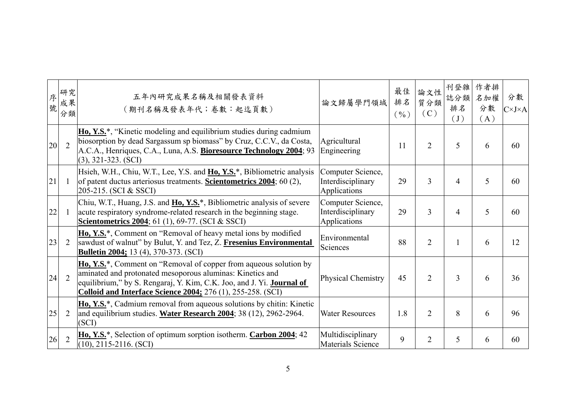| 序<br>號 | 研究<br>成果<br>分類 | 五年內研究成果名稱及相關發表資料<br>(期刊名稱及發表年代;卷數:起迄頁數)                                                                                                                                                                                                                                               | 論文歸屬學門領域                                                     | 最佳<br>排名<br>$(\frac{0}{0})$ | 論文性<br>質分類<br>(C) | 刊登雜<br>誌分類<br>排名<br>$(\mathrm{J})$ | 作者排<br>名加權<br>分數<br>(A) | 分數<br>$C\times J\times A$ |
|--------|----------------|---------------------------------------------------------------------------------------------------------------------------------------------------------------------------------------------------------------------------------------------------------------------------------------|--------------------------------------------------------------|-----------------------------|-------------------|------------------------------------|-------------------------|---------------------------|
| 20     | $\overline{2}$ | Ho, Y.S. <sup>*</sup> , "Kinetic modeling and equilibrium studies during cadmium<br>biosorption by dead Sargassum sp biomass" by Cruz, C.C.V., da Costa,<br>A.C.A., Henriques, C.A., Luna, A.S. Bioresource Technology 2004; 93<br>$(3), 321-323. (SCI)$                              | Agricultural<br>$\overline{2}$<br>11<br>Engineering          |                             |                   | 5                                  | 6                       | 60                        |
| 21     | -1             | Hsieh, W.H., Chiu, W.T., Lee, Y.S. and Ho, Y.S. <sup>*</sup> , Bibliometric analysis<br>of patent ductus arteriosus treatments. <b>Scientometrics 2004</b> ; 60 (2),<br>205-215. (SCI & SSCI)                                                                                         | Computer Science,<br>Interdisciplinary<br>Applications       | 29                          | 3                 | $\overline{4}$                     | 5                       | 60                        |
| 22     | -1             | Chiu, W.T., Huang, J.S. and Ho, Y.S. <sup>*</sup> , Bibliometric analysis of severe<br>acute respiratory syndrome-related research in the beginning stage.<br>Scientometrics 2004; 61 (1), 69-77. (SCI & SSCI)                                                                        | Computer Science,<br>29<br>Interdisciplinary<br>Applications |                             | 3                 | $\overline{4}$                     | 5                       | 60                        |
| 23     | $\overline{2}$ | <b>Ho, Y.S.*</b> , Comment on "Removal of heavy metal ions by modified<br>sawdust of walnut" by Bulut, Y. and Tez, Z. Fresenius Environmental<br><b>Bulletin 2004;</b> 13 (4), 370-373. (SCI)                                                                                         | Environmental<br>Sciences                                    | 88                          | $\overline{2}$    |                                    | 6                       | 12                        |
| 24     | $\overline{2}$ | <b>Ho, Y.S.*</b> , Comment on "Removal of copper from aqueous solution by<br>aminated and protonated mesoporous aluminas: Kinetics and<br>equilibrium," by S. Rengaraj, Y. Kim, C.K. Joo, and J. Yi. Journal of<br><b>Colloid and Interface Science 2004; 276 (1), 255-258. (SCI)</b> | Physical Chemistry                                           | 45                          | $\overline{2}$    | $\overline{3}$                     | 6                       | 36                        |
| 25     | 2              | Ho, Y.S. <sup>*</sup> , Cadmium removal from aqueous solutions by chitin: Kinetic<br>and equilibrium studies. Water Research 2004; 38 (12), 2962-2964.<br>(SCI)                                                                                                                       | <b>Water Resources</b>                                       | 1.8                         | $\overline{2}$    | 8                                  | 6                       | 96                        |
| 26     | $\overline{2}$ | Ho, Y.S. <sup>*</sup> , Selection of optimum sorption isotherm. <b>Carbon 2004</b> ; 42<br>$(10), 2115-2116. (SCI)$                                                                                                                                                                   | Multidisciplinary<br>Materials Science                       | 9                           | $\overline{2}$    | 5                                  | 6                       | 60                        |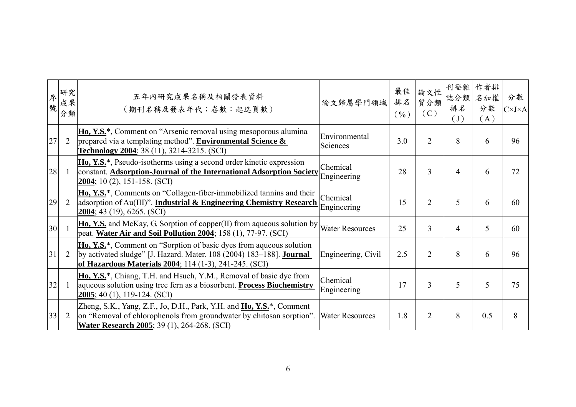| 序<br>號 | 研究<br>成果<br>分類 | 五年內研究成果名稱及相關發表資料<br>(期刊名稱及發表年代;卷數:起迄頁數)                                                                                                                                                                                    | 論文歸屬學門領域                  | 最佳<br>排名<br>$(\frac{0}{0})$ | 論文性<br>質分類<br>(C) | 刊登雜<br>誌分類<br>排名<br>$(\mathrm{J})$ | 作者排<br>名加權<br>分數<br>(A) | 分數<br>$C\times J\times A$ |
|--------|----------------|----------------------------------------------------------------------------------------------------------------------------------------------------------------------------------------------------------------------------|---------------------------|-----------------------------|-------------------|------------------------------------|-------------------------|---------------------------|
| 27     | $\overline{2}$ | Ho, Y.S. <sup>*</sup> , Comment on "Arsenic removal using mesoporous alumina"<br>prepared via a templating method". <b>Environmental Science &amp;</b><br>Technology 2004; 38 (11), 3214-3215. (SCI)                       | Environmental<br>Sciences | 3.0                         | $\overline{2}$    | 8                                  | 6                       | 96                        |
| 28     | -1             | <b>Ho, Y.S.</b> *, Pseudo-isotherms using a second order kinetic expression<br>constant. Adsorption-Journal of the International Adsorption Society<br>$2004$ ; 10 (2), 151-158. (SCI)                                     | Chemical<br>Engineering   | 28                          | 3                 | $\overline{4}$                     | 6                       | 72                        |
| 29     | 2              | Ho, Y.S. <sup>*</sup> , Comments on "Collagen-fiber-immobilized tannins and their<br>adsorption of Au(III)". <b>Industrial &amp; Engineering Chemistry Research</b><br>$2004$ ; 43 (19), 6265. (SCI)                       | Chemical<br>Engineering   | 15                          | $\overline{2}$    | 5                                  | 6                       | 60                        |
| 30     |                | <b>Ho, Y.S.</b> and McKay, G. Sorption of copper(II) from aqueous solution by<br>peat. Water Air and Soil Pollution 2004; 158 (1), 77-97. (SCI)                                                                            | <b>Water Resources</b>    | 25                          | 3                 | $\overline{4}$                     | 5                       | 60                        |
| 31     | $\overline{2}$ | Ho, Y.S. <sup>*</sup> , Comment on "Sorption of basic dyes from aqueous solution"<br>by activated sludge" [J. Hazard. Mater. 108 (2004) 183–188]. <b>Journal</b><br>of Hazardous Materials 2004; 114 (1-3), 241-245. (SCI) | Engineering, Civil        | 2.5                         | $\overline{2}$    | 8                                  | 6                       | 96                        |
| 32     |                | Ho, Y.S. <sup>*</sup> , Chiang, T.H. and Hsueh, Y.M., Removal of basic dye from<br>aqueous solution using tree fern as a biosorbent. <b>Process Biochemistry</b><br>$2005$ ; 40 (1), 119-124. (SCI)                        | Chemical<br>Engineering   | 17                          | 3                 | 5                                  | 5                       | 75                        |
| 33     | $\overline{2}$ | Zheng, S.K., Yang, Z.F., Jo, D.H., Park, Y.H. and <b>Ho, Y.S.</b> *, Comment<br>on "Removal of chlorophenols from groundwater by chitosan sorption".<br><b>Water Research 2005</b> ; 39 (1), 264-268. (SCI)                | <b>Water Resources</b>    | 1.8                         | $\overline{2}$    | 8                                  | 0.5                     | 8                         |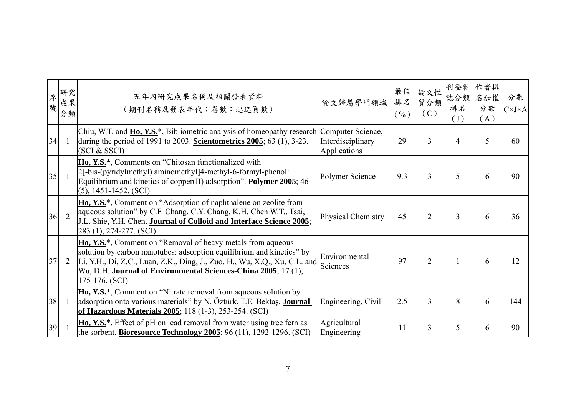| 序<br>號 | 研究<br>成果<br>分類 | 五年內研究成果名稱及相關發表資料<br>(期刊名稱及發表年代;卷數:起迄頁數)                                                                                                                                                                                                                                                                         | 論文歸屬學門領域                          | 最佳<br>排名<br>$(\frac{0}{0})$ | 論文性<br>質分類<br>(C) | 刊登雜<br>誌分類<br>排名<br>$\begin{pmatrix} 1 \end{pmatrix}$ | 作者排<br>名加權<br>分數<br>(A) | 分數<br>$C\times J\times A$ |
|--------|----------------|-----------------------------------------------------------------------------------------------------------------------------------------------------------------------------------------------------------------------------------------------------------------------------------------------------------------|-----------------------------------|-----------------------------|-------------------|-------------------------------------------------------|-------------------------|---------------------------|
| 34     |                | Chiu, W.T. and <b>Ho, Y.S.</b> *, Bibliometric analysis of homeopathy research Computer Science,<br>during the period of 1991 to 2003. Scientometrics $2005$ ; 63 (1), 3-23.<br>(SCI & SSCI)                                                                                                                    | Interdisciplinary<br>Applications | 29                          | 3                 | 4                                                     | 5                       | 60                        |
| 35     |                | Ho, Y.S. <sup>*</sup> , Comments on "Chitosan functionalized with<br>2[-bis-(pyridylmethyl) aminomethyl]4-methyl-6-formyl-phenol:<br>Equilibrium and kinetics of copper(II) adsorption". Polymer 2005; 46<br>$(5)$ , 1451-1452. (SCI)                                                                           | Polymer Science                   | 9.3                         | 3                 | 5                                                     | 6                       | 90                        |
| 36     | $\overline{2}$ | Ho, Y.S. <sup>*</sup> , Comment on "Adsorption of naphthalene on zeolite from<br>aqueous solution" by C.F. Chang, C.Y. Chang, K.H. Chen W.T., Tsai,<br>J.L. Shie, Y.H. Chen. Journal of Colloid and Interface Science 2005;<br>283 (1), 274-277. (SCI)                                                          | Physical Chemistry                | 45                          | $\overline{2}$    | 3                                                     | 6                       | 36                        |
| 37     | 2              | <b>Ho, Y.S.*</b> , Comment on "Removal of heavy metals from aqueous<br>solution by carbon nanotubes: adsorption equilibrium and kinetics" by<br>Li, Y.H., Di, Z.C., Luan, Z.K., Ding, J., Zuo, H., Wu, X.Q., Xu, C.L. and<br>Wu, D.H. Journal of Environmental Sciences-China 2005; 17 (1),<br>$175-176. (SCI)$ | Environmental<br>Sciences         | 97                          | $\overline{2}$    |                                                       | 6                       | 12                        |
| 38     | -1             | Ho, Y.S. <sup>*</sup> , Comment on "Nitrate removal from aqueous solution by<br>adsorption onto various materials" by N. Öztürk, T.E. Bektaş. Journal<br>of Hazardous Materials 2005; 118 (1-3), 253-254. (SCI)                                                                                                 | Engineering, Civil                | 2.5                         | 3                 | 8                                                     | 6                       | 144                       |
| 39     |                | Ho, Y.S. <sup>*</sup> , Effect of pH on lead removal from water using tree fern as<br>the sorbent. <b>Bioresource Technology 2005</b> ; 96 (11), 1292-1296. (SCI)                                                                                                                                               | Agricultural<br>Engineering       | 11                          | 3                 | 5                                                     | 6                       | 90                        |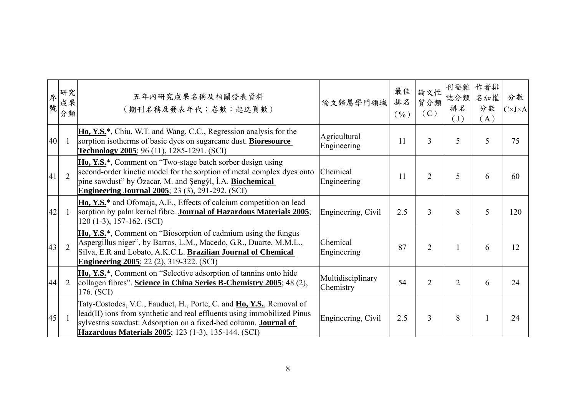| 序<br>號 | 研究<br>成果<br>分類 | 五年內研究成果名稱及相關發表資料<br>(期刊名稱及發表年代;卷數:起迄頁數)                                                                                                                                                                                                                                                   | 論文歸屬學門領域                       | 最佳<br>排名<br>$(\frac{0}{0})$ | 論文性<br>質分類<br>(C) | 刊登雜<br>誌分類<br>排名<br>(J) | 作者排<br>名加權<br>分數<br>(A) | 分數<br>$C\times J\times A$ |
|--------|----------------|-------------------------------------------------------------------------------------------------------------------------------------------------------------------------------------------------------------------------------------------------------------------------------------------|--------------------------------|-----------------------------|-------------------|-------------------------|-------------------------|---------------------------|
| 40     |                | <b>Ho, Y.S.</b> <sup>*</sup> , Chiu, W.T. and Wang, C.C., Regression analysis for the<br>sorption isotherms of basic dyes on sugarcane dust. <b>Bioresource</b><br>Technology 2005; 96 (11), 1285-1291. (SCI)                                                                             | Agricultural<br>Engineering    | 11                          | 3                 | 5                       | 5                       | 75                        |
| 41     | $\overline{2}$ | <b>Ho, Y.S.</b> *, Comment on "Two-stage batch sorber design using<br>second-order kinetic model for the sorption of metal complex dyes onto<br>pine sawdust" by Özacar, M. and Şengýl, I.A. Biochemical<br><b>Engineering Journal 2005</b> ; 23 (3), 291-292. (SCI)                      | Chemical<br>Engineering        | 11                          | $\overline{2}$    | 5                       | 6                       | 60                        |
| 42     | -1             | Ho, Y.S. <sup>*</sup> and Ofomaja, A.E., Effects of calcium competition on lead<br>sorption by palm kernel fibre. Journal of Hazardous Materials 2005;<br>$120(1-3), 157-162. (SCI)$                                                                                                      | Engineering, Civil             | 2.5                         | 3                 | 8                       | 5                       | 120                       |
| 43     | $\overline{2}$ | Ho, Y.S. <sup>*</sup> , Comment on "Biosorption of cadmium using the fungus<br>Aspergillus niger". by Barros, L.M., Macedo, G.R., Duarte, M.M.L.,<br>Silva, E.R and Lobato, A.K.C.L. Brazilian Journal of Chemical<br><b>Engineering 2005</b> ; 22 (2), 319-322. (SCI)                    | Chemical<br>Engineering        | 87                          | $\overline{2}$    |                         | 6                       | 12                        |
| 44     | $\overline{2}$ | Ho, Y.S. <sup>*</sup> , Comment on "Selective adsorption of tannins onto hide<br>collagen fibres". Science in China Series B-Chemistry 2005; 48 (2),<br>176. (SCI)                                                                                                                        | Multidisciplinary<br>Chemistry | 54                          | $\overline{2}$    | $\overline{2}$          | 6                       | 24                        |
| 45     |                | Taty-Costodes, V.C., Fauduet, H., Porte, C. and <b>Ho, Y.S.</b> , Removal of<br>lead(II) ions from synthetic and real effluents using immobilized Pinus<br>sylvestris sawdust: Adsorption on a fixed-bed column. <b>Journal of</b><br>Hazardous Materials 2005; 123 (1-3), 135-144. (SCI) | Engineering, Civil             | 2.5                         | 3                 | 8                       |                         | 24                        |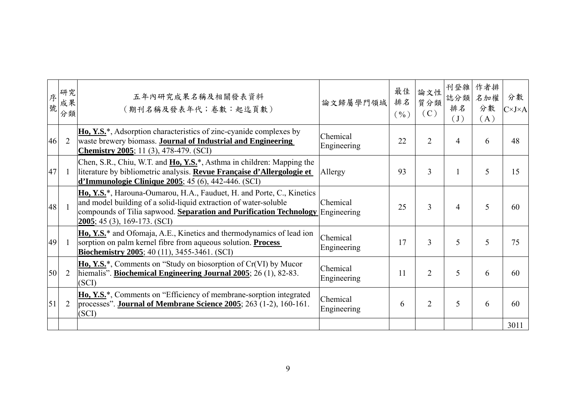| 序<br>號 | 研究<br>成果<br>分類 | 五年內研究成果名稱及相關發表資料<br>(期刊名稱及發表年代;卷數:起迄頁數)                                                                                                                                                                                                                                     | 論文歸屬學門領域                | 最佳<br>排名<br>$(\frac{0}{0})$ | 論文性<br>質分類<br>(C) | 刊登雜<br>誌分類<br>排名<br>$(\mathrm{J})$ | 作者排<br>名加權<br>分數<br>(A) | 分數<br>$C\times J\times A$ |
|--------|----------------|-----------------------------------------------------------------------------------------------------------------------------------------------------------------------------------------------------------------------------------------------------------------------------|-------------------------|-----------------------------|-------------------|------------------------------------|-------------------------|---------------------------|
| 46     | $\overline{2}$ | Ho, Y.S. <sup>*</sup> , Adsorption characteristics of zinc-cyanide complexes by<br>waste brewery biomass. Journal of Industrial and Engineering<br><b>Chemistry 2005</b> ; 11 $(3)$ , 478-479. (SCI)                                                                        | Chemical<br>Engineering | 22                          | $\overline{2}$    | $\overline{4}$                     | 6                       | 48                        |
| 47     | -1             | Chen, S.R., Chiu, W.T. and Ho, Y.S. <sup>*</sup> , Asthma in children: Mapping the<br>literature by bibliometric analysis. Revue Française d'Allergologie et<br><b>d'Immunologie Clinique 2005</b> ; 45 (6), 442-446. (SCI)                                                 | Allergy                 | 93                          | 3                 |                                    | 5                       | 15                        |
| 48     |                | Ho, Y.S. <sup>*</sup> , Harouna-Oumarou, H.A., Fauduet, H. and Porte, C., Kinetics<br>and model building of a solid-liquid extraction of water-soluble<br>compounds of Tilia sapwood. Separation and Purification Technology Engineering<br>$2005$ ; 45 (3), 169-173. (SCI) | Chemical                | 25                          | 3                 | 4                                  | 5                       | 60                        |
| 49     | - 1            | Ho, Y.S. <sup>*</sup> and Ofomaja, A.E., Kinetics and thermodynamics of lead ion<br>sorption on palm kernel fibre from aqueous solution. <b>Process</b><br><b>Biochemistry 2005</b> ; 40 (11), 3455-3461. (SCI)                                                             | Chemical<br>Engineering | 17                          | 3                 | 5                                  | 5                       | 75                        |
| 50     | $\overline{2}$ | <b>Ho, Y.S.</b> <sup>*</sup> , Comments on "Study on biosorption of $Cr(VI)$ by Mucor<br>hiemalis". Biochemical Engineering Journal 2005; 26 (1), 82-83.<br>(SCI)                                                                                                           | Chemical<br>Engineering | 11                          | $\overline{2}$    | 5                                  | 6                       | 60                        |
| 51     | $\overline{2}$ | Ho, Y.S.*, Comments on "Efficiency of membrane-sorption integrated<br>processes". <b>Journal of Membrane Science 2005</b> ; 263 (1-2), 160-161.<br>(SCI)                                                                                                                    | Chemical<br>Engineering | 6                           | 2                 | 5                                  | 6                       | 60                        |
|        |                |                                                                                                                                                                                                                                                                             |                         |                             |                   |                                    |                         | 3011                      |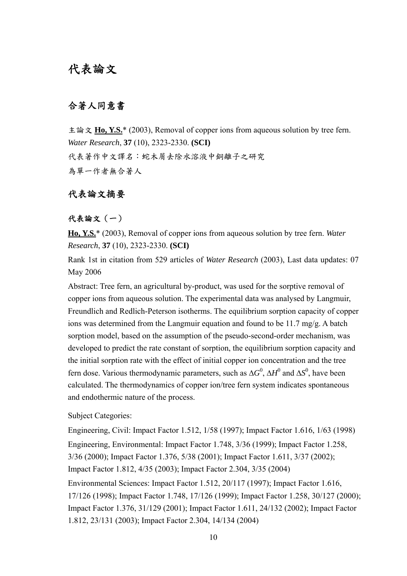## 代表論文

### 合著人同意書

主論文 **Ho, Y.S.**\* (2003), Removal of copper ions from aqueous solution by tree fern. *Water Research*, **37** (10), 2323-2330. **(SCI)** 代表著作中文譯名:蛇木屑去除水溶液中銅離子之研究 為單一作者無合著人

## 代表論文摘要

### 代表論文(一)

**Ho, Y.S.**\* (2003), Removal of copper ions from aqueous solution by tree fern. *Water Research*, **37** (10), 2323-2330. **(SCI)**

Rank 1st in citation from 529 articles of *Water Research* (2003), Last data updates: 07 May 2006

Abstract: Tree fern, an agricultural by-product, was used for the sorptive removal of copper ions from aqueous solution. The experimental data was analysed by Langmuir, Freundlich and Redlich-Peterson isotherms. The equilibrium sorption capacity of copper ions was determined from the Langmuir equation and found to be 11.7 mg/g. A batch sorption model, based on the assumption of the pseudo-second-order mechanism, was developed to predict the rate constant of sorption, the equilibrium sorption capacity and the initial sorption rate with the effect of initial copper ion concentration and the tree fern dose. Various thermodynamic parameters, such as  $\Delta G^0$ ,  $\Delta H^0$  and  $\Delta S^0$ , have been calculated. The thermodynamics of copper ion/tree fern system indicates spontaneous and endothermic nature of the process.

Subject Categories:

Engineering, Civil: Impact Factor 1.512, 1/58 (1997); Impact Factor 1.616, 1/63 (1998) Engineering, Environmental: Impact Factor 1.748, 3/36 (1999); Impact Factor 1.258, 3/36 (2000); Impact Factor 1.376, 5/38 (2001); Impact Factor 1.611, 3/37 (2002); Impact Factor 1.812, 4/35 (2003); Impact Factor 2.304, 3/35 (2004) Environmental Sciences: Impact Factor 1.512, 20/117 (1997); Impact Factor 1.616, 17/126 (1998); Impact Factor 1.748, 17/126 (1999); Impact Factor 1.258, 30/127 (2000); Impact Factor 1.376, 31/129 (2001); Impact Factor 1.611, 24/132 (2002); Impact Factor 1.812, 23/131 (2003); Impact Factor 2.304, 14/134 (2004)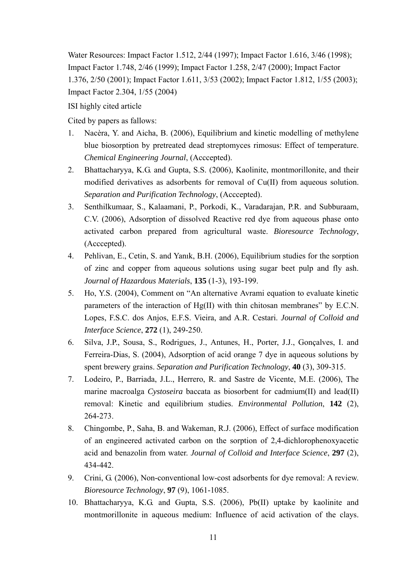Water Resources: Impact Factor 1.512, 2/44 (1997); Impact Factor 1.616, 3/46 (1998); Impact Factor 1.748, 2/46 (1999); Impact Factor 1.258, 2/47 (2000); Impact Factor 1.376, 2/50 (2001); Impact Factor 1.611, 3/53 (2002); Impact Factor 1.812, 1/55 (2003); Impact Factor 2.304, 1/55 (2004)

ISI highly cited article

Cited by papers as fallows:

- 1. Nacèra, Y. and Aicha, B. (2006), Equilibrium and kinetic modelling of methylene blue biosorption by pretreated dead streptomyces rimosus: Effect of temperature. *Chemical Engineering Journal*, (Acccepted).
- 2. Bhattacharyya, K.G. and Gupta, S.S. (2006), Kaolinite, montmorillonite, and their modified derivatives as adsorbents for removal of Cu(II) from aqueous solution. *Separation and Purification Technology*, (Acccepted).
- 3. Senthilkumaar, S., Kalaamani, P., Porkodi, K., Varadarajan, P.R. and Subburaam, C.V. (2006), Adsorption of dissolved Reactive red dye from aqueous phase onto activated carbon prepared from agricultural waste. *Bioresource Technology*, (Acccepted).
- 4. Pehlivan, E., Cetin, S. and Yanık, B.H. (2006), Equilibrium studies for the sorption of zinc and copper from aqueous solutions using sugar beet pulp and fly ash. *Journal of Hazardous Materials*, **135** (1-3), 193-199.
- 5. Ho, Y.S. (2004), Comment on "An alternative Avrami equation to evaluate kinetic parameters of the interaction of Hg(II) with thin chitosan membranes" by E.C.N. Lopes, F.S.C. dos Anjos, E.F.S. Vieira, and A.R. Cestari. *Journal of Colloid and Interface Science*, **272** (1), 249-250.
- 6. Silva, J.P., Sousa, S., Rodrigues, J., Antunes, H., Porter, J.J., Gonçalves, I. and Ferreira-Dias, S. (2004), Adsorption of acid orange 7 dye in aqueous solutions by spent brewery grains. *Separation and Purification Technology*, **40** (3), 309-315.
- 7. Lodeiro, P., Barriada, J.L., Herrero, R. and Sastre de Vicente, M.E. (2006), The marine macroalga *Cystoseira* baccata as biosorbent for cadmium(II) and lead(II) removal: Kinetic and equilibrium studies. *Environmental Pollution*, **142** (2), 264-273.
- 8. Chingombe, P., Saha, B. and Wakeman, R.J. (2006), Effect of surface modification of an engineered activated carbon on the sorption of 2,4-dichlorophenoxyacetic acid and benazolin from water. *Journal of Colloid and Interface Science*, **297** (2), 434-442.
- 9. Crini, G. (2006), Non-conventional low-cost adsorbents for dye removal: A review. *Bioresource Technology*, **97** (9), 1061-1085.
- 10. Bhattacharyya, K.G. and Gupta, S.S. (2006), Pb(II) uptake by kaolinite and montmorillonite in aqueous medium: Influence of acid activation of the clays.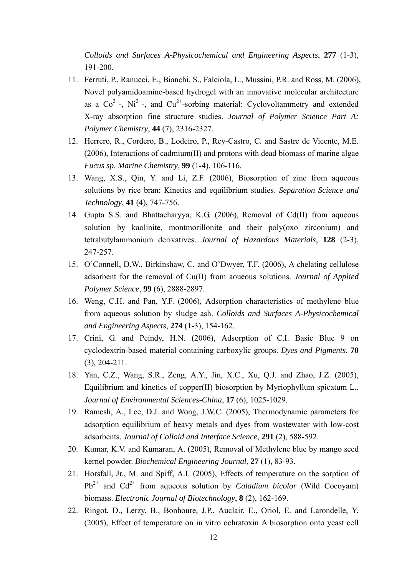*Colloids and Surfaces A-Physicochemical and Engineering Aspects*, **277** (1-3), 191-200.

- 11. Ferruti, P., Ranucci, E., Bianchi, S., Falciola, L., Mussini, P.R. and Ross, M. (2006), Novel polyamidoamine-based hydrogel with an innovative molecular architecture as a  $Co^{2+}$ , Ni<sup>2+</sup>-, and  $Cu^{2+}$ -sorbing material: Cyclovoltammetry and extended X-ray absorption fine structure studies. *Journal of Polymer Science Part A: Polymer Chemistry*, **44** (7), 2316-2327.
- 12. Herrero, R., Cordero, B., Lodeiro, P., Rey-Castro, C. and Sastre de Vicente, M.E. (2006), Interactions of cadmium(II) and protons with dead biomass of marine algae *Fucus sp*. *Marine Chemistry*, **99** (1-4), 106-116.
- 13. Wang, X.S., Qin, Y. and Li, Z.F. (2006), Biosorption of zinc from aqueous solutions by rice bran: Kinetics and equilibrium studies. *Separation Science and Technology*, **41** (4), 747-756.
- 14. Gupta S.S. and Bhattacharyya, K.G. (2006), Removal of Cd(II) from aqueous solution by kaolinite, montmorillonite and their poly(oxo zirconium) and tetrabutylammonium derivatives. *Journal of Hazardous Materials*, **128** (2-3), 247-257.
- 15. O'Connell, D.W., Birkinshaw, C. and O'Dwyer, T.F. (2006), A chelating cellulose adsorbent for the removal of Cu(II) from aoueous solutions. *Journal of Applied Polymer Science*, **99** (6), 2888-2897.
- 16. Weng, C.H. and Pan, Y.F. (2006), Adsorption characteristics of methylene blue from aqueous solution by sludge ash. *Colloids and Surfaces A-Physicochemical and Engineering Aspects*, **274** (1-3), 154-162.
- 17. Crini, G. and Peindy, H.N. (2006), Adsorption of C.I. Basic Blue 9 on cyclodextrin-based material containing carboxylic groups. *Dyes and Pigments*, **70** (3), 204-211.
- 18. Yan, C.Z., Wang, S.R., Zeng, A.Y., Jin, X.C., Xu, Q.J. and Zhao, J.Z. (2005), Equilibrium and kinetics of copper(II) biosorption by Myriophyllum spicatum L.. *Journal of Environmental Sciences-China*, **17** (6), 1025-1029.
- 19. Ramesh, A., Lee, D.J. and Wong, J.W.C. (2005), Thermodynamic parameters for adsorption equilibrium of heavy metals and dyes from wastewater with low-cost adsorbents. *Journal of Colloid and Interface Science*, **291** (2), 588-592.
- 20. Kumar, K.V. and Kumaran, A. (2005), Removal of Methylene blue by mango seed kernel powder. *Biochemical Engineering Journal*, **27** (1), 83-93.
- 21. Horsfall, Jr., M. and Spiff, A.I. (2005), Effects of temperature on the sorption of  $Pb^{2+}$  and  $Cd^{2+}$  from aqueous solution by *Caladium bicolor* (Wild Cocoyam) biomass. *Electronic Journal of Biotechnology*, **8** (2), 162-169.
- 22. Ringot, D., Lerzy, B., Bonhoure, J.P., Auclair, E., Oriol, E. and Larondelle, Y. (2005), Effect of temperature on in vitro ochratoxin A biosorption onto yeast cell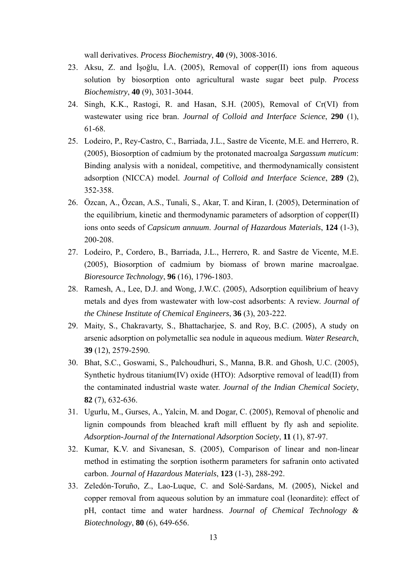wall derivatives. *Process Biochemistry*, **40** (9), 3008-3016.

- 23. Aksu, Z. and İşoğlu, İ.A. (2005), Removal of copper(II) ions from aqueous solution by biosorption onto agricultural waste sugar beet pulp. *Process Biochemistry*, **40** (9), 3031-3044.
- 24. Singh, K.K., Rastogi, R. and Hasan, S.H. (2005), Removal of Cr(VI) from wastewater using rice bran. *Journal of Colloid and Interface Science*, **290** (1), 61-68.
- 25. Lodeiro, P., Rey-Castro, C., Barriada, J.L., Sastre de Vicente, M.E. and Herrero, R. (2005), Biosorption of cadmium by the protonated macroalga *Sargassum muticum*: Binding analysis with a nonideal, competitive, and thermodynamically consistent adsorption (NICCA) model. *Journal of Colloid and Interface Science*, **289** (2), 352-358.
- 26. Özcan, A., Özcan, A.S., Tunali, S., Akar, T. and Kiran, I. (2005), Determination of the equilibrium, kinetic and thermodynamic parameters of adsorption of copper(II) ions onto seeds of *Capsicum annuum*. *Journal of Hazardous Materials*, **124** (1-3), 200-208.
- 27. Lodeiro, P., Cordero, B., Barriada, J.L., Herrero, R. and Sastre de Vicente, M.E. (2005), Biosorption of cadmium by biomass of brown marine macroalgae. *Bioresource Technology*, **96** (16), 1796-1803.
- 28. Ramesh, A., Lee, D.J. and Wong, J.W.C. (2005), Adsorption equilibrium of heavy metals and dyes from wastewater with low-cost adsorbents: A review. *Journal of the Chinese Institute of Chemical Engineers*, **36** (3), 203-222.
- 29. Maity, S., Chakravarty, S., Bhattacharjee, S. and Roy, B.C. (2005), A study on arsenic adsorption on polymetallic sea nodule in aqueous medium. *Water Research*, **39** (12), 2579-2590.
- 30. Bhat, S.C., Goswami, S., Palchoudhuri, S., Manna, B.R. and Ghosh, U.C. (2005), Synthetic hydrous titanium(IV) oxide (HTO): Adsorptive removal of lead(II) from the contaminated industrial waste water. *Journal of the Indian Chemical Society*, **82** (7), 632-636.
- 31. Ugurlu, M., Gurses, A., Yalcin, M. and Dogar, C. (2005), Removal of phenolic and lignin compounds from bleached kraft mill effluent by fly ash and sepiolite. *Adsorption-Journal of the International Adsorption Society*, **11** (1), 87-97.
- 32. Kumar, K.V. and Sivanesan, S. (2005), Comparison of linear and non-linear method in estimating the sorption isotherm parameters for safranin onto activated carbon. *Journal of Hazardous Materials*, **123** (1-3), 288-292.
- 33. Zeledón-Toruño, Z., Lao-Luque, C. and Solé-Sardans, M. (2005), Nickel and copper removal from aqueous solution by an immature coal (leonardite): effect of pH, contact time and water hardness. *Journal of Chemical Technology & Biotechnology*, **80** (6), 649-656.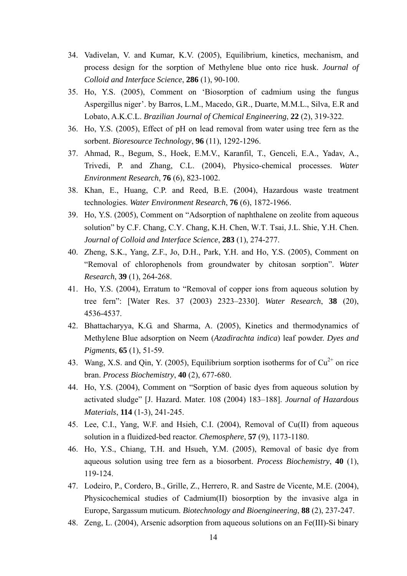- 34. Vadivelan, V. and Kumar, K.V. (2005), Equilibrium, kinetics, mechanism, and process design for the sorption of Methylene blue onto rice husk. *Journal of Colloid and Interface Science*, **286** (1), 90-100.
- 35. Ho, Y.S. (2005), Comment on 'Biosorption of cadmium using the fungus Aspergillus niger'. by Barros, L.M., Macedo, G.R., Duarte, M.M.L., Silva, E.R and Lobato, A.K.C.L. *Brazilian Journal of Chemical Engineering*, **22** (2), 319-322.
- 36. Ho, Y.S. (2005), Effect of pH on lead removal from water using tree fern as the sorbent. *Bioresource Technology*, **96** (11), 1292-1296.
- 37. Ahmad, R., Begum, S., Hoek, E.M.V., Karanfil, T., Genceli, E.A., Yadav, A., Trivedi, P. and Zhang, C.L. (2004), Physico-chemical processes. *Water Environment Research*, **76** (6), 823-1002.
- 38. Khan, E., Huang, C.P. and Reed, B.E. (2004), Hazardous waste treatment technologies. *Water Environment Research*, **76** (6), 1872-1966.
- 39. Ho, Y.S. (2005), Comment on "Adsorption of naphthalene on zeolite from aqueous solution" by C.F. Chang, C.Y. Chang, K.H. Chen, W.T. Tsai, J.L. Shie, Y.H. Chen. *Journal of Colloid and Interface Science*, **283** (1), 274-277.
- 40. Zheng, S.K., Yang, Z.F., Jo, D.H., Park, Y.H. and Ho, Y.S. (2005), Comment on "Removal of chlorophenols from groundwater by chitosan sorption". *Water Research*, **39** (1), 264-268.
- 41. Ho, Y.S. (2004), Erratum to "Removal of copper ions from aqueous solution by tree fern": [Water Res. 37 (2003) 2323–2330]. *Water Research*, **38** (20), 4536-4537.
- 42. Bhattacharyya, K.G. and Sharma, A. (2005), Kinetics and thermodynamics of Methylene Blue adsorption on Neem (*Azadirachta indica*) leaf powder. *Dyes and Pigments*, **65** (1), 51-59.
- 43. Wang, X.S. and Qin, Y. (2005), Equilibrium sorption isotherms for of  $Cu^{2+}$  on rice bran. *Process Biochemistry*, **40** (2), 677-680.
- 44. Ho, Y.S. (2004), Comment on "Sorption of basic dyes from aqueous solution by activated sludge" [J. Hazard. Mater. 108 (2004) 183–188]. *Journal of Hazardous Materials*, **114** (1-3), 241-245.
- 45. Lee, C.I., Yang, W.F. and Hsieh, C.I. (2004), Removal of Cu(II) from aqueous solution in a fluidized-bed reactor. *Chemosphere*, **57** (9), 1173-1180.
- 46. Ho, Y.S., Chiang, T.H. and Hsueh, Y.M. (2005), Removal of basic dye from aqueous solution using tree fern as a biosorbent. *Process Biochemistry*, **40** (1), 119-124.
- 47. Lodeiro, P., Cordero, B., Grille, Z., Herrero, R. and Sastre de Vicente, M.E. (2004), Physicochemical studies of Cadmium(II) biosorption by the invasive alga in Europe, Sargassum muticum. *Biotechnology and Bioengineering*, **88** (2), 237-247.
- 48. Zeng, L. (2004), Arsenic adsorption from aqueous solutions on an Fe(III)-Si binary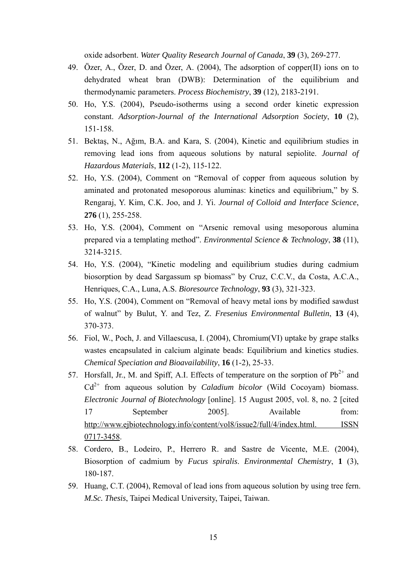oxide adsorbent. *Water Quality Research Journal of Canada*, **39** (3), 269-277.

- 49. Özer, A., Özer, D. and Özer, A. (2004), The adsorption of copper(II) ions on to dehydrated wheat bran (DWB): Determination of the equilibrium and thermodynamic parameters. *Process Biochemistry*, **39** (12), 2183-2191.
- 50. Ho, Y.S. (2004), Pseudo-isotherms using a second order kinetic expression constant. *Adsorption-Journal of the International Adsorption Society*, **10** (2), 151-158.
- 51. Bektaş, N., Ağım, B.A. and Kara, S. (2004), Kinetic and equilibrium studies in removing lead ions from aqueous solutions by natural sepiolite. *Journal of Hazardous Materials*, **112** (1-2), 115-122.
- 52. Ho, Y.S. (2004), Comment on "Removal of copper from aqueous solution by aminated and protonated mesoporous aluminas: kinetics and equilibrium," by S. Rengaraj, Y. Kim, C.K. Joo, and J. Yi. *Journal of Colloid and Interface Science*, **276** (1), 255-258.
- 53. Ho, Y.S. (2004), Comment on "Arsenic removal using mesoporous alumina prepared via a templating method". *Environmental Science & Technology*, **38** (11), 3214-3215.
- 54. Ho, Y.S. (2004), "Kinetic modeling and equilibrium studies during cadmium biosorption by dead Sargassum sp biomass" by Cruz, C.C.V., da Costa, A.C.A., Henriques, C.A., Luna, A.S. *Bioresource Technology*, **93** (3), 321-323.
- 55. Ho, Y.S. (2004), Comment on "Removal of heavy metal ions by modified sawdust of walnut" by Bulut, Y. and Tez, Z. *Fresenius Environmental Bulletin*, **13** (4), 370-373.
- 56. Fiol, W., Poch, J. and Villaescusa, I. (2004), Chromium(VI) uptake by grape stalks wastes encapsulated in calcium alginate beads: Equilibrium and kinetics studies. *Chemical Speciation and Bioavailability*, **16** (1-2), 25-33.
- 57. Horsfall, Jr., M. and Spiff, A.I. Effects of temperature on the sorption of  $Pb^{2+}$  and  $Cd^{2+}$  from aqueous solution by *Caladium bicolor* (Wild Cocoyam) biomass. *Electronic Journal of Biotechnology* [online]. 15 August 2005, vol. 8, no. 2 [cited 17 September 2005]. Available from: http://www.ejbiotechnology.info/content/vol8/issue2/full/4/index.html. ISSN 0717-3458.
- 58. Cordero, B., Lodeiro, P., Herrero R. and Sastre de Vicente, M.E. (2004), Biosorption of cadmium by *Fucus spiralis*. *Environmental Chemistry*, **1** (3), 180-187.
- 59. Huang, C.T. (2004), Removal of lead ions from aqueous solution by using tree fern. *M.Sc. Thesis*, Taipei Medical University, Taipei, Taiwan.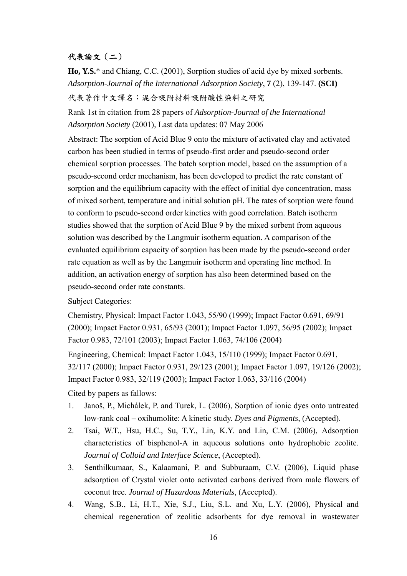## 代表論文(二)

**Ho, Y.S.**\* and Chiang, C.C. (2001), Sorption studies of acid dye by mixed sorbents. *Adsorption-Journal of the International Adsorption Society*, **7** (2), 139-147. **(SCI)** 代表著作中文譯名:混合吸附材料吸附酸性染料之研究

Rank 1st in citation from 28 papers of *Adsorption-Journal of the International Adsorption Society* (2001), Last data updates: 07 May 2006

Abstract: The sorption of Acid Blue 9 onto the mixture of activated clay and activated carbon has been studied in terms of pseudo-first order and pseudo-second order chemical sorption processes. The batch sorption model, based on the assumption of a pseudo-second order mechanism, has been developed to predict the rate constant of sorption and the equilibrium capacity with the effect of initial dye concentration, mass of mixed sorbent, temperature and initial solution pH. The rates of sorption were found to conform to pseudo-second order kinetics with good correlation. Batch isotherm studies showed that the sorption of Acid Blue 9 by the mixed sorbent from aqueous solution was described by the Langmuir isotherm equation. A comparison of the evaluated equilibrium capacity of sorption has been made by the pseudo-second order rate equation as well as by the Langmuir isotherm and operating line method. In addition, an activation energy of sorption has also been determined based on the pseudo-second order rate constants.

Subject Categories:

Chemistry, Physical: Impact Factor 1.043, 55/90 (1999); Impact Factor 0.691, 69/91 (2000); Impact Factor 0.931, 65/93 (2001); Impact Factor 1.097, 56/95 (2002); Impact Factor 0.983, 72/101 (2003); Impact Factor 1.063, 74/106 (2004)

Engineering, Chemical: Impact Factor 1.043, 15/110 (1999); Impact Factor 0.691, 32/117 (2000); Impact Factor 0.931, 29/123 (2001); Impact Factor 1.097, 19/126 (2002); Impact Factor 0.983, 32/119 (2003); Impact Factor 1.063, 33/116 (2004)

Cited by papers as fallows:

- 1. Janoš, P., Michálek, P. and Turek, L. (2006), Sorption of ionic dyes onto untreated low-rank coal – oxihumolite: A kinetic study. *Dyes and Pigments*, (Accepted).
- 2. Tsai, W.T., Hsu, H.C., Su, T.Y., Lin, K.Y. and Lin, C.M. (2006), Adsorption characteristics of bisphenol-A in aqueous solutions onto hydrophobic zeolite. *Journal of Colloid and Interface Science*, (Accepted).
- 3. Senthilkumaar, S., Kalaamani, P. and Subburaam, C.V. (2006), Liquid phase adsorption of Crystal violet onto activated carbons derived from male flowers of coconut tree. *Journal of Hazardous Materials*, (Accepted).
- 4. Wang, S.B., Li, H.T., Xie, S.J., Liu, S.L. and Xu, L.Y. (2006), Physical and chemical regeneration of zeolitic adsorbents for dye removal in wastewater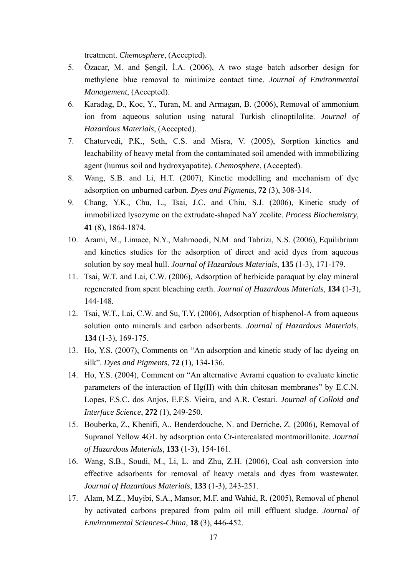treatment. *Chemosphere*, (Accepted).

- 5. Özacar, M. and Şengil, İ.A. (2006), A two stage batch adsorber design for methylene blue removal to minimize contact time. *Journal of Environmental Management*, (Accepted).
- 6. Karadag, D., Koc, Y., Turan, M. and Armagan, B. (2006), Removal of ammonium ion from aqueous solution using natural Turkish clinoptilolite. *Journal of Hazardous Materials*, (Accepted).
- 7. Chaturvedi, P.K., Seth, C.S. and Misra, V. (2005), Sorption kinetics and leachability of heavy metal from the contaminated soil amended with immobilizing agent (humus soil and hydroxyapatite). *Chemosphere*, (Accepted).
- 8. Wang, S.B. and Li, H.T. (2007), Kinetic modelling and mechanism of dye adsorption on unburned carbon. *Dyes and Pigments*, **72** (3), 308-314.
- 9. Chang, Y.K., Chu, L., Tsai, J.C. and Chiu, S.J. (2006), Kinetic study of immobilized lysozyme on the extrudate-shaped NaY zeolite. *Process Biochemistry*, **41** (8), 1864-1874.
- 10. Arami, M., Limaee, N.Y., Mahmoodi, N.M. and Tabrizi, N.S. (2006), Equilibrium and kinetics studies for the adsorption of direct and acid dyes from aqueous solution by soy meal hull. *Journal of Hazardous Materials*, **135** (1-3), 171-179.
- 11. Tsai, W.T. and Lai, C.W. (2006), Adsorption of herbicide paraquat by clay mineral regenerated from spent bleaching earth. *Journal of Hazardous Materials*, **134** (1-3), 144-148.
- 12. Tsai, W.T., Lai, C.W. and Su, T.Y. (2006), Adsorption of bisphenol-A from aqueous solution onto minerals and carbon adsorbents. *Journal of Hazardous Materials*, **134** (1-3), 169-175.
- 13. Ho, Y.S. (2007), Comments on "An adsorption and kinetic study of lac dyeing on silk". *Dyes and Pigments*, **72** (1), 134-136.
- 14. Ho, Y.S. (2004), Comment on "An alternative Avrami equation to evaluate kinetic parameters of the interaction of Hg(II) with thin chitosan membranes" by E.C.N. Lopes, F.S.C. dos Anjos, E.F.S. Vieira, and A.R. Cestari. *Journal of Colloid and Interface Science*, **272** (1), 249-250.
- 15. Bouberka, Z., Khenifi, A., Benderdouche, N. and Derriche, Z. (2006), Removal of Supranol Yellow 4GL by adsorption onto Cr-intercalated montmorillonite. *Journal of Hazardous Materials*, **133** (1-3), 154-161.
- 16. Wang, S.B., Soudi, M., Li, L. and Zhu, Z.H. (2006), Coal ash conversion into effective adsorbents for removal of heavy metals and dyes from wastewater. *Journal of Hazardous Materials*, **133** (1-3), 243-251.
- 17. Alam, M.Z., Muyibi, S.A., Mansor, M.F. and Wahid, R. (2005), Removal of phenol by activated carbons prepared from palm oil mill effluent sludge. *Journal of Environmental Sciences-China*, **18** (3), 446-452.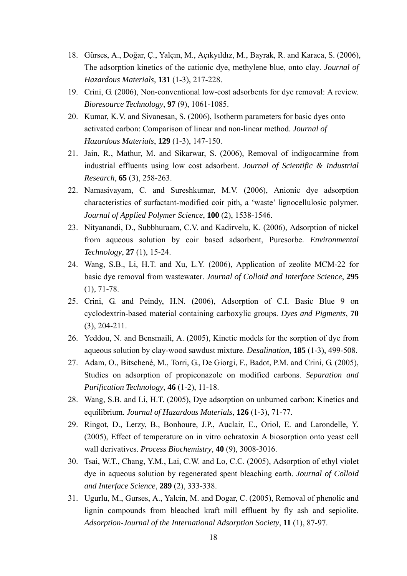- 18. Gürses, A., Doğar, Ç., Yalçın, M., Açıkyıldız, M., Bayrak, R. and Karaca, S. (2006), The adsorption kinetics of the cationic dye, methylene blue, onto clay. *Journal of Hazardous Materials*, **131** (1-3), 217-228.
- 19. Crini, G. (2006), Non-conventional low-cost adsorbents for dye removal: A review. *Bioresource Technology*, **97** (9), 1061-1085.
- 20. Kumar, K.V. and Sivanesan, S. (2006), Isotherm parameters for basic dyes onto activated carbon: Comparison of linear and non-linear method. *Journal of Hazardous Materials*, **129** (1-3), 147-150.
- 21. Jain, R., Mathur, M. and Sikarwar, S. (2006), Removal of indigocarmine from industrial effluents using low cost adsorbent. *Journal of Scientific & Industrial Research*, **65** (3), 258-263.
- 22. Namasivayam, C. and Sureshkumar, M.V. (2006), Anionic dye adsorption characteristics of surfactant-modified coir pith, a 'waste' lignocellulosic polymer. *Journal of Applied Polymer Science*, **100** (2), 1538-1546.
- 23. Nityanandi, D., Subbhuraam, C.V. and Kadirvelu, K. (2006), Adsorption of nickel from aqueous solution by coir based adsorbent, Puresorbe. *Environmental Technology*, **27** (1), 15-24.
- 24. Wang, S.B., Li, H.T. and Xu, L.Y. (2006), Application of zeolite MCM-22 for basic dye removal from wastewater. *Journal of Colloid and Interface Science*, **295** (1), 71-78.
- 25. Crini, G. and Peindy, H.N. (2006), Adsorption of C.I. Basic Blue 9 on cyclodextrin-based material containing carboxylic groups. *Dyes and Pigments*, **70** (3), 204-211.
- 26. Yeddou, N. and Bensmaili, A. (2005), Kinetic models for the sorption of dye from aqueous solution by clay-wood sawdust mixture. *Desalination*, **185** (1-3), 499-508.
- 27. Adam, O., Bitschené, M., Torri, G., De Giorgi, F., Badot, P.M. and Crini, G. (2005), Studies on adsorption of propiconazole on modified carbons. *Separation and Purification Technology*, **46** (1-2), 11-18.
- 28. Wang, S.B. and Li, H.T. (2005), Dye adsorption on unburned carbon: Kinetics and equilibrium. *Journal of Hazardous Materials*, **126** (1-3), 71-77.
- 29. Ringot, D., Lerzy, B., Bonhoure, J.P., Auclair, E., Oriol, E. and Larondelle, Y. (2005), Effect of temperature on in vitro ochratoxin A biosorption onto yeast cell wall derivatives. *Process Biochemistry*, **40** (9), 3008-3016.
- 30. Tsai, W.T., Chang, Y.M., Lai, C.W. and Lo, C.C. (2005), Adsorption of ethyl violet dye in aqueous solution by regenerated spent bleaching earth. *Journal of Colloid and Interface Science*, **289** (2), 333-338.
- 31. Ugurlu, M., Gurses, A., Yalcin, M. and Dogar, C. (2005), Removal of phenolic and lignin compounds from bleached kraft mill effluent by fly ash and sepiolite. *Adsorption-Journal of the International Adsorption Society*, **11** (1), 87-97.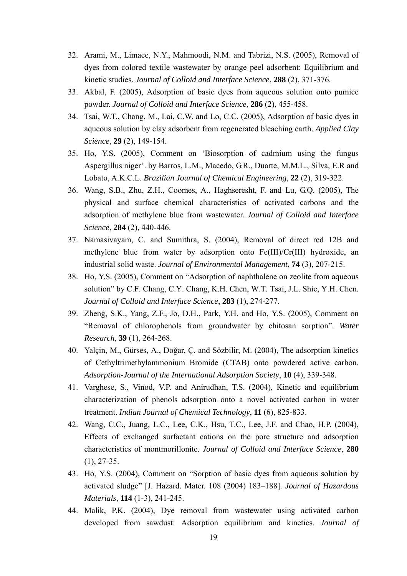- 32. Arami, M., Limaee, N.Y., Mahmoodi, N.M. and Tabrizi, N.S. (2005), Removal of dyes from colored textile wastewater by orange peel adsorbent: Equilibrium and kinetic studies. *Journal of Colloid and Interface Science*, **288** (2), 371-376.
- 33. Akbal, F. (2005), Adsorption of basic dyes from aqueous solution onto pumice powder. *Journal of Colloid and Interface Science*, **286** (2), 455-458.
- 34. Tsai, W.T., Chang, M., Lai, C.W. and Lo, C.C. (2005), Adsorption of basic dyes in aqueous solution by clay adsorbent from regenerated bleaching earth. *Applied Clay Science*, **29** (2), 149-154.
- 35. Ho, Y.S. (2005), Comment on 'Biosorption of cadmium using the fungus Aspergillus niger'. by Barros, L.M., Macedo, G.R., Duarte, M.M.L., Silva, E.R and Lobato, A.K.C.L. *Brazilian Journal of Chemical Engineering*, **22** (2), 319-322.
- 36. Wang, S.B., Zhu, Z.H., Coomes, A., Haghseresht, F. and Lu, G.Q. (2005), The physical and surface chemical characteristics of activated carbons and the adsorption of methylene blue from wastewater. *Journal of Colloid and Interface Science*, **284** (2), 440-446.
- 37. Namasivayam, C. and Sumithra, S. (2004), Removal of direct red 12B and methylene blue from water by adsorption onto Fe(III)/Cr(III) hydroxide, an industrial solid waste. *Journal of Environmental Management*, **74** (3), 207-215.
- 38. Ho, Y.S. (2005), Comment on "Adsorption of naphthalene on zeolite from aqueous solution" by C.F. Chang, C.Y. Chang, K.H. Chen, W.T. Tsai, J.L. Shie, Y.H. Chen. *Journal of Colloid and Interface Science*, **283** (1), 274-277.
- 39. Zheng, S.K., Yang, Z.F., Jo, D.H., Park, Y.H. and Ho, Y.S. (2005), Comment on "Removal of chlorophenols from groundwater by chitosan sorption". *Water Research*, **39** (1), 264-268.
- 40. Yalçin, M., Gürses, A., Doğar, Ç. and Sözbilir, M. (2004), The adsorption kinetics of Cethyltrimethylammonium Bromide (CTAB) onto powdered active carbon. *Adsorption-Journal of the International Adsorption Society*, **10** (4), 339-348.
- 41. Varghese, S., Vinod, V.P. and Anirudhan, T.S. (2004), Kinetic and equilibrium characterization of phenols adsorption onto a novel activated carbon in water treatment. *Indian Journal of Chemical Technology*, **11** (6), 825-833.
- 42. Wang, C.C., Juang, L.C., Lee, C.K., Hsu, T.C., Lee, J.F. and Chao, H.P. (2004), Effects of exchanged surfactant cations on the pore structure and adsorption characteristics of montmorillonite. *Journal of Colloid and Interface Science*, **280** (1), 27-35.
- 43. Ho, Y.S. (2004), Comment on "Sorption of basic dyes from aqueous solution by activated sludge" [J. Hazard. Mater. 108 (2004) 183–188]. *Journal of Hazardous Materials*, **114** (1-3), 241-245.
- 44. Malik, P.K. (2004), Dye removal from wastewater using activated carbon developed from sawdust: Adsorption equilibrium and kinetics. *Journal of*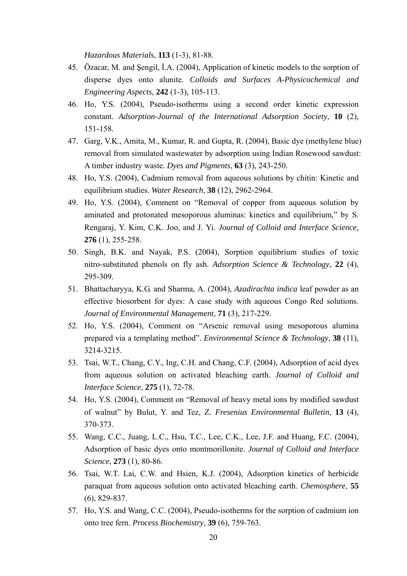*Hazardous Materials*, **113** (1-3), 81-88.

- 45. Özacar, M. and Şengil, İ.A. (2004), Application of kinetic models to the sorption of disperse dyes onto alunite. *Colloids and Surfaces A-Physicochemical and Engineering Aspects*, **242** (1-3), 105-113.
- 46. Ho, Y.S. (2004), Pseudo-isotherms using a second order kinetic expression constant. *Adsorption-Journal of the International Adsorption Society*, **10** (2), 151-158.
- 47. Garg, V.K., Amita, M., Kumar, R. and Gupta, R. (2004), Basic dye (methylene blue) removal from simulated wastewater by adsorption using Indian Rosewood sawdust: A timber industry waste. *Dyes and Pigments*, **63** (3), 243-250.
- 48. Ho, Y.S. (2004), Cadmium removal from aqueous solutions by chitin: Kinetic and equilibrium studies. *Water Research*, **38** (12), 2962-2964.
- 49. Ho, Y.S. (2004), Comment on "Removal of copper from aqueous solution by aminated and protonated mesoporous aluminas: kinetics and equilibrium," by S. Rengaraj, Y. Kim, C.K. Joo, and J. Yi. *Journal of Colloid and Interface Science*, **276** (1), 255-258.
- 50. Singh, B.K. and Nayak, P.S. (2004), Sorption equilibrium studies of toxic nitro-substituted phenols on fly ash. *Adsorption Science & Technology*, **22** (4), 295-309.
- 51. Bhattacharyya, K.G. and Sharma, A. (2004), *Azadirachta indica* leaf powder as an effective biosorbent for dyes: A case study with aqueous Congo Red solutions. *Journal of Environmental Management*, **71** (3), 217-229.
- 52. Ho, Y.S. (2004), Comment on "Arsenic removal using mesoporous alumina prepared via a templating method". *Environmental Science & Technology*, **38** (11), 3214-3215.
- 53. Tsai, W.T., Chang, C.Y., Ing, C.H. and Chang, C.F. (2004), Adsorption of acid dyes from aqueous solution on activated bleaching earth. *Journal of Colloid and Interface Science*, **275** (1), 72-78.
- 54. Ho, Y.S. (2004), Comment on "Removal of heavy metal ions by modified sawdust of walnut" by Bulut, Y. and Tez, Z. *Fresenius Environmental Bulletin*, **13** (4), 370-373.
- 55. Wang, C.C., Juang, L.C., Hsu, T.C., Lee, C.K., Lee, J.F. and Huang, F.C. (2004), Adsorption of basic dyes onto montmorillonite. *Journal of Colloid and Interface Science*, **273** (1), 80-86.
- 56. Tsai, W.T. Lai, C.W. and Hsien, K.J. (2004), Adsorption kinetics of herbicide paraquat from aqueous solution onto activated bleaching earth. *Chemosphere*, **55** (6), 829-837.
- 57. Ho, Y.S. and Wang, C.C. (2004), Pseudo-isotherms for the sorption of cadmium ion onto tree fern. *Process Biochemistry*, **39** (6), 759-763.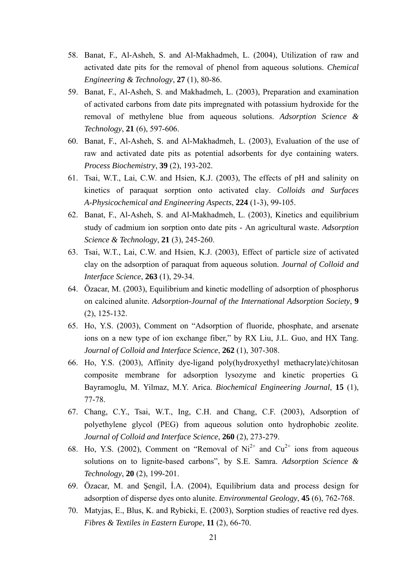- 58. Banat, F., Al-Asheh, S. and Al-Makhadmeh, L. (2004), Utilization of raw and activated date pits for the removal of phenol from aqueous solutions. *Chemical Engineering & Technology*, **27** (1), 80-86.
- 59. Banat, F., Al-Asheh, S. and Makhadmeh, L. (2003), Preparation and examination of activated carbons from date pits impregnated with potassium hydroxide for the removal of methylene blue from aqueous solutions. *Adsorption Science & Technology*, **21** (6), 597-606.
- 60. Banat, F., Al-Asheh, S. and Al-Makhadmeh, L. (2003), Evaluation of the use of raw and activated date pits as potential adsorbents for dye containing waters. *Process Biochemistry*, **39** (2), 193-202.
- 61. Tsai, W.T., Lai, C.W. and Hsien, K.J. (2003), The effects of pH and salinity on kinetics of paraquat sorption onto activated clay. *Colloids and Surfaces A-Physicochemical and Engineering Aspects*, **224** (1-3), 99-105.
- 62. Banat, F., Al-Asheh, S. and Al-Makhadmeh, L. (2003), Kinetics and equilibrium study of cadmium ion sorption onto date pits - An agricultural waste. *Adsorption Science & Technology*, **21** (3), 245-260.
- 63. Tsai, W.T., Lai, C.W. and Hsien, K.J. (2003), Effect of particle size of activated clay on the adsorption of paraquat from aqueous solution. *Journal of Colloid and Interface Science*, **263** (1), 29-34.
- 64. Özacar, M. (2003), Equilibrium and kinetic modelling of adsorption of phosphorus on calcined alunite. *Adsorption-Journal of the International Adsorption Society*, **9** (2), 125-132.
- 65. Ho, Y.S. (2003), Comment on "Adsorption of fluoride, phosphate, and arsenate ions on a new type of ion exchange fiber," by RX Liu, J.L. Guo, and HX Tang. *Journal of Colloid and Interface Science*, **262** (1), 307-308.
- 66. Ho, Y.S. (2003), Affinity dye-ligand poly(hydroxyethyl methacrylate)/chitosan composite membrane for adsorption lysozyme and kinetic properties G. Bayramoglu, M. Yilmaz, M.Y. Arica. *Biochemical Engineering Journal*, **15** (1), 77-78.
- 67. Chang, C.Y., Tsai, W.T., Ing, C.H. and Chang, C.F. (2003), Adsorption of polyethylene glycol (PEG) from aqueous solution onto hydrophobic zeolite. *Journal of Colloid and Interface Science*, **260** (2), 273-279.
- 68. Ho, Y.S. (2002), Comment on "Removal of  $Ni^{2+}$  and  $Cu^{2+}$  ions from aqueous solutions on to lignite-based carbons", by S.E. Samra. *Adsorption Science & Technology*, **20** (2), 199-201.
- 69. Özacar, M. and Şengil, İ.A. (2004), Equilibrium data and process design for adsorption of disperse dyes onto alunite. *Environmental Geology*, **45** (6), 762-768.
- 70. Matyjas, E., Blus, K. and Rybicki, E. (2003), Sorption studies of reactive red dyes. *Fibres & Textiles in Eastern Europe*, **11** (2), 66-70.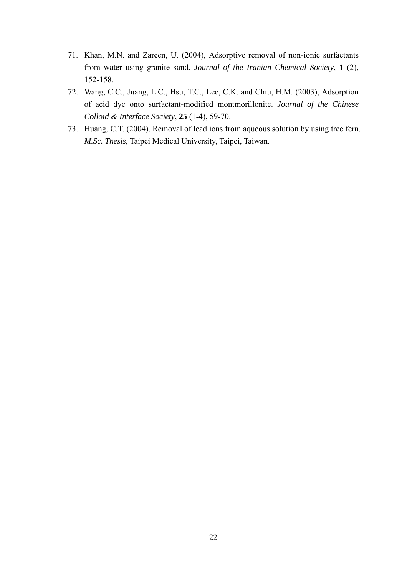- 71. Khan, M.N. and Zareen, U. (2004), Adsorptive removal of non-ionic surfactants from water using granite sand. *Journal of the Iranian Chemical Society*, **1** (2), 152-158.
- 72. Wang, C.C., Juang, L.C., Hsu, T.C., Lee, C.K. and Chiu, H.M. (2003), Adsorption of acid dye onto surfactant-modified montmorillonite. *Journal of the Chinese Colloid & Interface Society*, **25** (1-4), 59-70.
- 73. Huang, C.T. (2004), Removal of lead ions from aqueous solution by using tree fern. *M.Sc. Thesis*, Taipei Medical University, Taipei, Taiwan.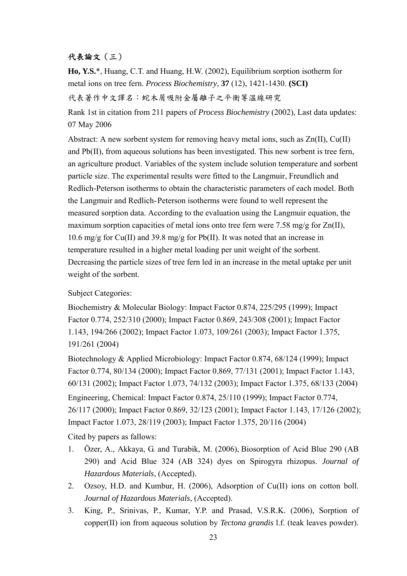## 代表論文(三)

**Ho, Y.S.**\*, Huang, C.T. and Huang, H.W. (2002), Equilibrium sorption isotherm for metal ions on tree fern. *Process Biochemistry*, **37** (12), 1421-1430. **(SCI)** 代表著作中文譯名:蛇木屑吸附金屬離子之平衡等溫線研究

Rank 1st in citation from 211 papers of *Process Biochemistry* (2002), Last data updates: 07 May 2006

Abstract: A new sorbent system for removing heavy metal ions, such as Zn(II), Cu(II) and Pb(II), from aqueous solutions has been investigated. This new sorbent is tree fern, an agriculture product. Variables of the system include solution temperature and sorbent particle size. The experimental results were fitted to the Langmuir, Freundlich and Redlich-Peterson isotherms to obtain the characteristic parameters of each model. Both the Langmuir and Redlich-Peterson isotherms were found to well represent the measured sorption data. According to the evaluation using the Langmuir equation, the maximum sorption capacities of metal ions onto tree fern were 7.58 mg/g for Zn(II), 10.6 mg/g for Cu(II) and 39.8 mg/g for Pb(II). It was noted that an increase in temperature resulted in a higher metal loading per unit weight of the sorbent. Decreasing the particle sizes of tree fern led in an increase in the metal uptake per unit weight of the sorbent.

#### Subject Categories:

Biochemistry & Molecular Biology: Impact Factor 0.874, 225/295 (1999); Impact Factor 0.774, 252/310 (2000); Impact Factor 0.869, 243/308 (2001); Impact Factor 1.143, 194/266 (2002); Impact Factor 1.073, 109/261 (2003); Impact Factor 1.375, 191/261 (2004)

Biotechnology & Applied Microbiology: Impact Factor 0.874, 68/124 (1999); Impact Factor 0.774, 80/134 (2000); Impact Factor 0.869, 77/131 (2001); Impact Factor 1.143, 60/131 (2002); Impact Factor 1.073, 74/132 (2003); Impact Factor 1.375, 68/133 (2004) Engineering, Chemical: Impact Factor 0.874, 25/110 (1999); Impact Factor 0.774, 26/117 (2000); Impact Factor 0.869, 32/123 (2001); Impact Factor 1.143, 17/126 (2002); Impact Factor 1.073, 28/119 (2003); Impact Factor 1.375, 20/116 (2004)

Cited by papers as fallows:

- 1. Özer, A., Akkaya, G. and Turabik, M. (2006), Biosorption of Acid Blue 290 (AB 290) and Acid Blue 324 (AB 324) dyes on Spirogyra rhizopus. *Journal of Hazardous Materials*, (Accepted).
- 2. Ozsoy, H.D. and Kumbur, H. (2006), Adsorption of Cu(II) ions on cotton boll. *Journal of Hazardous Materials*, (Accepted).
- 3. King, P., Srinivas, P., Kumar, Y.P. and Prasad, V.S.R.K. (2006), Sorption of copper(II) ion from aqueous solution by *Tectona grandis* l.f. (teak leaves powder).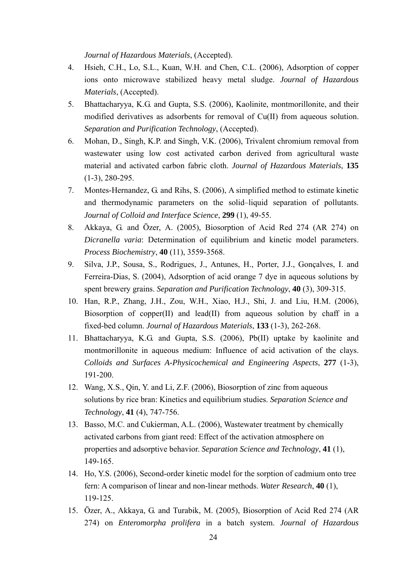*Journal of Hazardous Materials*, (Accepted).

- 4. Hsieh, C.H., Lo, S.L., Kuan, W.H. and Chen, C.L. (2006), Adsorption of copper ions onto microwave stabilized heavy metal sludge. *Journal of Hazardous Materials*, (Accepted).
- 5. Bhattacharyya, K.G. and Gupta, S.S. (2006), Kaolinite, montmorillonite, and their modified derivatives as adsorbents for removal of Cu(II) from aqueous solution. *Separation and Purification Technology*, (Accepted).
- 6. Mohan, D., Singh, K.P. and Singh, V.K. (2006), Trivalent chromium removal from wastewater using low cost activated carbon derived from agricultural waste material and activated carbon fabric cloth. *Journal of Hazardous Materials*, **135** (1-3), 280-295.
- 7. Montes-Hernandez, G. and Rihs, S. (2006), A simplified method to estimate kinetic and thermodynamic parameters on the solid–liquid separation of pollutants. *Journal of Colloid and Interface Science*, **299** (1), 49-55.
- 8. Akkaya, G. and Özer, A. (2005), Biosorption of Acid Red 274 (AR 274) on *Dicranella varia*: Determination of equilibrium and kinetic model parameters. *Process Biochemistry*, **40** (11), 3559-3568.
- 9. Silva, J.P., Sousa, S., Rodrigues, J., Antunes, H., Porter, J.J., Gonçalves, I. and Ferreira-Dias, S. (2004), Adsorption of acid orange 7 dye in aqueous solutions by spent brewery grains. *Separation and Purification Technology*, **40** (3), 309-315.
- 10. Han, R.P., Zhang, J.H., Zou, W.H., Xiao, H.J., Shi, J. and Liu, H.M. (2006), Biosorption of copper(II) and lead(II) from aqueous solution by chaff in a fixed-bed column. *Journal of Hazardous Materials*, **133** (1-3), 262-268.
- 11. Bhattacharyya, K.G. and Gupta, S.S. (2006), Pb(II) uptake by kaolinite and montmorillonite in aqueous medium: Influence of acid activation of the clays. *Colloids and Surfaces A-Physicochemical and Engineering Aspects*, **277** (1-3), 191-200.
- 12. Wang, X.S., Qin, Y. and Li, Z.F. (2006), Biosorption of zinc from aqueous solutions by rice bran: Kinetics and equilibrium studies. *Separation Science and Technology*, **41** (4), 747-756.
- 13. Basso, M.C. and Cukierman, A.L. (2006), Wastewater treatment by chemically activated carbons from giant reed: Effect of the activation atmosphere on properties and adsorptive behavior. *Separation Science and Technology*, **41** (1), 149-165.
- 14. Ho, Y.S. (2006), Second-order kinetic model for the sorption of cadmium onto tree fern: A comparison of linear and non-linear methods. *Water Research*, **40** (1), 119-125.
- 15. Özer, A., Akkaya, G. and Turabik, M. (2005), Biosorption of Acid Red 274 (AR 274) on *Enteromorpha prolifera* in a batch system. *Journal of Hazardous*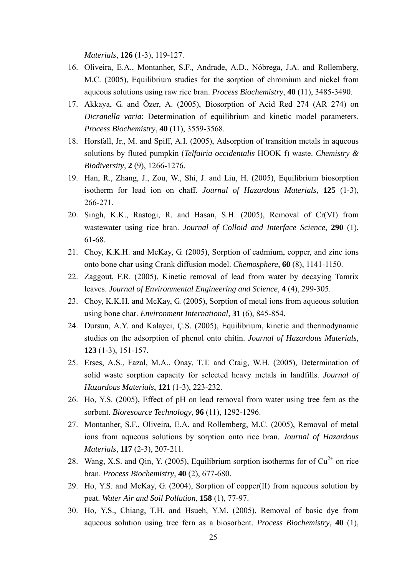*Materials*, **126** (1-3), 119-127.

- 16. Oliveira, E.A., Montanher, S.F., Andrade, A.D., Nóbrega, J.A. and Rollemberg, M.C. (2005), Equilibrium studies for the sorption of chromium and nickel from aqueous solutions using raw rice bran. *Process Biochemistry*, **40** (11), 3485-3490.
- 17. Akkaya, G. and Özer, A. (2005), Biosorption of Acid Red 274 (AR 274) on *Dicranella varia*: Determination of equilibrium and kinetic model parameters. *Process Biochemistry*, **40** (11), 3559-3568.
- 18. Horsfall, Jr., M. and Spiff, A.I. (2005), Adsorption of transition metals in aqueous solutions by fluted pumpkin (*Telfairia occidentalis* HOOK f) waste. *Chemistry & Biodiversity*, **2** (9), 1266-1276.
- 19. Han, R., Zhang, J., Zou, W., Shi, J. and Liu, H. (2005), Equilibrium biosorption isotherm for lead ion on chaff. *Journal of Hazardous Materials*, **125** (1-3), 266-271.
- 20. Singh, K.K., Rastogi, R. and Hasan, S.H. (2005), Removal of Cr(VI) from wastewater using rice bran. *Journal of Colloid and Interface Science*, **290** (1), 61-68.
- 21. Choy, K.K.H. and McKay, G. (2005), Sorption of cadmium, copper, and zinc ions onto bone char using Crank diffusion model. *Chemosphere*, **60** (8), 1141-1150.
- 22. Zaggout, F.R. (2005), Kinetic removal of lead from water by decaying Tamrix leaves. *Journal of Environmental Engineering and Science*, **4** (4), 299-305.
- 23. Choy, K.K.H. and McKay, G. (2005), Sorption of metal ions from aqueous solution using bone char. *Environment International*, **31** (6), 845-854.
- 24. Dursun, A.Y. and Kalayci, Ç.S. (2005), Equilibrium, kinetic and thermodynamic studies on the adsorption of phenol onto chitin. *Journal of Hazardous Materials*, **123** (1-3), 151-157.
- 25. Erses, A.S., Fazal, M.A., Onay, T.T. and Craig, W.H. (2005), Determination of solid waste sorption capacity for selected heavy metals in landfills. *Journal of Hazardous Materials*, **121** (1-3), 223-232.
- 26. Ho, Y.S. (2005), Effect of pH on lead removal from water using tree fern as the sorbent. *Bioresource Technology*, **96** (11), 1292-1296.
- 27. Montanher, S.F., Oliveira, E.A. and Rollemberg, M.C. (2005), Removal of metal ions from aqueous solutions by sorption onto rice bran. *Journal of Hazardous Materials*, **117** (2-3), 207-211.
- 28. Wang, X.S. and Qin, Y. (2005), Equilibrium sorption isotherms for of  $Cu^{2+}$  on rice bran. *Process Biochemistry*, **40** (2), 677-680.
- 29. Ho, Y.S. and McKay, G. (2004), Sorption of copper(II) from aqueous solution by peat. *Water Air and Soil Pollution*, **158** (1), 77-97.
- 30. Ho, Y.S., Chiang, T.H. and Hsueh, Y.M. (2005), Removal of basic dye from aqueous solution using tree fern as a biosorbent. *Process Biochemistry*, **40** (1),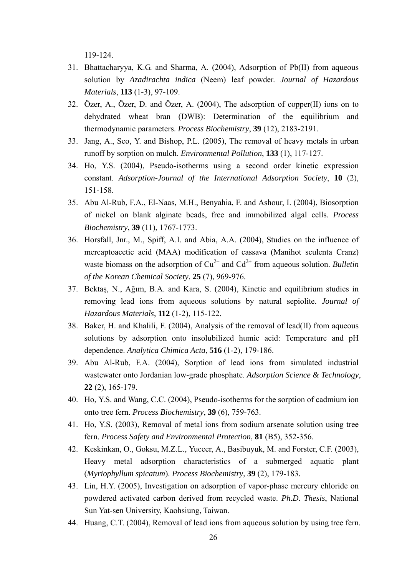119-124.

- 31. Bhattacharyya, K.G. and Sharma, A. (2004), Adsorption of Pb(II) from aqueous solution by *Azadirachta indica* (Neem) leaf powder. *Journal of Hazardous Materials*, **113** (1-3), 97-109.
- 32. Özer, A., Özer, D. and Özer, A. (2004), The adsorption of copper(II) ions on to dehydrated wheat bran (DWB): Determination of the equilibrium and thermodynamic parameters. *Process Biochemistry*, **39** (12), 2183-2191.
- 33. Jang, A., Seo, Y. and Bishop, P.L. (2005), The removal of heavy metals in urban runoff by sorption on mulch. *Environmental Pollution*, **133** (1), 117-127.
- 34. Ho, Y.S. (2004), Pseudo-isotherms using a second order kinetic expression constant. *Adsorption-Journal of the International Adsorption Society*, **10** (2), 151-158.
- 35. Abu Al-Rub, F.A., El-Naas, M.H., Benyahia, F. and Ashour, I. (2004), Biosorption of nickel on blank alginate beads, free and immobilized algal cells. *Process Biochemistry*, **39** (11), 1767-1773.
- 36. Horsfall, Jnr., M., Spiff, A.I. and Abia, A.A. (2004), Studies on the influence of mercaptoacetic acid (MAA) modification of cassava (Manihot sculenta Cranz) waste biomass on the adsorption of  $Cu^{2+}$  and  $Cd^{2+}$  from aqueous solution. *Bulletin of the Korean Chemical Society*, **25** (7), 969-976.
- 37. Bektaş, N., Ağım, B.A. and Kara, S. (2004), Kinetic and equilibrium studies in removing lead ions from aqueous solutions by natural sepiolite. *Journal of Hazardous Materials*, **112** (1-2), 115-122.
- 38. Baker, H. and Khalili, F. (2004), Analysis of the removal of lead(II) from aqueous solutions by adsorption onto insolubilized humic acid: Temperature and pH dependence. *Analytica Chimica Acta*, **516** (1-2), 179-186.
- 39. Abu Al-Rub, F.A. (2004), Sorption of lead ions from simulated industrial wastewater onto Jordanian low-grade phosphate. *Adsorption Science & Technology*, **22** (2), 165-179.
- 40. Ho, Y.S. and Wang, C.C. (2004), Pseudo-isotherms for the sorption of cadmium ion onto tree fern. *Process Biochemistry*, **39** (6), 759-763.
- 41. Ho, Y.S. (2003), Removal of metal ions from sodium arsenate solution using tree fern. *Process Safety and Environmental Protection*, **81** (B5), 352-356.
- 42. Keskinkan, O., Goksu, M.Z.L., Yuceer, A., Basibuyuk, M. and Forster, C.F. (2003), Heavy metal adsorption characteristics of a submerged aquatic plant (*Myriophyllum spicatum*). *Process Biochemistry*, **39** (2), 179-183.
- 43. Lin, H.Y. (2005), Investigation on adsorption of vapor-phase mercury chloride on powdered activated carbon derived from recycled waste. *Ph.D. Thesis*, National Sun Yat-sen University, Kaohsiung, Taiwan.
- 44. Huang, C.T. (2004), Removal of lead ions from aqueous solution by using tree fern.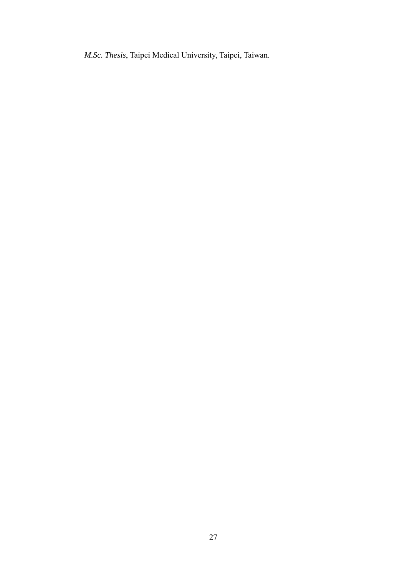*M.Sc. Thesis*, Taipei Medical University, Taipei, Taiwan.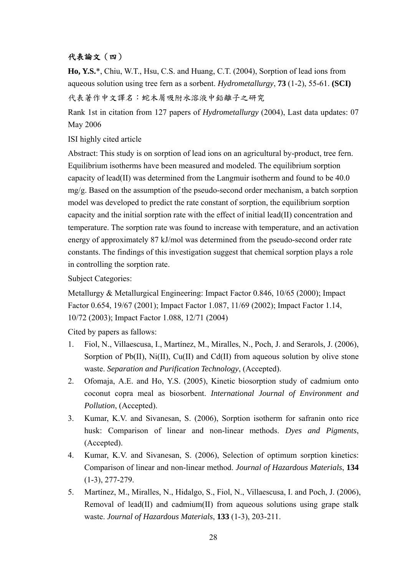## 代表論文(四)

**Ho, Y.S.**\*, Chiu, W.T., Hsu, C.S. and Huang, C.T. (2004), Sorption of lead ions from aqueous solution using tree fern as a sorbent. *Hydrometallurgy*, **73** (1-2), 55-61. **(SCI)** 代表著作中文譯名:蛇木屑吸附水溶液中鉛離子之研究

Rank 1st in citation from 127 papers of *Hydrometallurgy* (2004), Last data updates: 07 May 2006

ISI highly cited article

Abstract: This study is on sorption of lead ions on an agricultural by-product, tree fern. Equilibrium isotherms have been measured and modeled. The equilibrium sorption capacity of lead(II) was determined from the Langmuir isotherm and found to be 40.0 mg/g. Based on the assumption of the pseudo-second order mechanism, a batch sorption model was developed to predict the rate constant of sorption, the equilibrium sorption capacity and the initial sorption rate with the effect of initial lead(II) concentration and temperature. The sorption rate was found to increase with temperature, and an activation energy of approximately 87 kJ/mol was determined from the pseudo-second order rate constants. The findings of this investigation suggest that chemical sorption plays a role in controlling the sorption rate.

Subject Categories:

Metallurgy & Metallurgical Engineering: Impact Factor 0.846, 10/65 (2000); Impact Factor 0.654, 19/67 (2001); Impact Factor 1.087, 11/69 (2002); Impact Factor 1.14, 10/72 (2003); Impact Factor 1.088, 12/71 (2004)

Cited by papers as fallows:

- 1. Fiol, N., Villaescusa, I., Martínez, M., Miralles, N., Poch, J. and Serarols, J. (2006), Sorption of Pb(II), Ni(II), Cu(II) and Cd(II) from aqueous solution by olive stone waste. *Separation and Purification Technology*, (Accepted).
- 2. Ofomaja, A.E. and Ho, Y.S. (2005), Kinetic biosorption study of cadmium onto coconut copra meal as biosorbent. *International Journal of Environment and Pollution*, (Accepted).
- 3. Kumar, K.V. and Sivanesan, S. (2006), Sorption isotherm for safranin onto rice husk: Comparison of linear and non-linear methods. *Dyes and Pigments*, (Accepted).
- 4. Kumar, K.V. and Sivanesan, S. (2006), Selection of optimum sorption kinetics: Comparison of linear and non-linear method. *Journal of Hazardous Materials*, **134** (1-3), 277-279.
- 5. Martínez, M., Miralles, N., Hidalgo, S., Fiol, N., Villaescusa, I. and Poch, J. (2006), Removal of lead(II) and cadmium(II) from aqueous solutions using grape stalk waste. *Journal of Hazardous Materials*, **133** (1-3), 203-211.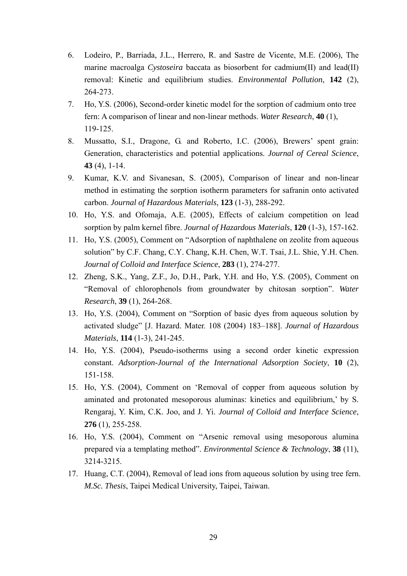- 6. Lodeiro, P., Barriada, J.L., Herrero, R. and Sastre de Vicente, M.E. (2006), The marine macroalga *Cystoseira* baccata as biosorbent for cadmium(II) and lead(II) removal: Kinetic and equilibrium studies. *Environmental Pollution*, **142** (2), 264-273.
- 7. Ho, Y.S. (2006), Second-order kinetic model for the sorption of cadmium onto tree fern: A comparison of linear and non-linear methods. *Water Research*, **40** (1), 119-125.
- 8. Mussatto, S.I., Dragone, G. and Roberto, I.C. (2006), Brewers' spent grain: Generation, characteristics and potential applications. *Journal of Cereal Science*, **43** (4), 1-14.
- 9. Kumar, K.V. and Sivanesan, S. (2005), Comparison of linear and non-linear method in estimating the sorption isotherm parameters for safranin onto activated carbon. *Journal of Hazardous Materials*, **123** (1-3), 288-292.
- 10. Ho, Y.S. and Ofomaja, A.E. (2005), Effects of calcium competition on lead sorption by palm kernel fibre. *Journal of Hazardous Materials*, **120** (1-3), 157-162.
- 11. Ho, Y.S. (2005), Comment on "Adsorption of naphthalene on zeolite from aqueous solution" by C.F. Chang, C.Y. Chang, K.H. Chen, W.T. Tsai, J.L. Shie, Y.H. Chen. *Journal of Colloid and Interface Science*, **283** (1), 274-277.
- 12. Zheng, S.K., Yang, Z.F., Jo, D.H., Park, Y.H. and Ho, Y.S. (2005), Comment on "Removal of chlorophenols from groundwater by chitosan sorption". *Water Research*, **39** (1), 264-268.
- 13. Ho, Y.S. (2004), Comment on "Sorption of basic dyes from aqueous solution by activated sludge" [J. Hazard. Mater. 108 (2004) 183–188]. *Journal of Hazardous Materials*, **114** (1-3), 241-245.
- 14. Ho, Y.S. (2004), Pseudo-isotherms using a second order kinetic expression constant. *Adsorption-Journal of the International Adsorption Society*, **10** (2), 151-158.
- 15. Ho, Y.S. (2004), Comment on 'Removal of copper from aqueous solution by aminated and protonated mesoporous aluminas: kinetics and equilibrium,' by S. Rengaraj, Y. Kim, C.K. Joo, and J. Yi. *Journal of Colloid and Interface Science*, **276** (1), 255-258.
- 16. Ho, Y.S. (2004), Comment on "Arsenic removal using mesoporous alumina prepared via a templating method". *Environmental Science & Technology*, **38** (11), 3214-3215.
- 17. Huang, C.T. (2004), Removal of lead ions from aqueous solution by using tree fern. *M.Sc. Thesis*, Taipei Medical University, Taipei, Taiwan.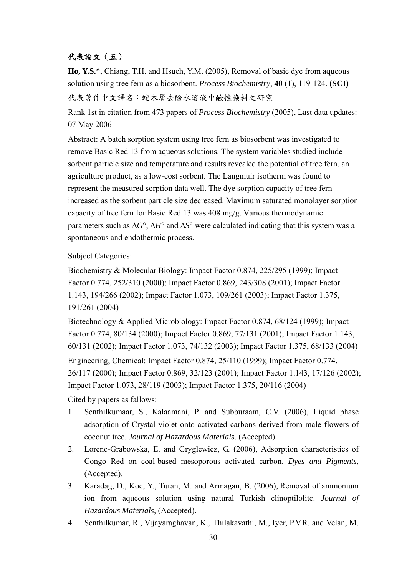## 代表論文(五)

**Ho, Y.S.**\*, Chiang, T.H. and Hsueh, Y.M. (2005), Removal of basic dye from aqueous solution using tree fern as a biosorbent. *Process Biochemistry*, **40** (1), 119-124. **(SCI)** 代表著作中文譯名:蛇木屑去除水溶液中鹼性染料之研究

Rank 1st in citation from 473 papers of *Process Biochemistry* (2005), Last data updates: 07 May 2006

Abstract: A batch sorption system using tree fern as biosorbent was investigated to remove Basic Red 13 from aqueous solutions. The system variables studied include sorbent particle size and temperature and results revealed the potential of tree fern, an agriculture product, as a low-cost sorbent. The Langmuir isotherm was found to represent the measured sorption data well. The dye sorption capacity of tree fern increased as the sorbent particle size decreased. Maximum saturated monolayer sorption capacity of tree fern for Basic Red 13 was 408 mg/g. Various thermodynamic parameters such as ∆*G*°, ∆*H*° and ∆*S*° were calculated indicating that this system was a spontaneous and endothermic process.

### Subject Categories:

Biochemistry & Molecular Biology: Impact Factor 0.874, 225/295 (1999); Impact Factor 0.774, 252/310 (2000); Impact Factor 0.869, 243/308 (2001); Impact Factor 1.143, 194/266 (2002); Impact Factor 1.073, 109/261 (2003); Impact Factor 1.375, 191/261 (2004)

Biotechnology & Applied Microbiology: Impact Factor 0.874, 68/124 (1999); Impact Factor 0.774, 80/134 (2000); Impact Factor 0.869, 77/131 (2001); Impact Factor 1.143, 60/131 (2002); Impact Factor 1.073, 74/132 (2003); Impact Factor 1.375, 68/133 (2004) Engineering, Chemical: Impact Factor 0.874, 25/110 (1999); Impact Factor 0.774, 26/117 (2000); Impact Factor 0.869, 32/123 (2001); Impact Factor 1.143, 17/126 (2002); Impact Factor 1.073, 28/119 (2003); Impact Factor 1.375, 20/116 (2004)

Cited by papers as fallows:

- 1. Senthilkumaar, S., Kalaamani, P. and Subburaam, C.V. (2006), Liquid phase adsorption of Crystal violet onto activated carbons derived from male flowers of coconut tree. *Journal of Hazardous Materials*, (Accepted).
- 2. Lorenc-Grabowska, E. and Gryglewicz, G. (2006), Adsorption characteristics of Congo Red on coal-based mesoporous activated carbon. *Dyes and Pigments*, (Accepted).
- 3. Karadag, D., Koc, Y., Turan, M. and Armagan, B. (2006), Removal of ammonium ion from aqueous solution using natural Turkish clinoptilolite. *Journal of Hazardous Materials*, (Accepted).
- 4. Senthilkumar, R., Vijayaraghavan, K., Thilakavathi, M., Iyer, P.V.R. and Velan, M.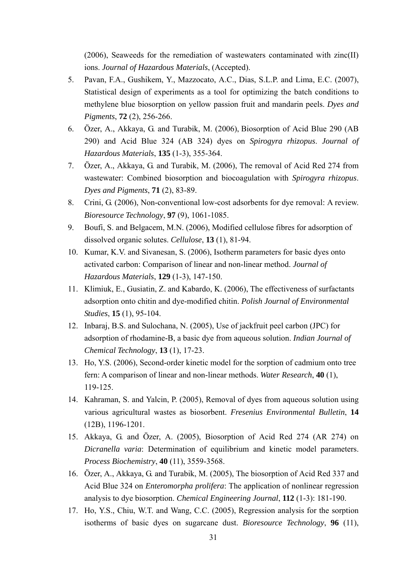(2006), Seaweeds for the remediation of wastewaters contaminated with zinc(II) ions. *Journal of Hazardous Materials*, (Accepted).

- 5. Pavan, F.A., Gushikem, Y., Mazzocato, A.C., Dias, S.L.P. and Lima, E.C. (2007), Statistical design of experiments as a tool for optimizing the batch conditions to methylene blue biosorption on yellow passion fruit and mandarin peels. *Dyes and Pigments*, **72** (2), 256-266.
- 6. Özer, A., Akkaya, G. and Turabik, M. (2006), Biosorption of Acid Blue 290 (AB 290) and Acid Blue 324 (AB 324) dyes on *Spirogyra rhizopus*. *Journal of Hazardous Materials*, **135** (1-3), 355-364.
- 7. Özer, A., Akkaya, G. and Turabik, M. (2006), The removal of Acid Red 274 from wastewater: Combined biosorption and biocoagulation with *Spirogyra rhizopus*. *Dyes and Pigments*, **71** (2), 83-89.
- 8. Crini, G. (2006), Non-conventional low-cost adsorbents for dye removal: A review. *Bioresource Technology*, **97** (9), 1061-1085.
- 9. Boufi, S. and Belgacem, M.N. (2006), Modified cellulose fibres for adsorption of dissolved organic solutes. *Cellulose*, **13** (1), 81-94.
- 10. Kumar, K.V. and Sivanesan, S. (2006), Isotherm parameters for basic dyes onto activated carbon: Comparison of linear and non-linear method. *Journal of Hazardous Materials*, **129** (1-3), 147-150.
- 11. Klimiuk, E., Gusiatin, Z. and Kabardo, K. (2006), The effectiveness of surfactants adsorption onto chitin and dye-modified chitin. *Polish Journal of Environmental Studies*, **15** (1), 95-104.
- 12. Inbaraj, B.S. and Sulochana, N. (2005), Use of jackfruit peel carbon (JPC) for adsorption of rhodamine-B, a basic dye from aqueous solution. *Indian Journal of Chemical Technology*, **13** (1), 17-23.
- 13. Ho, Y.S. (2006), Second-order kinetic model for the sorption of cadmium onto tree fern: A comparison of linear and non-linear methods. *Water Research*, **40** (1), 119-125.
- 14. Kahraman, S. and Yalcin, P. (2005), Removal of dyes from aqueous solution using various agricultural wastes as biosorbent. *Fresenius Environmental Bulletin*, **14** (12B), 1196-1201.
- 15. Akkaya, G. and Özer, A. (2005), Biosorption of Acid Red 274 (AR 274) on *Dicranella varia*: Determination of equilibrium and kinetic model parameters. *Process Biochemistry*, **40** (11), 3559-3568.
- 16. Özer, A., Akkaya, G. and Turabik, M. (2005), The biosorption of Acid Red 337 and Acid Blue 324 on *Enteromorpha prolifera*: The application of nonlinear regression analysis to dye biosorption. *Chemical Engineering Journal*, **112** (1-3): 181-190.
- 17. Ho, Y.S., Chiu, W.T. and Wang, C.C. (2005), Regression analysis for the sorption isotherms of basic dyes on sugarcane dust. *Bioresource Technology*, **96** (11),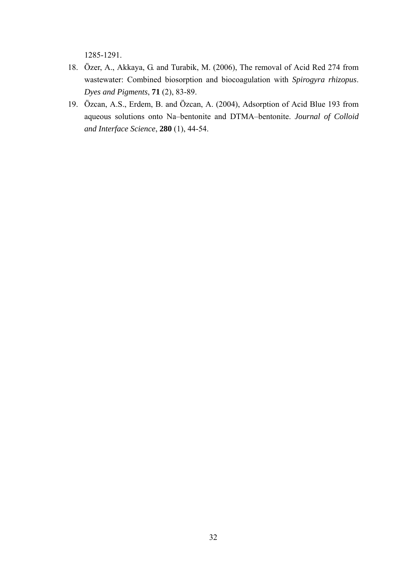1285-1291.

- 18. Özer, A., Akkaya, G. and Turabik, M. (2006), The removal of Acid Red 274 from wastewater: Combined biosorption and biocoagulation with *Spirogyra rhizopus*. *Dyes and Pigments*, **71** (2), 83-89.
- 19. Özcan, A.S., Erdem, B. and Özcan, A. (2004), Adsorption of Acid Blue 193 from aqueous solutions onto Na–bentonite and DTMA–bentonite. *Journal of Colloid and Interface Science*, **280** (1), 44-54.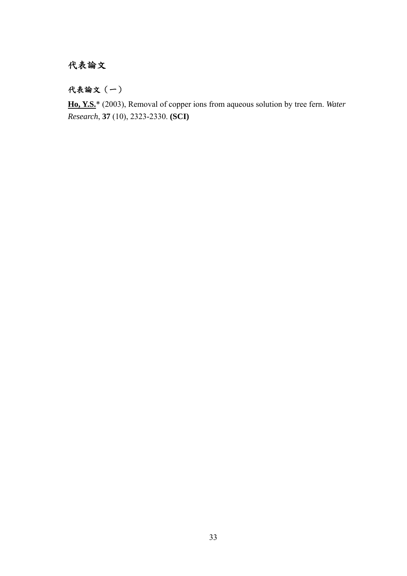## 代表論文

代表論文(一)

**Ho, Y.S.**\* (2003), Removal of copper ions from aqueous solution by tree fern. *Water Research*, **37** (10), 2323-2330. **(SCI)**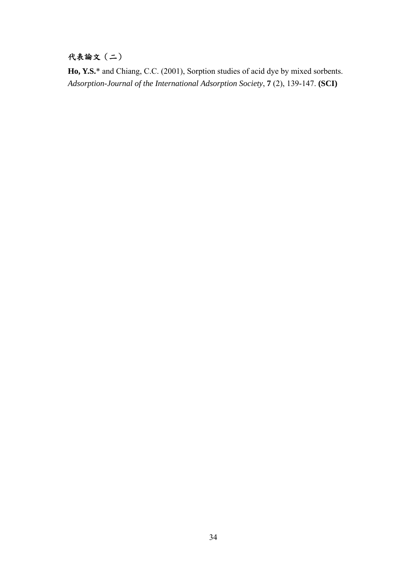## 代表論文(二)

**Ho, Y.S.**\* and Chiang, C.C. (2001), Sorption studies of acid dye by mixed sorbents. *Adsorption-Journal of the International Adsorption Society*, **7** (2), 139-147. **(SCI)**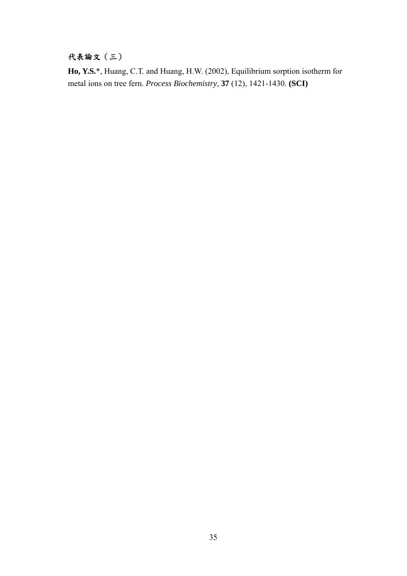## 代表論文(三)

**Ho, Y.S.**\*, Huang, C.T. and Huang, H.W. (2002), Equilibrium sorption isotherm for metal ions on tree fern. *Process Biochemistry*, **37** (12), 1421-1430. **(SCI)**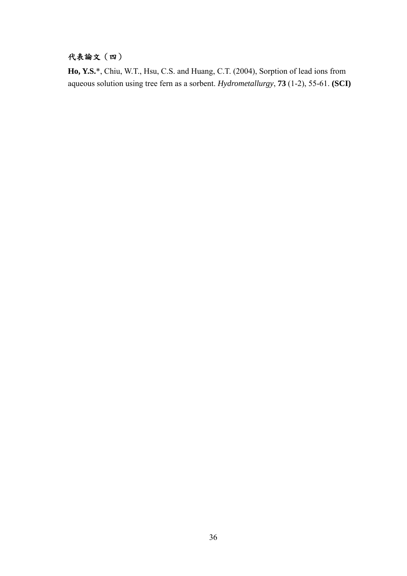## 代表論文(四)

**Ho, Y.S.**\*, Chiu, W.T., Hsu, C.S. and Huang, C.T. (2004), Sorption of lead ions from aqueous solution using tree fern as a sorbent. *Hydrometallurgy*, **73** (1-2), 55-61. **(SCI)**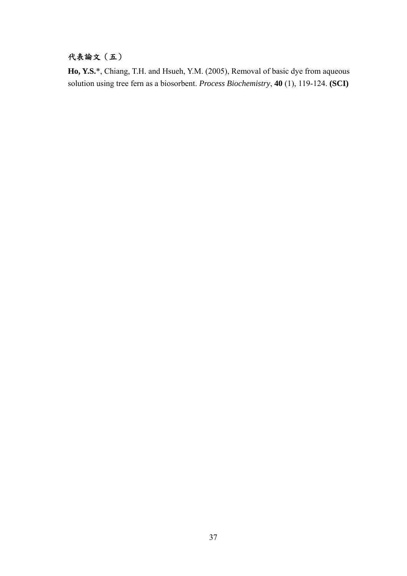## 代表論文(五)

**Ho, Y.S.**\*, Chiang, T.H. and Hsueh, Y.M. (2005), Removal of basic dye from aqueous solution using tree fern as a biosorbent. *Process Biochemistry*, **40** (1), 119-124. **(SCI)**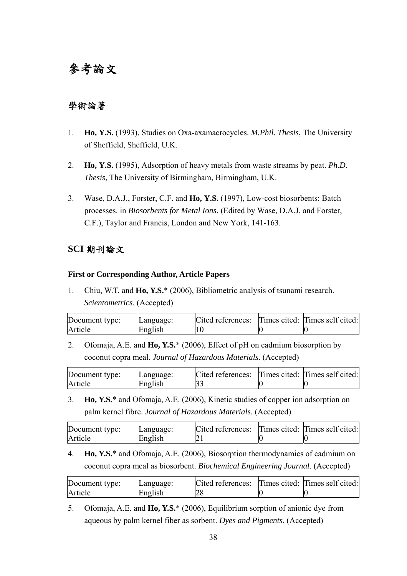## 參考論文

## 學術論著

- 1. **Ho, Y.S.** (1993), Studies on Oxa-axamacrocycles. *M.Phil. Thesis*, The University of Sheffield, Sheffield, U.K.
- 2. **Ho, Y.S.** (1995), Adsorption of heavy metals from waste streams by peat. *Ph.D. Thesis*, The University of Birmingham, Birmingham, U.K.
- 3. Wase, D.A.J., Forster, C.F. and **Ho, Y.S.** (1997), Low-cost biosorbents: Batch processes. in *Biosorbents for Metal Ions*, (Edited by Wase, D.A.J. and Forster, C.F.), Taylor and Francis, London and New York, 141-163.

## **SCI** 期刊論文

#### **First or Corresponding Author, Article Papers**

1. Chiu, W.T. and **Ho, Y.S.**\* (2006), Bibliometric analysis of tsunami research. *Scientometrics*. (Accepted)

| Document type: | Language: | Cited references: Times cited: Times self cited: |  |
|----------------|-----------|--------------------------------------------------|--|
| Article        | English   |                                                  |  |

2. Ofomaja, A.E. and **Ho, Y.S.**\* (2006), Effect of pH on cadmium biosorption by coconut copra meal. *Journal of Hazardous Materials*. (Accepted)

| Document type: | Language: | Cited references: Times cited: Times self cited: |  |
|----------------|-----------|--------------------------------------------------|--|
| Article        | English   |                                                  |  |

3. **Ho, Y.S.**\* and Ofomaja, A.E. (2006), Kinetic studies of copper ion adsorption on palm kernel fibre. *Journal of Hazardous Materials*. (Accepted)

| Document type: | Language: | Cited references: Times cited: Times self cited: |  |
|----------------|-----------|--------------------------------------------------|--|
| Article        | English   |                                                  |  |

4. **Ho, Y.S.**\* and Ofomaja, A.E. (2006), Biosorption thermodynamics of cadmium on coconut copra meal as biosorbent. *Biochemical Engineering Journal*. (Accepted)

| Document type: | Language: | Cited references: Times cited: Times self cited: |  |
|----------------|-----------|--------------------------------------------------|--|
| Article        | English   |                                                  |  |

5. Ofomaja, A.E. and **Ho, Y.S.**\* (2006), Equilibrium sorption of anionic dye from aqueous by palm kernel fiber as sorbent. *Dyes and Pigments*. (Accepted)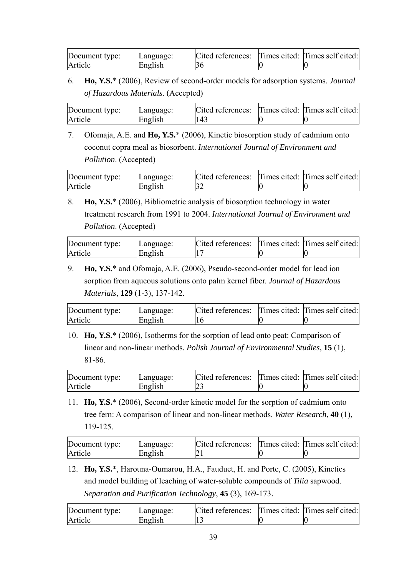| Document type: | Language: | Cited references: Times cited: Times self cited: |  |
|----------------|-----------|--------------------------------------------------|--|
| Article        | English   |                                                  |  |

6. **Ho, Y.S.**\* (2006), Review of second-order models for adsorption systems. *Journal of Hazardous Materials*. (Accepted)

| Document type: | Language: | Cited references: Times cited: Times self cited: |  |
|----------------|-----------|--------------------------------------------------|--|
| Article        | English   | 143                                              |  |

7. Ofomaja, A.E. and **Ho, Y.S.**\* (2006), Kinetic biosorption study of cadmium onto coconut copra meal as biosorbent. *International Journal of Environment and Pollution*. (Accepted)

| Document type: | Language: | Cited references: Times cited: Times self cited: |  |
|----------------|-----------|--------------------------------------------------|--|
| Article        | English   |                                                  |  |

8. **Ho, Y.S.**\* (2006), Bibliometric analysis of biosorption technology in water treatment research from 1991 to 2004. *International Journal of Environment and Pollution*. (Accepted)

| Document type: | Language: | Cited references: Times cited: Times self cited: |  |
|----------------|-----------|--------------------------------------------------|--|
| Article        | English   |                                                  |  |

9. **Ho, Y.S.**\* and Ofomaja, A.E. (2006), Pseudo-second-order model for lead ion sorption from aqueous solutions onto palm kernel fiber. *Journal of Hazardous Materials*, **129** (1-3), 137-142.

| Document type: | Language: | Cited references: Times cited: Times self cited: |  |
|----------------|-----------|--------------------------------------------------|--|
| Article        | English   |                                                  |  |

10. **Ho, Y.S.**\* (2006), Isotherms for the sorption of lead onto peat: Comparison of linear and non-linear methods. *Polish Journal of Environmental Studies*, **15** (1), 81-86.

| Document type: | Language: | Cited references: Times cited: Times self cited: |  |
|----------------|-----------|--------------------------------------------------|--|
| Article        | English   |                                                  |  |

11. **Ho, Y.S.**\* (2006), Second-order kinetic model for the sorption of cadmium onto tree fern: A comparison of linear and non-linear methods. *Water Research*, **40** (1), 119-125.

| Document type: | Language: | Cited references: Times cited: Times self cited: |  |
|----------------|-----------|--------------------------------------------------|--|
| Article        | English   |                                                  |  |

12. **Ho, Y.S.**\*, Harouna-Oumarou, H.A., Fauduet, H. and Porte, C. (2005), Kinetics and model building of leaching of water-soluble compounds of *Tilia* sapwood. *Separation and Purification Technology*, **45** (3), 169-173.

| Document type: | Language: | Cited references: Times cited: Times self cited: |  |
|----------------|-----------|--------------------------------------------------|--|
| Article        | English   |                                                  |  |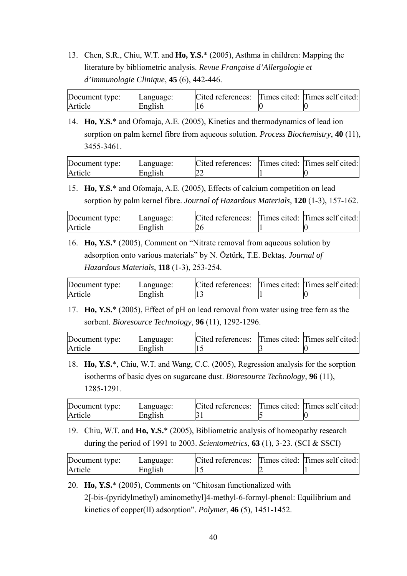13. Chen, S.R., Chiu, W.T. and **Ho, Y.S.**\* (2005), Asthma in children: Mapping the literature by bibliometric analysis. *Revue Française d'Allergologie et d'Immunologie Clinique*, **45** (6), 442-446.

| Document type: | Language: | Cited references: Times cited: Times self cited: |  |
|----------------|-----------|--------------------------------------------------|--|
| Article        | English   |                                                  |  |

14. **Ho, Y.S.**\* and Ofomaja, A.E. (2005), Kinetics and thermodynamics of lead ion sorption on palm kernel fibre from aqueous solution. *Process Biochemistry*, **40** (11), 3455-3461.

| Document type: | Language: | Cited references: Times cited: Times self cited: |  |
|----------------|-----------|--------------------------------------------------|--|
| Article        | English   |                                                  |  |

15. **Ho, Y.S.**\* and Ofomaja, A.E. (2005), Effects of calcium competition on lead sorption by palm kernel fibre. *Journal of Hazardous Materials*, **120** (1-3), 157-162.

| Document type: | Language: | Cited references: Times cited: Times self cited: |  |
|----------------|-----------|--------------------------------------------------|--|
| Article        | English   |                                                  |  |

16. **Ho, Y.S.**\* (2005), Comment on "Nitrate removal from aqueous solution by adsorption onto various materials" by N. Öztürk, T.E. Bektaş. *Journal of Hazardous Materials*, **118** (1-3), 253-254.

| Document type: | Language: | Cited references: Times cited: Times self cited: |  |
|----------------|-----------|--------------------------------------------------|--|
| Article        | English   |                                                  |  |

17. **Ho, Y.S.**\* (2005), Effect of pH on lead removal from water using tree fern as the sorbent. *Bioresource Technology*, **96** (11), 1292-1296.

| Document type: | Language: | Cited references: Times cited: Times self cited: |  |
|----------------|-----------|--------------------------------------------------|--|
| Article        | English   |                                                  |  |

18. **Ho, Y.S.**\*, Chiu, W.T. and Wang, C.C. (2005), Regression analysis for the sorption isotherms of basic dyes on sugarcane dust. *Bioresource Technology*, **96** (11), 1285-1291.

| Document type: | Language: | Cited references: Times cited: Times self cited: |  |
|----------------|-----------|--------------------------------------------------|--|
| Article        | English   |                                                  |  |

19. Chiu, W.T. and **Ho, Y.S.**\* (2005), Bibliometric analysis of homeopathy research during the period of 1991 to 2003. *Scientometrics*, **63** (1), 3-23. (SCI & SSCI)

| Document type: | Language: | Cited references: Times cited: Times self cited: |  |
|----------------|-----------|--------------------------------------------------|--|
| Article        | English   |                                                  |  |

20. **Ho, Y.S.**\* (2005), Comments on "Chitosan functionalized with 2[-bis-(pyridylmethyl) aminomethyl]4-methyl-6-formyl-phenol: Equilibrium and kinetics of copper(II) adsorption". *Polymer*, **46** (5), 1451-1452.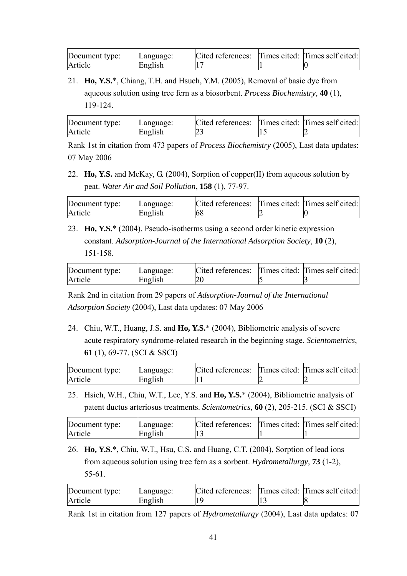| Document type: | Language: | Cited references: Times cited: Times self cited: |  |
|----------------|-----------|--------------------------------------------------|--|
| Article        | English   |                                                  |  |

21. **Ho, Y.S.**\*, Chiang, T.H. and Hsueh, Y.M. (2005), Removal of basic dye from aqueous solution using tree fern as a biosorbent. *Process Biochemistry*, **40** (1), 119-124.

| Document type: | Language: | Cited references: Times cited: Times self cited: |  |
|----------------|-----------|--------------------------------------------------|--|
| Article        | English   |                                                  |  |

Rank 1st in citation from 473 papers of *Process Biochemistry* (2005), Last data updates: 07 May 2006

22. **Ho, Y.S.** and McKay, G. (2004), Sorption of copper(II) from aqueous solution by peat. *Water Air and Soil Pollution*, **158** (1), 77-97.

| Document type: | Language: | Cited references: Times cited: Times self cited: |  |
|----------------|-----------|--------------------------------------------------|--|
| Article        | English   | 68                                               |  |

23. **Ho, Y.S.**\* (2004), Pseudo-isotherms using a second order kinetic expression constant. *Adsorption-Journal of the International Adsorption Society*, **10** (2), 151-158.

| Document type: | Language: | Cited references: Times cited: Times self cited: |  |
|----------------|-----------|--------------------------------------------------|--|
| Article        | English   |                                                  |  |

Rank 2nd in citation from 29 papers of *Adsorption-Journal of the International Adsorption Society* (2004), Last data updates: 07 May 2006

24. Chiu, W.T., Huang, J.S. and **Ho, Y.S.**\* (2004), Bibliometric analysis of severe acute respiratory syndrome-related research in the beginning stage. *Scientometrics*, **61** (1), 69-77. (SCI & SSCI)

| Document type: | Language: | Cited references: Times cited: Times self cited: |  |
|----------------|-----------|--------------------------------------------------|--|
| Article        | English   |                                                  |  |

25. Hsieh, W.H., Chiu, W.T., Lee, Y.S. and **Ho, Y.S.**\* (2004), Bibliometric analysis of patent ductus arteriosus treatments. *Scientometrics*, **60** (2), 205-215. (SCI & SSCI)

| Document type: | Language: | Cited references: Times cited: Times self cited: |  |
|----------------|-----------|--------------------------------------------------|--|
| Article        | English   |                                                  |  |

26. **Ho, Y.S.**\*, Chiu, W.T., Hsu, C.S. and Huang, C.T. (2004), Sorption of lead ions from aqueous solution using tree fern as a sorbent. *Hydrometallurgy*, **73** (1-2), 55-61.

| Document type:<br>Article | Language:<br>English | Cited references: Times cited: Times self cited: |  |
|---------------------------|----------------------|--------------------------------------------------|--|
|                           |                      |                                                  |  |

Rank 1st in citation from 127 papers of *Hydrometallurgy* (2004), Last data updates: 07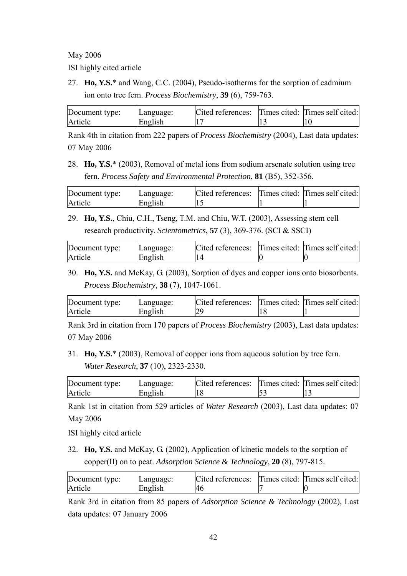May 2006

ISI highly cited article

27. **Ho, Y.S.**\* and Wang, C.C. (2004), Pseudo-isotherms for the sorption of cadmium ion onto tree fern. *Process Biochemistry*, **39** (6), 759-763.

| Document type: | Language: | Cited references: Times cited: Times self cited: |  |
|----------------|-----------|--------------------------------------------------|--|
| Article        | English   |                                                  |  |

Rank 4th in citation from 222 papers of *Process Biochemistry* (2004), Last data updates: 07 May 2006

28. **Ho, Y.S.**\* (2003), Removal of metal ions from sodium arsenate solution using tree fern. *Process Safety and Environmental Protection*, **81** (B5), 352-356.

| Document type: | Language: | Cited references: Times cited: Times self cited: |  |
|----------------|-----------|--------------------------------------------------|--|
| Article        | English   |                                                  |  |

29. **Ho, Y.S.**, Chiu, C.H., Tseng, T.M. and Chiu, W.T. (2003), Assessing stem cell research productivity. *Scientometrics*, **57** (3), 369-376. (SCI & SSCI)

| Document type: | Language: | Cited references: Times cited: Times self cited: |  |
|----------------|-----------|--------------------------------------------------|--|
| Article        | English   |                                                  |  |

30. **Ho, Y.S.** and McKay, G. (2003), Sorption of dyes and copper ions onto biosorbents. *Process Biochemistry*, **38** (7), 1047-1061.

| Document type: | Language: | Cited references: Times cited: Times self cited: |  |
|----------------|-----------|--------------------------------------------------|--|
| Article        | English   |                                                  |  |

Rank 3rd in citation from 170 papers of *Process Biochemistry* (2003), Last data updates: 07 May 2006

31. **Ho, Y.S.**\* (2003), Removal of copper ions from aqueous solution by tree fern. *Water Research*, **37** (10), 2323-2330.

| Document type: | Language: | Cited references: Times cited: Times self cited: |  |
|----------------|-----------|--------------------------------------------------|--|
| Article        | English   |                                                  |  |

Rank 1st in citation from 529 articles of *Water Research* (2003), Last data updates: 07 May 2006

ISI highly cited article

32. **Ho, Y.S.** and McKay, G. (2002), Application of kinetic models to the sorption of copper(II) on to peat. *Adsorption Science & Technology*, **20** (8), 797-815.

| Document type: | Language: | Cited references: Times cited: Times self cited: |  |
|----------------|-----------|--------------------------------------------------|--|
| Article        | English   |                                                  |  |

Rank 3rd in citation from 85 papers of *Adsorption Science & Technology* (2002), Last data updates: 07 January 2006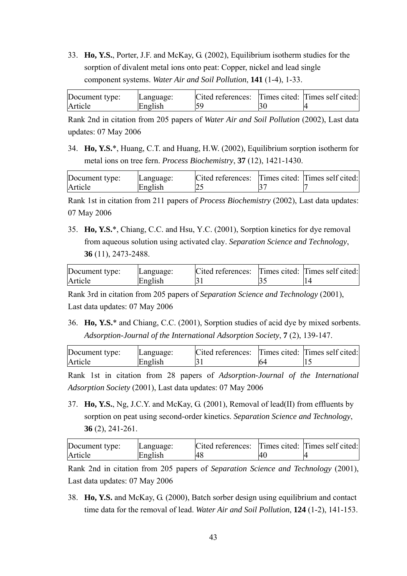33. **Ho, Y.S.**, Porter, J.F. and McKay, G. (2002), Equilibrium isotherm studies for the sorption of divalent metal ions onto peat: Copper, nickel and lead single component systems. *Water Air and Soil Pollution*, **141** (1-4), 1-33.

| Document type: | Language: | Cited references: Times cited: Times self cited: |  |
|----------------|-----------|--------------------------------------------------|--|
| Article        | English   |                                                  |  |

Rank 2nd in citation from 205 papers of *Water Air and Soil Pollution* (2002), Last data updates: 07 May 2006

34. **Ho, Y.S.**\*, Huang, C.T. and Huang, H.W. (2002), Equilibrium sorption isotherm for metal ions on tree fern. *Process Biochemistry*, **37** (12), 1421-1430.

| Document type: | Language: | Cited references: Times cited: Times self cited: |  |
|----------------|-----------|--------------------------------------------------|--|
| Article        | English   |                                                  |  |

Rank 1st in citation from 211 papers of *Process Biochemistry* (2002), Last data updates: 07 May 2006

35. **Ho, Y.S.**\*, Chiang, C.C. and Hsu, Y.C. (2001), Sorption kinetics for dye removal from aqueous solution using activated clay. *Separation Science and Technology*, **36** (11), 2473-2488.

| Document type: | Language: | Cited references: Times cited: Times self cited: |  |
|----------------|-----------|--------------------------------------------------|--|
| Article        | English   |                                                  |  |

Rank 3rd in citation from 205 papers of *Separation Science and Technology* (2001), Last data updates: 07 May 2006

36. **Ho, Y.S.**\* and Chiang, C.C. (2001), Sorption studies of acid dye by mixed sorbents. *Adsorption-Journal of the International Adsorption Society*, **7** (2), 139-147.

| Document type: | Language: | Cited references: Times cited: Times self cited: |     |  |
|----------------|-----------|--------------------------------------------------|-----|--|
| Article        | English   |                                                  | 164 |  |

Rank 1st in citation from 28 papers of *Adsorption-Journal of the International Adsorption Society* (2001), Last data updates: 07 May 2006

37. **Ho, Y.S.**, Ng, J.C.Y. and McKay, G. (2001), Removal of lead(II) from effluents by sorption on peat using second-order kinetics. *Separation Science and Technology*, **36** (2), 241-261.

| Document type: | Language: | Cited references: Times cited: Times self cited: |     |  |
|----------------|-----------|--------------------------------------------------|-----|--|
| Article        | English   |                                                  | l40 |  |

Rank 2nd in citation from 205 papers of *Separation Science and Technology* (2001), Last data updates: 07 May 2006

38. **Ho, Y.S.** and McKay, G. (2000), Batch sorber design using equilibrium and contact time data for the removal of lead. *Water Air and Soil Pollution*, **124** (1-2), 141-153.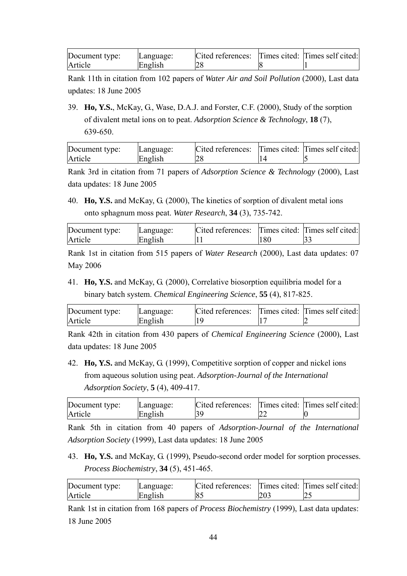| Document type: | Language: | Cited references: Times cited: Times self cited: |  |
|----------------|-----------|--------------------------------------------------|--|
| Article        | English   |                                                  |  |

Rank 11th in citation from 102 papers of *Water Air and Soil Pollution* (2000), Last data updates: 18 June 2005

39. **Ho, Y.S.**, McKay, G., Wase, D.A.J. and Forster, C.F. (2000), Study of the sorption of divalent metal ions on to peat. *Adsorption Science & Technology*, **18** (7), 639-650.

| Document type: | Language: | Cited references: Times cited: Times self cited: |  |
|----------------|-----------|--------------------------------------------------|--|
| Article        | English   |                                                  |  |

Rank 3rd in citation from 71 papers of *Adsorption Science & Technology* (2000), Last data updates: 18 June 2005

40. **Ho, Y.S.** and McKay, G. (2000), The kinetics of sorption of divalent metal ions onto sphagnum moss peat. *Water Research*, **34** (3), 735-742.

| Document type: | Language: | Cited references: Times cited: Times self cited: |     |  |
|----------------|-----------|--------------------------------------------------|-----|--|
| Article        | English   |                                                  | 180 |  |

Rank 1st in citation from 515 papers of *Water Research* (2000), Last data updates: 07 May 2006

41. **Ho, Y.S.** and McKay, G. (2000), Correlative biosorption equilibria model for a binary batch system. *Chemical Engineering Science*, **55** (4), 817-825.

| Document type: | Language: | Cited references: Times cited: Times self cited: |  |
|----------------|-----------|--------------------------------------------------|--|
| Article        | English   |                                                  |  |

Rank 42th in citation from 430 papers of *Chemical Engineering Science* (2000), Last data updates: 18 June 2005

42. **Ho, Y.S.** and McKay, G. (1999), Competitive sorption of copper and nickel ions from aqueous solution using peat. *Adsorption-Journal of the International Adsorption Society*, **5** (4), 409-417.

| Document type: | Language: | Cited references: Times cited: Times self cited: |  |
|----------------|-----------|--------------------------------------------------|--|
| Article        | English   |                                                  |  |

Rank 5th in citation from 40 papers of *Adsorption-Journal of the International Adsorption Society* (1999), Last data updates: 18 June 2005

43. **Ho, Y.S.** and McKay, G. (1999), Pseudo-second order model for sorption processes. *Process Biochemistry*, **34** (5), 451-465.

| Document type: | Language: | Cited references: Times cited: Times self cited: |     |     |
|----------------|-----------|--------------------------------------------------|-----|-----|
| Article        | English   |                                                  | 203 | ب ک |

Rank 1st in citation from 168 papers of *Process Biochemistry* (1999), Last data updates: 18 June 2005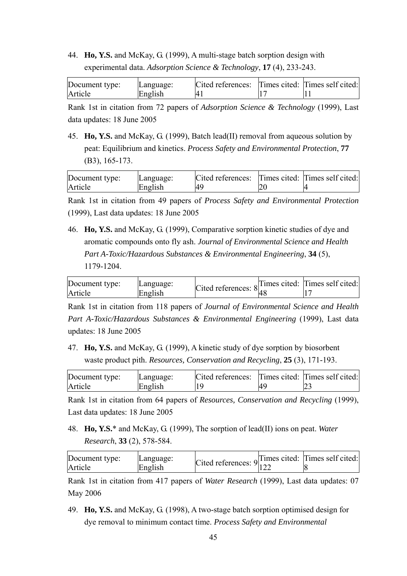44. **Ho, Y.S.** and McKay, G. (1999), A multi-stage batch sorption design with experimental data. *Adsorption Science & Technology*, **17** (4), 233-243.

| Document type: | Language: | Cited references: Times cited: Times self cited: |  |
|----------------|-----------|--------------------------------------------------|--|
| Article        | English   |                                                  |  |

Rank 1st in citation from 72 papers of *Adsorption Science & Technology* (1999), Last data updates: 18 June 2005

45. **Ho, Y.S.** and McKay, G. (1999), Batch lead(II) removal from aqueous solution by peat: Equilibrium and kinetics. *Process Safety and Environmental Protection*, **77** (B3), 165-173.

| Document type: | Language: | Cited references: Times cited: Times self cited: |  |
|----------------|-----------|--------------------------------------------------|--|
| Article        | English   | $\Delta$ <sup>O</sup>                            |  |

Rank 1st in citation from 49 papers of *Process Safety and Environmental Protection* (1999), Last data updates: 18 June 2005

46. **Ho, Y.S.** and McKay, G. (1999), Comparative sorption kinetic studies of dye and aromatic compounds onto fly ash. *Journal of Environmental Science and Health Part A-Toxic/Hazardous Substances & Environmental Engineering*, **34** (5), 1179-1204.

| Document type: | Language: |                                   | Times cited: Times self cited: |
|----------------|-----------|-----------------------------------|--------------------------------|
| Article        | English   | Cited references: $8\frac{1}{40}$ |                                |

Rank 1st in citation from 118 papers of *Journal of Environmental Science and Health Part A-Toxic/Hazardous Substances & Environmental Engineering* (1999), Last data updates: 18 June 2005

47. **Ho, Y.S.** and McKay, G. (1999), A kinetic study of dye sorption by biosorbent waste product pith. *Resources, Conservation and Recycling*, **25** (3), 171-193.

| Document type: | Language: | Cited references: Times cited: Times self cited: |  |
|----------------|-----------|--------------------------------------------------|--|
| Article        | English   |                                                  |  |

Rank 1st in citation from 64 papers of *Resources, Conservation and Recycling* (1999), Last data updates: 18 June 2005

48. **Ho, Y.S.**\* and McKay, G. (1999), The sorption of lead(II) ions on peat. *Water Research*, **33** (2), 578-584.

| Document type: | Language: |                                     | $\alpha$ Times cited: Times self cited: |
|----------------|-----------|-------------------------------------|-----------------------------------------|
| Article        | English   | Cited references: $9 _{122}^{1111}$ |                                         |

Rank 1st in citation from 417 papers of *Water Research* (1999), Last data updates: 07 May 2006

49. **Ho, Y.S.** and McKay, G. (1998), A two-stage batch sorption optimised design for dye removal to minimum contact time. *Process Safety and Environmental*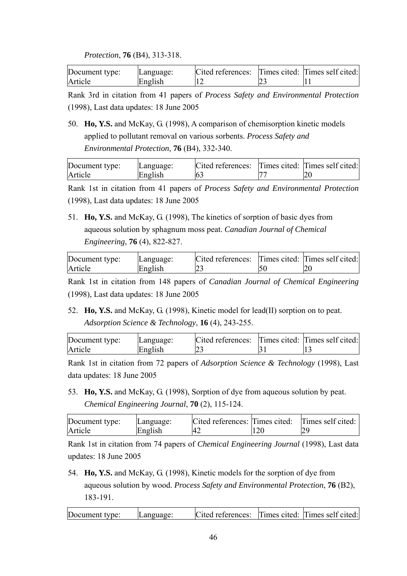#### *Protection*, **76** (B4), 313-318.

| Document type: | Language: | Cited references: Times cited: Times self cited: |  |
|----------------|-----------|--------------------------------------------------|--|
| Article        | English   |                                                  |  |

Rank 3rd in citation from 41 papers of *Process Safety and Environmental Protection* (1998), Last data updates: 18 June 2005

50. **Ho, Y.S.** and McKay, G. (1998), A comparison of chemisorption kinetic models applied to pollutant removal on various sorbents. *Process Safety and Environmental Protection*, **76** (B4), 332-340.

| Document type: | Language: | Cited references: Times cited: Times self cited: |  |
|----------------|-----------|--------------------------------------------------|--|
| Article        | English   |                                                  |  |

Rank 1st in citation from 41 papers of *Process Safety and Environmental Protection* (1998), Last data updates: 18 June 2005

51. **Ho, Y.S.** and McKay, G. (1998), The kinetics of sorption of basic dyes from aqueous solution by sphagnum moss peat. *Canadian Journal of Chemical Engineering*, **76** (4), 822-827.

| Document type: | Language: | Cited references: Times cited: Times self cited: |  |
|----------------|-----------|--------------------------------------------------|--|
| Article        | English   |                                                  |  |

Rank 1st in citation from 148 papers of *Canadian Journal of Chemical Engineering* (1998), Last data updates: 18 June 2005

52. **Ho, Y.S.** and McKay, G. (1998), Kinetic model for lead(II) sorption on to peat. *Adsorption Science & Technology*, **16** (4), 243-255.

| Document type: | Language: | Cited references: Times cited: Times self cited: |  |
|----------------|-----------|--------------------------------------------------|--|
| Article        | English   |                                                  |  |

Rank 1st in citation from 72 papers of *Adsorption Science & Technology* (1998), Last data updates: 18 June 2005

53. **Ho, Y.S.** and McKay, G. (1998), Sorption of dye from aqueous solution by peat. *Chemical Engineering Journal*, **70** (2), 115-124.

| Document type: | Language: | Cited references: Times cited: Times self cited: |  |
|----------------|-----------|--------------------------------------------------|--|
| Article        | English   | I42                                              |  |

Rank 1st in citation from 74 papers of *Chemical Engineering Journal* (1998), Last data updates: 18 June 2005

54. **Ho, Y.S.** and McKay, G. (1998), Kinetic models for the sorption of dye from aqueous solution by wood. *Process Safety and Environmental Protection*, **76** (B2), 183-191.

| Document type: | Language: | Cited references: Times cited: Times self cited: |  |
|----------------|-----------|--------------------------------------------------|--|
|                |           |                                                  |  |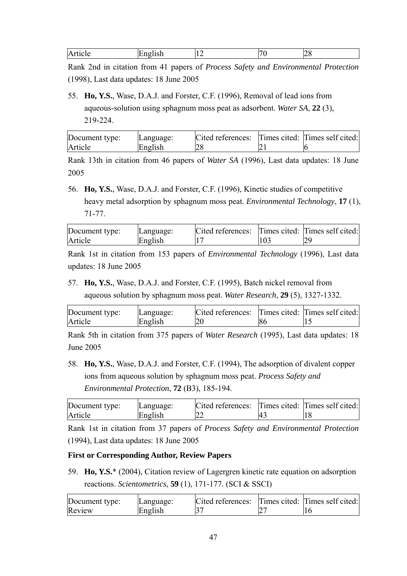| Article<br>:nglish<br>۱۵۱۵،<br>-- | - |  |
|-----------------------------------|---|--|
|-----------------------------------|---|--|

Rank 2nd in citation from 41 papers of *Process Safety and Environmental Protection* (1998), Last data updates: 18 June 2005

55. **Ho, Y.S.**, Wase, D.A.J. and Forster, C.F. (1996), Removal of lead ions from aqueous-solution using sphagnum moss peat as adsorbent. *Water SA*, **22** (3), 219-224.

| Document type: | Language: | Cited references: Times cited: Times self cited: |  |
|----------------|-----------|--------------------------------------------------|--|
| Article        | English   |                                                  |  |

Rank 13th in citation from 46 papers of *Water SA* (1996), Last data updates: 18 June 2005

56. **Ho, Y.S.**, Wase, D.A.J. and Forster, C.F. (1996), Kinetic studies of competitive heavy metal adsorption by sphagnum moss peat. *Environmental Technology*, **17** (1), 71-77.

| Document type: | Language: | Cited references: Times cited: Times self cited: |  |
|----------------|-----------|--------------------------------------------------|--|
| Article        | English   |                                                  |  |

Rank 1st in citation from 153 papers of *Environmental Technology* (1996), Last data updates: 18 June 2005

57. **Ho, Y.S.**, Wase, D.A.J. and Forster, C.F. (1995), Batch nickel removal from aqueous solution by sphagnum moss peat. *Water Research*, **29** (5), 1327-1332.

| Document type: | Language: | Cited references: Times cited: Times self cited: |  |
|----------------|-----------|--------------------------------------------------|--|
| Article        | English   |                                                  |  |

Rank 5th in citation from 375 papers of *Water Research* (1995), Last data updates: 18 June 2005

58. **Ho, Y.S.**, Wase, D.A.J. and Forster, C.F. (1994), The adsorption of divalent copper ions from aqueous solution by sphagnum moss peat. *Process Safety and Environmental Protection*, **72** (B3), 185-194.

| Document type: | Language: | Cited references: Times cited: Times self cited: |  |
|----------------|-----------|--------------------------------------------------|--|
| Article        | English   | ∸∸                                               |  |

Rank 1st in citation from 37 papers of *Process Safety and Environmental Protection* (1994), Last data updates: 18 June 2005

#### **First or Corresponding Author, Review Papers**

59. **Ho, Y.S.**\* (2004), Citation review of Lagergren kinetic rate equation on adsorption reactions. *Scientometrics*, **59** (1), 171-177. (SCI & SSCI)

| Document type: | Language: | Cited references: Times cited: Times self cited: |  |
|----------------|-----------|--------------------------------------------------|--|
| Review         | English   |                                                  |  |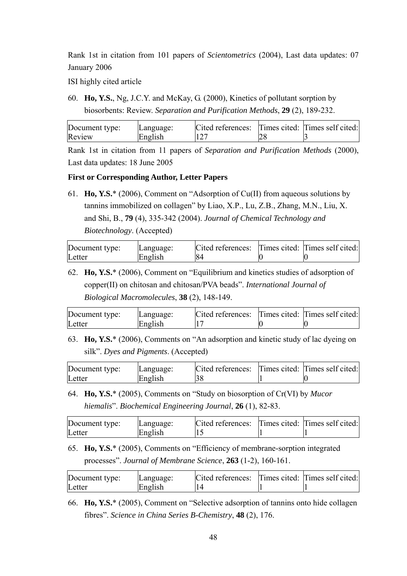Rank 1st in citation from 101 papers of *Scientometrics* (2004), Last data updates: 07 January 2006

ISI highly cited article

60. **Ho, Y.S.**, Ng, J.C.Y. and McKay, G. (2000), Kinetics of pollutant sorption by biosorbents: Review. *Separation and Purification Methods*, **29** (2), 189-232.

| Document type: | Language: | Cited references: Times cited: Times self cited: |  |
|----------------|-----------|--------------------------------------------------|--|
| Review         | English   |                                                  |  |

Rank 1st in citation from 11 papers of *Separation and Purification Methods* (2000), Last data updates: 18 June 2005

#### **First or Corresponding Author, Letter Papers**

61. **Ho, Y.S.**\* (2006), Comment on "Adsorption of Cu(II) from aqueous solutions by tannins immobilized on collagen" by Liao, X.P., Lu, Z.B., Zhang, M.N., Liu, X. and Shi, B., **79** (4), 335-342 (2004). *Journal of Chemical Technology and Biotechnology*. (Accepted)

| Document type: | Language: | Cited references: Times cited: Times self cited: |  |
|----------------|-----------|--------------------------------------------------|--|
| Letter         | English   |                                                  |  |

62. **Ho, Y.S.**\* (2006), Comment on "Equilibrium and kinetics studies of adsorption of copper(II) on chitosan and chitosan/PVA beads". *International Journal of Biological Macromolecules*, **38** (2), 148-149.

| Document type: | Language: | Cited references: Times cited: Times self cited: |  |
|----------------|-----------|--------------------------------------------------|--|
| Letter         | English   |                                                  |  |

63. **Ho, Y.S.**\* (2006), Comments on "An adsorption and kinetic study of lac dyeing on silk". *Dyes and Pigments*. (Accepted)

| Document type: | Language: | Cited references: Times cited: Times self cited: |  |
|----------------|-----------|--------------------------------------------------|--|
| Letter         | English   |                                                  |  |

64. **Ho, Y.S.**\* (2005), Comments on "Study on biosorption of Cr(VI) by *Mucor hiemalis*". *Biochemical Engineering Journal*, **26** (1), 82-83.

| Document type: | Language: | Cited references: Times cited: Times self cited: |  |
|----------------|-----------|--------------------------------------------------|--|
| Letter         | English   |                                                  |  |

65. **Ho, Y.S.**\* (2005), Comments on "Efficiency of membrane-sorption integrated processes". *Journal of Membrane Science*, **263** (1-2), 160-161.

| Letter<br>English | Document type: | Language: | Cited references: Times cited: Times self cited: |  |
|-------------------|----------------|-----------|--------------------------------------------------|--|
|                   |                |           |                                                  |  |

66. **Ho, Y.S.**\* (2005), Comment on "Selective adsorption of tannins onto hide collagen fibres". *Science in China Series B-Chemistry*, **48** (2), 176.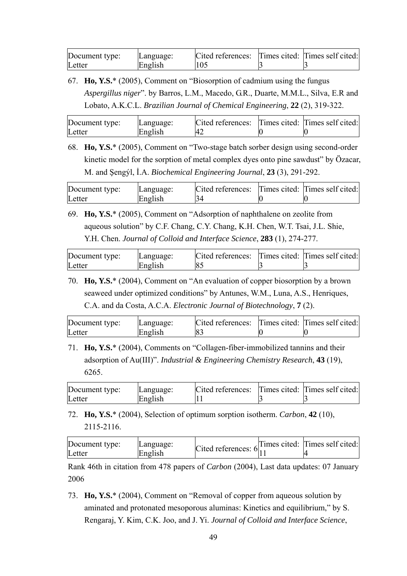| Document type: | Language: | Cited references: Times cited: Times self cited: |  |
|----------------|-----------|--------------------------------------------------|--|
| Letter         | English   | 105                                              |  |

67. **Ho, Y.S.**\* (2005), Comment on "Biosorption of cadmium using the fungus *Aspergillus niger*". by Barros, L.M., Macedo, G.R., Duarte, M.M.L., Silva, E.R and Lobato, A.K.C.L. *Brazilian Journal of Chemical Engineering*, **22** (2), 319-322.

| Document type: | Language: | Cited references: Times cited: Times self cited: |  |
|----------------|-----------|--------------------------------------------------|--|
| Letter         | English   |                                                  |  |

68. **Ho, Y.S.**\* (2005), Comment on "Two-stage batch sorber design using second-order kinetic model for the sorption of metal complex dyes onto pine sawdust" by Özacar, M. and Şengýl, İ.A. *Biochemical Engineering Journal*, **23** (3), 291-292.

| Document type: | Language: | Cited references: Times cited: Times self cited: |  |
|----------------|-----------|--------------------------------------------------|--|
| Letter         | English   | 34                                               |  |

69. **Ho, Y.S.**\* (2005), Comment on "Adsorption of naphthalene on zeolite from aqueous solution" by C.F. Chang, C.Y. Chang, K.H. Chen, W.T. Tsai, J.L. Shie, Y.H. Chen. *Journal of Colloid and Interface Science*, **283** (1), 274-277.

| Document type: | Language: | Cited references: Times cited: Times self cited: |  |
|----------------|-----------|--------------------------------------------------|--|
| Letter         | English   |                                                  |  |

70. **Ho, Y.S.**\* (2004), Comment on "An evaluation of copper biosorption by a brown seaweed under optimized conditions" by Antunes, W.M., Luna, A.S., Henriques, C.A. and da Costa, A.C.A. *Electronic Journal of Biotechnology*, **7** (2).

| Document type: | Language: | Cited references: Times cited: Times self cited: |  |
|----------------|-----------|--------------------------------------------------|--|
| Letter         | English   | 83                                               |  |

71. **Ho, Y.S.**\* (2004), Comments on "Collagen-fiber-immobilized tannins and their adsorption of Au(III)". *Industrial & Engineering Chemistry Research*, **43** (19), 6265.

| Document type: | Language: | Cited references: Times cited: Times self cited: |  |
|----------------|-----------|--------------------------------------------------|--|
| Letter         | English   |                                                  |  |

72. **Ho, Y.S.**\* (2004), Selection of optimum sorption isotherm. *Carbon*, **42** (10), 2115-2116.

| Document type: | Language: |                                                         | Times cited: Times self cited: |
|----------------|-----------|---------------------------------------------------------|--------------------------------|
| Letter         | English   | Cited references: $6\begin{matrix} 1 \\ 1 \end{matrix}$ |                                |

Rank 46th in citation from 478 papers of *Carbon* (2004), Last data updates: 07 January 2006

73. **Ho, Y.S.**\* (2004), Comment on "Removal of copper from aqueous solution by aminated and protonated mesoporous aluminas: Kinetics and equilibrium," by S. Rengaraj, Y. Kim, C.K. Joo, and J. Yi. *Journal of Colloid and Interface Science*,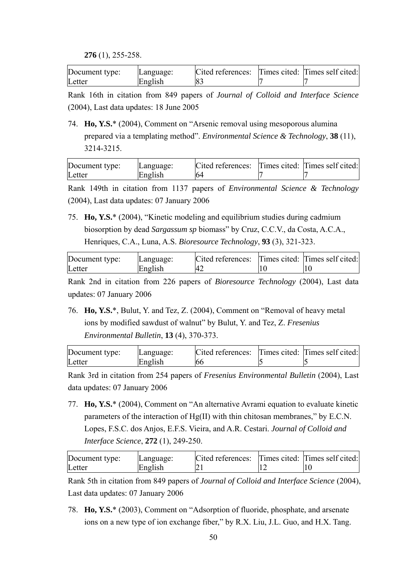**276** (1), 255-258.

| Document type: | Language: | Cited references: Times cited: Times self cited: |  |
|----------------|-----------|--------------------------------------------------|--|
| Letter         | English   |                                                  |  |

Rank 16th in citation from 849 papers of *Journal of Colloid and Interface Science* (2004), Last data updates: 18 June 2005

74. **Ho, Y.S.**\* (2004), Comment on "Arsenic removal using mesoporous alumina prepared via a templating method". *Environmental Science & Technology*, **38** (11), 3214-3215.

| Document type: | Language: | Cited references: Times cited: Times self cited: |  |
|----------------|-----------|--------------------------------------------------|--|
| Letter         | English   | 64                                               |  |

Rank 149th in citation from 1137 papers of *Environmental Science & Technology* (2004), Last data updates: 07 January 2006

75. **Ho, Y.S.**\* (2004), "Kinetic modeling and equilibrium studies during cadmium biosorption by dead *Sargassum sp* biomass" by Cruz, C.C.V., da Costa, A.C.A., Henriques, C.A., Luna, A.S. *Bioresource Technology*, **93** (3), 321-323.

| Document type: | Language: | Cited references: Times cited: Times self cited: |  |
|----------------|-----------|--------------------------------------------------|--|
| Letter         | English   |                                                  |  |

Rank 2nd in citation from 226 papers of *Bioresource Technology* (2004), Last data updates: 07 January 2006

76. **Ho, Y.S.**\*, Bulut, Y. and Tez, Z. (2004), Comment on "Removal of heavy metal ions by modified sawdust of walnut" by Bulut, Y. and Tez, Z. *Fresenius Environmental Bulletin*, **13** (4), 370-373.

| Document type: | Language: | Cited references: Times cited: Times self cited: |  |
|----------------|-----------|--------------------------------------------------|--|
| Letter         | English   | l66                                              |  |

Rank 3rd in citation from 254 papers of *Fresenius Environmental Bulletin* (2004), Last data updates: 07 January 2006

77. **Ho, Y.S.**\* (2004), Comment on "An alternative Avrami equation to evaluate kinetic parameters of the interaction of  $Hg(II)$  with thin chitosan membranes," by E.C.N. Lopes, F.S.C. dos Anjos, E.F.S. Vieira, and A.R. Cestari. *Journal of Colloid and Interface Science*, **272** (1), 249-250.

| Document type: | Language: | Cited references: Times cited: Times self cited: |  |
|----------------|-----------|--------------------------------------------------|--|
| Letter         | English   |                                                  |  |

Rank 5th in citation from 849 papers of *Journal of Colloid and Interface Science* (2004), Last data updates: 07 January 2006

78. **Ho, Y.S.**\* (2003), Comment on "Adsorption of fluoride, phosphate, and arsenate ions on a new type of ion exchange fiber," by R.X. Liu, J.L. Guo, and H.X. Tang.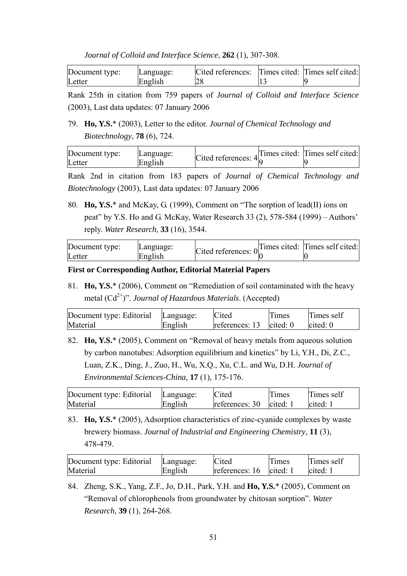| Journal of Colloid and Interface Science, 262 (1), 307-308. |  |  |  |  |  |  |
|-------------------------------------------------------------|--|--|--|--|--|--|
|-------------------------------------------------------------|--|--|--|--|--|--|

| Document type: | Language: | Cited references: Times cited: Times self cited: |  |
|----------------|-----------|--------------------------------------------------|--|
| Letter         | English   |                                                  |  |

Rank 25th in citation from 759 papers of *Journal of Colloid and Interface Science* (2003), Last data updates: 07 January 2006

## 79. **Ho, Y.S.**\* (2003), Letter to the editor. *Journal of Chemical Technology and Biotechnology*, **78** (6), 724.

| Document type: | Language: | Cited references: $4\frac{1}{2}$ | Times cited: Times self cited: |
|----------------|-----------|----------------------------------|--------------------------------|
| Letter         | English   |                                  |                                |

Rank 2nd in citation from 183 papers of *Journal of Chemical Technology and Biotechnology* (2003), Last data updates: 07 January 2006

80. **Ho, Y.S.**\* and McKay, G. (1999), Comment on "The sorption of lead(II) ions on peat" by Y.S. Ho and G. McKay, Water Research 33 (2), 578-584 (1999) – Authors' reply. *Water Research*, **33** (16), 3544.

| Document type: | Language: | Cited references: $0_0^{\text{L}}$ | Times cited: Times self cited: |
|----------------|-----------|------------------------------------|--------------------------------|
| Letter         | English   |                                    |                                |

#### **First or Corresponding Author, Editorial Material Papers**

81. **Ho, Y.S.**\* (2006), Comment on "Remediation of soil contaminated with the heavy metal  $(Cd^{2+})$ ". *Journal of Hazardous Materials*. (Accepted)

| Document type: Editorial | Language: | Cited                     | <b>Times</b> | Times self |
|--------------------------|-----------|---------------------------|--------------|------------|
| Material                 | English   | references: $13$ cited: 0 |              | cited: 0   |

82. **Ho, Y.S.**\* (2005), Comment on "Removal of heavy metals from aqueous solution by carbon nanotubes: Adsorption equilibrium and kinetics" by Li, Y.H., Di, Z.C., Luan, Z.K., Ding, J., Zuo, H., Wu, X.Q., Xu, C.L. and Wu, D.H. *Journal of Environmental Sciences-China*, **17** (1), 175-176.

| Document type: Editorial | Language: | Cited                     | Times | Times self |
|--------------------------|-----------|---------------------------|-------|------------|
| Material                 | English   | references: $30$ cited: 1 |       | cited:     |

83. **Ho, Y.S.**\* (2005), Adsorption characteristics of zinc-cyanide complexes by waste brewery biomass. *Journal of Industrial and Engineering Chemistry*, **11** (3), 478-479.

| Document type: Editorial | Language: | Cited                     | Times | Times self |
|--------------------------|-----------|---------------------------|-------|------------|
| Material                 | English   | references: $16$ cited: 1 |       | cited:     |

84. Zheng, S.K., Yang, Z.F., Jo, D.H., Park, Y.H. and **Ho, Y.S.**\* (2005), Comment on "Removal of chlorophenols from groundwater by chitosan sorption". *Water Research*, **39** (1), 264-268.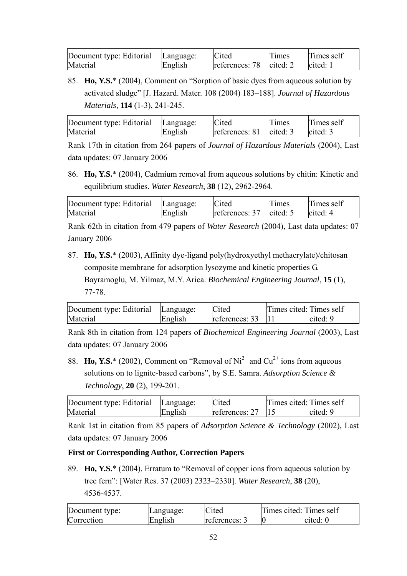| Document type: Editorial | Language: | Cited                     | Times | Times self |
|--------------------------|-----------|---------------------------|-------|------------|
| Material                 | English   | references: $78$ cited: 2 |       | cited:     |

85. **Ho, Y.S.**\* (2004), Comment on "Sorption of basic dyes from aqueous solution by activated sludge" [J. Hazard. Mater. 108 (2004) 183–188]. *Journal of Hazardous Materials*, **114** (1-3), 241-245.

| Document type: Editorial | Language: | Cited                     | <b>Times</b> | Times self |
|--------------------------|-----------|---------------------------|--------------|------------|
| Material                 | English   | references: $81$ cited: 3 |              | cited: $3$ |

Rank 17th in citation from 264 papers of *Journal of Hazardous Materials* (2004), Last data updates: 07 January 2006

86. **Ho, Y.S.**\* (2004), Cadmium removal from aqueous solutions by chitin: Kinetic and equilibrium studies. *Water Research*, **38** (12), 2962-2964.

| Document type: Editorial | Language: | Cited                       | Times | Times self |
|--------------------------|-----------|-----------------------------|-------|------------|
| Material                 | English   | references: $37$ cited: $5$ |       | cited: 4   |

Rank 62th in citation from 479 papers of *Water Research* (2004), Last data updates: 07 January 2006

87. **Ho, Y.S.**\* (2003), Affinity dye-ligand poly(hydroxyethyl methacrylate)/chitosan composite membrane for adsorption lysozyme and kinetic properties G. Bayramoglu, M. Yilmaz, M.Y. Arica. *Biochemical Engineering Journal*, **15** (1), 77-78.

| Document type: Editorial Language: |         | Cited                      | Times cited: Times self |          |
|------------------------------------|---------|----------------------------|-------------------------|----------|
| Material                           | English | references: $33 \quad  11$ |                         | cited: 9 |

Rank 8th in citation from 124 papers of *Biochemical Engineering Journal* (2003), Last data updates: 07 January 2006

88. **Ho, Y.S.**\* (2002), Comment on "Removal of  $Ni^{2+}$  and  $Cu^{2+}$  ions from aqueous solutions on to lignite-based carbons", by S.E. Samra. *Adsorption Science & Technology*, **20** (2), 199-201.

| Document type: Editorial Language: |         | Cited          | Times cited: Times self |          |
|------------------------------------|---------|----------------|-------------------------|----------|
| Material                           | English | references: 27 |                         | cited: 9 |

Rank 1st in citation from 85 papers of *Adsorption Science & Technology* (2002), Last data updates: 07 January 2006

## **First or Corresponding Author, Correction Papers**

89. **Ho, Y.S.**\* (2004), Erratum to "Removal of copper ions from aqueous solution by tree fern": [Water Res. 37 (2003) 2323–2330]. *Water Research*, **38** (20), 4536-4537.

| Document type: | Language: | Cited         | Times cited: Times self |          |
|----------------|-----------|---------------|-------------------------|----------|
| Correction     | English   | references: 3 |                         | cited: 0 |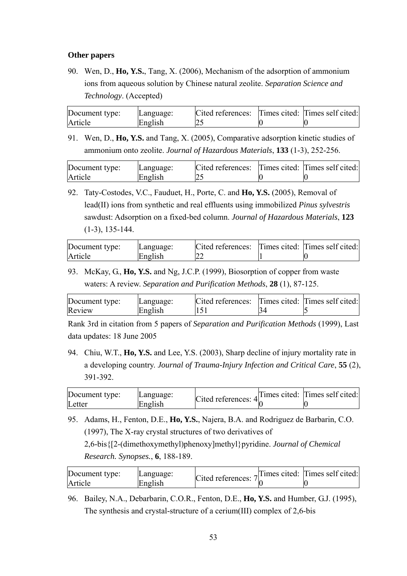#### **Other papers**

90. Wen, D., **Ho, Y.S.**, Tang, X. (2006), Mechanism of the adsorption of ammonium ions from aqueous solution by Chinese natural zeolite. *Separation Science and Technology*. (Accepted)

| Document type: | Language: | Cited references: Times cited: Times self cited: |  |
|----------------|-----------|--------------------------------------------------|--|
| Article        | English   |                                                  |  |

91. Wen, D., **Ho, Y.S.** and Tang, X. (2005), Comparative adsorption kinetic studies of ammonium onto zeolite. *Journal of Hazardous Materials*, **133** (1-3), 252-256.

| Document type: | Language: | Cited references: Times cited: Times self cited: |  |
|----------------|-----------|--------------------------------------------------|--|
| Article        | English   |                                                  |  |

92. Taty-Costodes, V.C., Fauduet, H., Porte, C. and **Ho, Y.S.** (2005), Removal of lead(II) ions from synthetic and real effluents using immobilized *Pinus sylvestris* sawdust: Adsorption on a fixed-bed column. *Journal of Hazardous Materials*, **123** (1-3), 135-144.

| Document type: | Language: | Cited references: Times cited: Times self cited: |  |
|----------------|-----------|--------------------------------------------------|--|
| Article        | English   |                                                  |  |

93. McKay, G., **Ho, Y.S.** and Ng, J.C.P. (1999), Biosorption of copper from waste waters: A review. *Separation and Purification Methods*, **28** (1), 87-125.

| Document type: | Language: | Cited references: Times cited: Times self cited: |  |
|----------------|-----------|--------------------------------------------------|--|
| Review         | English   | 151                                              |  |

Rank 3rd in citation from 5 papers of *Separation and Purification Methods* (1999), Last data updates: 18 June 2005

94. Chiu, W.T., **Ho, Y.S.** and Lee, Y.S. (2003), Sharp decline of injury mortality rate in a developing country. *Journal of Trauma-Injury Infection and Critical Care*, **55** (2), 391-392.

| Document type: | Language: |                                  | Times cited: Times self cited: |
|----------------|-----------|----------------------------------|--------------------------------|
| Letter         | English   | Cited references: $4\frac{1}{6}$ |                                |

95. Adams, H., Fenton, D.E., **Ho, Y.S.**, Najera, B.A. and Rodriguez de Barbarin, C.O. (1997), The X-ray crystal structures of two derivatives of

2,6-bis{[2-(dimethoxymethyl)phenoxy]methyl}pyridine. *Journal of Chemical Research. Synopses.*, **6**, 188-189.

| Document type: | Language: | Cited references: $7\frac{1}{6}$ | $\Box$ Times cited: Times self cited: |
|----------------|-----------|----------------------------------|---------------------------------------|
| Article        | English   |                                  |                                       |

96. Bailey, N.A., Debarbarin, C.O.R., Fenton, D.E., **Ho, Y.S.** and Humber, G.J. (1995), The synthesis and crystal-structure of a cerium(III) complex of 2,6-bis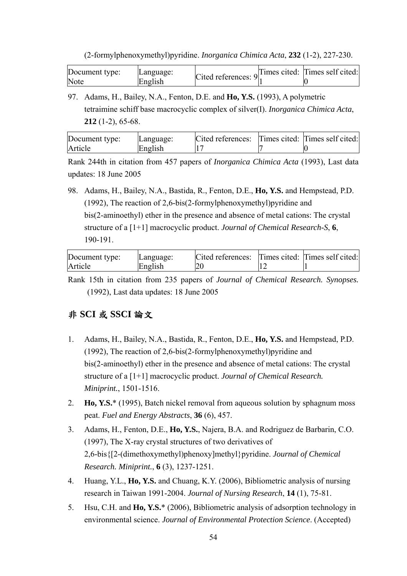(2-formylphenoxymethyl)pyridine. *Inorganica Chimica Acta*, **232** (1-2), 227-230.

| Document type: | Language: |  |  |
|----------------|-----------|--|--|
| Note           | English   |  |  |

97. Adams, H., Bailey, N.A., Fenton, D.E. and **Ho, Y.S.** (1993), A polymetric tetraimine schiff base macrocyclic complex of silver(I). *Inorganica Chimica Acta*, **212** (1-2), 65-68.

| Document type: | Language: | Cited references: Times cited: Times self cited: |  |
|----------------|-----------|--------------------------------------------------|--|
| Article        | English   |                                                  |  |

Rank 244th in citation from 457 papers of *Inorganica Chimica Acta* (1993), Last data updates: 18 June 2005

98. Adams, H., Bailey, N.A., Bastida, R., Fenton, D.E., **Ho, Y.S.** and Hempstead, P.D. (1992), The reaction of 2,6-bis(2-formylphenoxymethyl)pyridine and bis(2-aminoethyl) ether in the presence and absence of metal cations: The crystal structure of a [1+1] macrocyclic product. *Journal of Chemical Research-S*, **6**, 190-191.

| Document type: | Language: | Cited references: Times cited: Times self cited: |  |
|----------------|-----------|--------------------------------------------------|--|
| Article        | English   |                                                  |  |

Rank 15th in citation from 235 papers of *Journal of Chemical Research. Synopses.* (1992), Last data updates: 18 June 2005

## 非 **SCI** 或 **SSCI** 論文

- 1. Adams, H., Bailey, N.A., Bastida, R., Fenton, D.E., **Ho, Y.S.** and Hempstead, P.D. (1992), The reaction of 2,6-bis(2-formylphenoxymethyl)pyridine and bis(2-aminoethyl) ether in the presence and absence of metal cations: The crystal structure of a [1+1] macrocyclic product. *Journal of Chemical Research. Miniprint.*, 1501-1516.
- 2. **Ho, Y.S.**\* (1995), Batch nickel removal from aqueous solution by sphagnum moss peat. *Fuel and Energy Abstracts*, **36** (6), 457.
- 3. Adams, H., Fenton, D.E., **Ho, Y.S.**, Najera, B.A. and Rodriguez de Barbarin, C.O. (1997), The X-ray crystal structures of two derivatives of 2,6-bis{[2-(dimethoxymethyl)phenoxy]methyl}pyridine. *Journal of Chemical Research. Miniprint.*, **6** (3), 1237-1251.
- 4. Huang, Y.L., **Ho, Y.S.** and Chuang, K.Y. (2006), Bibliometric analysis of nursing research in Taiwan 1991-2004. *Journal of Nursing Research*, **14** (1), 75-81.
- 5. Hsu, C.H. and **Ho, Y.S.**\* (2006), Bibliometric analysis of adsorption technology in environmental science. *Journal of Environmental Protection Science*. (Accepted)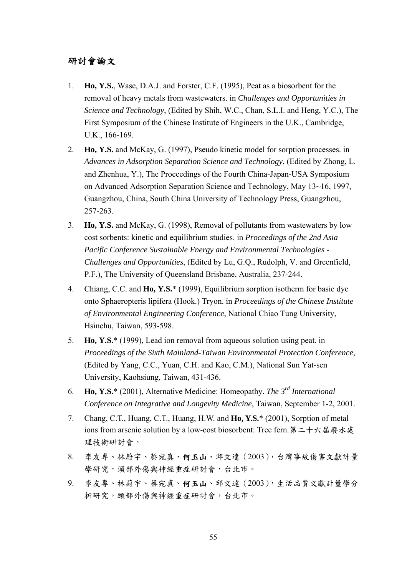## 研討會論文

- 1. **Ho, Y.S.**, Wase, D.A.J. and Forster, C.F. (1995), Peat as a biosorbent for the removal of heavy metals from wastewaters. in *Challenges and Opportunities in Science and Technology*, (Edited by Shih, W.C., Chan, S.L.I. and Heng, Y.C.), The First Symposium of the Chinese Institute of Engineers in the U.K., Cambridge, U.K., 166-169.
- 2. **Ho, Y.S.** and McKay, G. (1997), Pseudo kinetic model for sorption processes. in *Advances in Adsorption Separation Science and Technology*, (Edited by Zhong, L. and Zhenhua, Y.), The Proceedings of the Fourth China-Japan-USA Symposium on Advanced Adsorption Separation Science and Technology, May 13~16, 1997, Guangzhou, China, South China University of Technology Press, Guangzhou, 257-263.
- 3. **Ho, Y.S.** and McKay, G. (1998), Removal of pollutants from wastewaters by low cost sorbents: kinetic and equilibrium studies. in *Proceedings of the 2nd Asia Pacific Conference Sustainable Energy and Environmental Technologies - Challenges and Opportunities*, (Edited by Lu, G.Q., Rudolph, V. and Greenfield, P.F.), The University of Queensland Brisbane, Australia, 237-244.
- 4. Chiang, C.C. and **Ho, Y.S.**\* (1999), Equilibrium sorption isotherm for basic dye onto Sphaeropteris lipifera (Hook.) Tryon. in *Proceedings of the Chinese Institute of Environmental Engineering Conference*, National Chiao Tung University, Hsinchu, Taiwan, 593-598.
- 5. **Ho, Y.S.**\* (1999), Lead ion removal from aqueous solution using peat. in *Proceedings of the Sixth Mainland-Taiwan Environmental Protection Conference*, (Edited by Yang, C.C., Yuan, C.H. and Kao, C.M.), National Sun Yat-sen University, Kaohsiung, Taiwan, 431-436.
- 6. **Ho, Y.S.**\* (2001), Alternative Medicine: Homeopathy. *The 3rd International Conference on Integrative and Longevity Medicine*, Taiwan, September 1-2, 2001.
- 7. Chang, C.T., Huang, C.T., Huang, H.W. and **Ho, Y.S.**\* (2001), Sorption of metal ions from arsenic solution by a low-cost biosorbent: Tree fern. 第二十六屆廢水處 理技術研討會。
- 8. 李友專、林蔚宇、蔡宛真、何玉山、邱文達(2003),台灣事故傷害文獻計量 學研究,頭部外傷與神經重症研討會,台北市。
- 9. 李友專、林蔚宇、蔡宛真、何玉山、邱文達(2003),生活品質文獻計量學分 析研究,頭部外傷與神經重症研討會,台北市。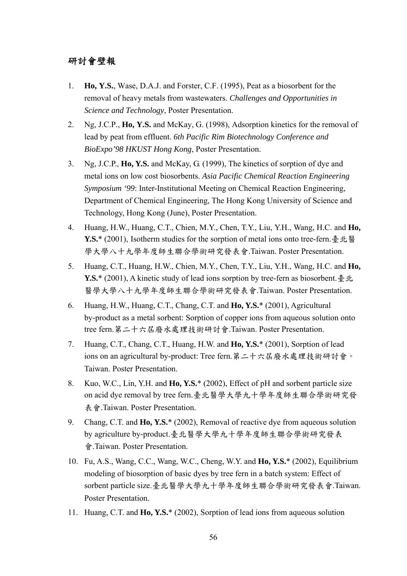## 研討會壁報

- 1. **Ho, Y.S.**, Wase, D.A.J. and Forster, C.F. (1995), Peat as a biosorbent for the removal of heavy metals from wastewaters. *Challenges and Opportunities in Science and Technology*, Poster Presentation.
- 2. Ng, J.C.P., **Ho, Y.S.** and McKay, G. (1998), Adsorption kinetics for the removal of lead by peat from effluent. *6th Pacific Rim Biotechnology Conference and BioExpo'98 HKUST Hong Kong*, Poster Presentation.
- 3. Ng, J.C.P., **Ho, Y.S.** and McKay, G. (1999), The kinetics of sorption of dye and metal ions on low cost biosorbents. *Asia Pacific Chemical Reaction Engineering Symposium '99*: Inter-Institutional Meeting on Chemical Reaction Engineering, Department of Chemical Engineering, The Hong Kong University of Science and Technology, Hong Kong (June), Poster Presentation.
- 4. Huang, H.W., Huang, C.T., Chien, M.Y., Chen, T.Y., Liu, Y.H., Wang, H.C. and **Ho, Y.S.**\* (2001), Isotherm studies for the sorption of metal ions onto tree-fern.臺北醫 學大學八十九學年度師生聯合學術研究發表會.Taiwan. Poster Presentation.
- 5. Huang, C.T., Huang, H.W., Chien, M.Y., Chen, T.Y., Liu, Y.H., Wang, H.C. and **Ho, Y.S.**\* (2001), A kinetic study of lead ions sorption by tree-fern as biosorbent. 臺北 醫學大學八十九學年度師生聯合學術研究發表會.Taiwan. Poster Presentation.
- 6. Huang, H.W., Huang, C.T., Chang, C.T. and **Ho, Y.S.**\* (2001), Agricultural by-product as a metal sorbent: Sorption of copper ions from aqueous solution onto tree fern.第二十六屆廢水處理技術研討會.Taiwan. Poster Presentation.
- 7. Huang, C.T., Chang, C.T., Huang, H.W. and **Ho, Y.S.**\* (2001), Sorption of lead ions on an agricultural by-product: Tree fern.第二十六屆廢水處理技術研討會。 Taiwan. Poster Presentation.
- 8. Kuo, W.C., Lin, Y.H. and **Ho, Y.S.**\* (2002), Effect of pH and sorbent particle size on acid dye removal by tree fern.臺北醫學大學九十學年度師生聯合學術研究發 表會.Taiwan. Poster Presentation.
- 9. Chang, C.T. and **Ho, Y.S.**\* (2002), Removal of reactive dye from aqueous solution by agriculture by-product.臺北醫學大學九十學年度師生聯合學術研究發表 會.Taiwan. Poster Presentation.
- 10. Fu, A.S., Wang, C.C., Wang, W.C., Cheng, W.Y. and **Ho, Y.S.**\* (2002), Equilibrium modeling of biosorption of basic dyes by tree fern in a batch system: Effect of sorbent particle size.臺北醫學大學九十學年度師生聯合學術研究發表會.Taiwan. Poster Presentation.
- 11. Huang, C.T. and **Ho, Y.S.**\* (2002), Sorption of lead ions from aqueous solution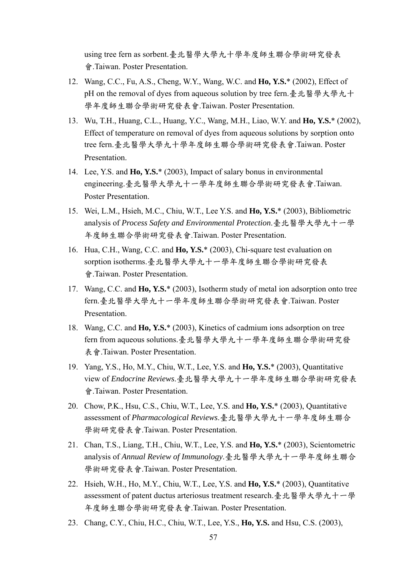using tree fern as sorbent.臺北醫學大學九十學年度師生聯合學術研究發表 會.Taiwan. Poster Presentation.

- 12. Wang, C.C., Fu, A.S., Cheng, W.Y., Wang, W.C. and **Ho, Y.S.**\* (2002), Effect of pH on the removal of dyes from aqueous solution by tree fern.臺北醫學大學九十 學年度師生聯合學術研究發表會.Taiwan. Poster Presentation.
- 13. Wu, T.H., Huang, C.L., Huang, Y.C., Wang, M.H., Liao, W.Y. and **Ho, Y.S.**\* (2002), Effect of temperature on removal of dyes from aqueous solutions by sorption onto tree fern.臺北醫學大學九十學年度師生聯合學術研究發表會.Taiwan. Poster Presentation.
- 14. Lee, Y.S. and **Ho, Y.S.**\* (2003), Impact of salary bonus in environmental engineering.臺北醫學大學九十一學年度師生聯合學術研究發表會.Taiwan. Poster Presentation.
- 15. Wei, L.M., Hsieh, M.C., Chiu, W.T., Lee Y.S. and **Ho, Y.S.**\* (2003), Bibliometric analysis of *Process Safety and Environmental Protection*.臺北醫學大學九十一學 年度師生聯合學術研究發表會.Taiwan. Poster Presentation.
- 16. Hua, C.H., Wang, C.C. and **Ho, Y.S.**\* (2003), Chi-square test evaluation on sorption isotherms.臺北醫學大學九十一學年度師生聯合學術研究發表 會.Taiwan. Poster Presentation.
- 17. Wang, C.C. and **Ho, Y.S.**\* (2003), Isotherm study of metal ion adsorption onto tree fern.臺北醫學大學九十一學年度師生聯合學術研究發表會.Taiwan. Poster Presentation.
- 18. Wang, C.C. and **Ho, Y.S.**\* (2003), Kinetics of cadmium ions adsorption on tree fern from aqueous solutions.臺北醫學大學九十一學年度師生聯合學術研究發 表會.Taiwan. Poster Presentation.
- 19. Yang, Y.S., Ho, M.Y., Chiu, W.T., Lee, Y.S. and **Ho, Y.S.**\* (2003), Quantitative view of *Endocrine Reviews*.臺北醫學大學九十一學年度師生聯合學術研究發表 會.Taiwan. Poster Presentation.
- 20. Chow, P.K., Hsu, C.S., Chiu, W.T., Lee, Y.S. and **Ho, Y.S.**\* (2003), Quantitative assessment of *Pharmacological Reviews*.臺北醫學大學九十一學年度師生聯合 學術研究發表會.Taiwan. Poster Presentation.
- 21. Chan, T.S., Liang, T.H., Chiu, W.T., Lee, Y.S. and **Ho, Y.S.**\* (2003), Scientometric analysis of *Annual Review of Immunology*.臺北醫學大學九十一學年度師生聯合 學術研究發表會.Taiwan. Poster Presentation.
- 22. Hsieh, W.H., Ho, M.Y., Chiu, W.T., Lee, Y.S. and **Ho, Y.S.**\* (2003), Quantitative assessment of patent ductus arteriosus treatment research.臺北醫學大學九十一學 年度師生聯合學術研究發表會.Taiwan. Poster Presentation.
- 23. Chang, C.Y., Chiu, H.C., Chiu, W.T., Lee, Y.S., **Ho, Y.S.** and Hsu, C.S. (2003),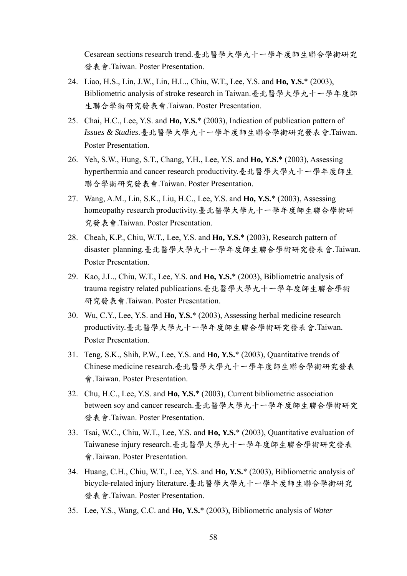Cesarean sections research trend.臺北醫學大學九十一學年度師生聯合學術研究 發表會.Taiwan. Poster Presentation.

- 24. Liao, H.S., Lin, J.W., Lin, H.L., Chiu, W.T., Lee, Y.S. and **Ho, Y.S.**\* (2003), Bibliometric analysis of stroke research in Taiwan.臺北醫學大學九十一學年度師 生聯合學術研究發表會.Taiwan. Poster Presentation.
- 25. Chai, H.C., Lee, Y.S. and **Ho, Y.S.**\* (2003), Indication of publication pattern of *Issues & Studies*.臺北醫學大學九十一學年度師生聯合學術研究發表會.Taiwan. Poster Presentation.
- 26. Yeh, S.W., Hung, S.T., Chang, Y.H., Lee, Y.S. and **Ho, Y.S.**\* (2003), Assessing hyperthermia and cancer research productivity.臺北醫學大學九十一學年度師生 聯合學術研究發表會.Taiwan. Poster Presentation.
- 27. Wang, A.M., Lin, S.K., Liu, H.C., Lee, Y.S. and **Ho, Y.S.**\* (2003), Assessing homeopathy research productivity.臺北醫學大學九十一學年度師生聯合學術研 究發表會.Taiwan. Poster Presentation.
- 28. Cheah, K.P., Chiu, W.T., Lee, Y.S. and **Ho, Y.S.**\* (2003), Research pattern of disaster planning.臺北醫學大學九十一學年度師生聯合學術研究發表會.Taiwan. Poster Presentation.
- 29. Kao, J.L., Chiu, W.T., Lee, Y.S. and **Ho, Y.S.**\* (2003), Bibliometric analysis of trauma registry related publications.臺北醫學大學九十一學年度師生聯合學術 研究發表會.Taiwan. Poster Presentation.
- 30. Wu, C.Y., Lee, Y.S. and **Ho, Y.S.**\* (2003), Assessing herbal medicine research productivity.臺北醫學大學九十一學年度師生聯合學術研究發表會.Taiwan. Poster Presentation.
- 31. Teng, S.K., Shih, P.W., Lee, Y.S. and **Ho, Y.S.**\* (2003), Quantitative trends of Chinese medicine research.臺北醫學大學九十一學年度師生聯合學術研究發表 會.Taiwan. Poster Presentation.
- 32. Chu, H.C., Lee, Y.S. and **Ho, Y.S.**\* (2003), Current bibliometric association between soy and cancer research.臺北醫學大學九十一學年度師生聯合學術研究 發表會.Taiwan. Poster Presentation.
- 33. Tsai, W.C., Chiu, W.T., Lee, Y.S. and **Ho, Y.S.**\* (2003), Quantitative evaluation of Taiwanese injury research.臺北醫學大學九十一學年度師生聯合學術研究發表 會.Taiwan. Poster Presentation.
- 34. Huang, C.H., Chiu, W.T., Lee, Y.S. and **Ho, Y.S.**\* (2003), Bibliometric analysis of bicycle-related injury literature.臺北醫學大學九十一學年度師生聯合學術研究 發表會.Taiwan. Poster Presentation.
- 35. Lee, Y.S., Wang, C.C. and **Ho, Y.S.**\* (2003), Bibliometric analysis of *Water*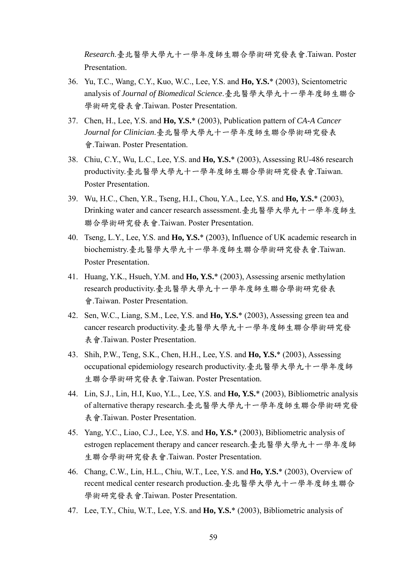*Research*.臺北醫學大學九十一學年度師生聯合學術研究發表會.Taiwan. Poster **Presentation** 

- 36. Yu, T.C., Wang, C.Y., Kuo, W.C., Lee, Y.S. and **Ho, Y.S.**\* (2003), Scientometric analysis of *Journal of Biomedical Science*.臺北醫學大學九十一學年度師生聯合 學術研究發表會.Taiwan. Poster Presentation.
- 37. Chen, H., Lee, Y.S. and **Ho, Y.S.**\* (2003), Publication pattern of *CA-A Cancer Journal for Clinician*.臺北醫學大學九十一學年度師生聯合學術研究發表 會.Taiwan. Poster Presentation.
- 38. Chiu, C.Y., Wu, L.C., Lee, Y.S. and **Ho, Y.S.**\* (2003), Assessing RU-486 research productivity.臺北醫學大學九十一學年度師生聯合學術研究發表會.Taiwan. Poster Presentation.
- 39. Wu, H.C., Chen, Y.R., Tseng, H.I., Chou, Y.A., Lee, Y.S. and **Ho, Y.S.**\* (2003), Drinking water and cancer research assessment.臺北醫學大學九十一學年度師生 聯合學術研究發表會.Taiwan. Poster Presentation.
- 40. Tseng, L.Y., Lee, Y.S. and **Ho, Y.S.**\* (2003), Influence of UK academic research in biochemistry.臺北醫學大學九十一學年度師生聯合學術研究發表會.Taiwan. Poster Presentation.
- 41. Huang, Y.K., Hsueh, Y.M. and **Ho, Y.S.**\* (2003), Assessing arsenic methylation research productivity.臺北醫學大學九十一學年度師生聯合學術研究發表 會.Taiwan. Poster Presentation.
- 42. Sen, W.C., Liang, S.M., Lee, Y.S. and **Ho, Y.S.**\* (2003), Assessing green tea and cancer research productivity.臺北醫學大學九十一學年度師生聯合學術研究發 表會.Taiwan. Poster Presentation.
- 43. Shih, P.W., Teng, S.K., Chen, H.H., Lee, Y.S. and **Ho, Y.S.**\* (2003), Assessing occupational epidemiology research productivity.臺北醫學大學九十一學年度師 生聯合學術研究發表會.Taiwan. Poster Presentation.
- 44. Lin, S.J., Lin, H.I, Kuo, Y.L., Lee, Y.S. and **Ho, Y.S.**\* (2003), Bibliometric analysis of alternative therapy research.臺北醫學大學九十一學年度師生聯合學術研究發 表會.Taiwan. Poster Presentation.
- 45. Yang, Y.C., Liao, C.J., Lee, Y.S. and **Ho, Y.S.**\* (2003), Bibliometric analysis of estrogen replacement therapy and cancer research.臺北醫學大學九十一學年度師 生聯合學術研究發表會.Taiwan. Poster Presentation.
- 46. Chang, C.W., Lin, H.L., Chiu, W.T., Lee, Y.S. and **Ho, Y.S.**\* (2003), Overview of recent medical center research production.臺北醫學大學九十一學年度師生聯合 學術研究發表會.Taiwan. Poster Presentation.
- 47. Lee, T.Y., Chiu, W.T., Lee, Y.S. and **Ho, Y.S.**\* (2003), Bibliometric analysis of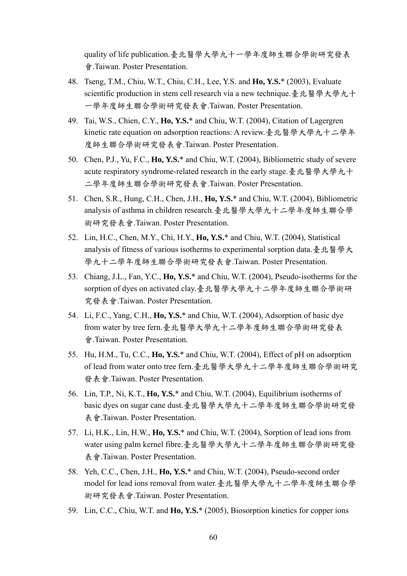quality of life publication.臺北醫學大學九十一學年度師生聯合學術研究發表 會.Taiwan. Poster Presentation.

- 48. Tseng, T.M., Chiu, W.T., Chiu, C.H., Lee, Y.S. and **Ho, Y.S.**\* (2003), Evaluate scientific production in stem cell research via a new technique.臺北醫學大學九十 一學年度師生聯合學術研究發表會.Taiwan. Poster Presentation.
- 49. Tai, W.S., Chien, C.Y., **Ho, Y.S.**\* and Chiu, W.T. (2004), Citation of Lagergren kinetic rate equation on adsorption reactions: A review.臺北醫學大學九十二學年 度師生聯合學術研究發表會.Taiwan. Poster Presentation.
- 50. Chen, P.J., Yu, F.C., **Ho, Y.S.**\* and Chiu, W.T. (2004), Bibliometric study of severe acute respiratory syndrome-related research in the early stage.臺北醫學大學九十 二學年度師生聯合學術研究發表會.Taiwan. Poster Presentation.
- 51. Chen, S.R., Hung, C.H., Chen, J.H., **Ho, Y.S.**\* and Chiu, W.T. (2004), Bibliometric analysis of asthma in children research.臺北醫學大學九十二學年度師生聯合學 術研究發表會.Taiwan. Poster Presentation.
- 52. Lin, H.C., Chen, M.Y., Chi, H.Y., **Ho, Y.S.**\* and Chiu, W.T. (2004), Statistical analysis of fitness of various isotherms to experimental sorption data.臺北醫學大 學九十二學年度師生聯合學術研究發表會.Taiwan. Poster Presentation.
- 53. Chiang, J.L., Fan, Y.C., **Ho, Y.S.**\* and Chiu, W.T. (2004), Pseudo-isotherms for the sorption of dyes on activated clay.臺北醫學大學九十二學年度師生聯合學術研 究發表會.Taiwan. Poster Presentation.
- 54. Li, F.C., Yang, C.H., **Ho, Y.S.**\* and Chiu, W.T. (2004), Adsorption of basic dye from water by tree fern.臺北醫學大學九十二學年度師生聯合學術研究發表 會.Taiwan. Poster Presentation.
- 55. Hu, H.M., Tu, C.C., **Ho, Y.S.**\* and Chiu, W.T. (2004), Effect of pH on adsorption of lead from water onto tree fern.臺北醫學大學九十二學年度師生聯合學術研究 發表會.Taiwan. Poster Presentation.
- 56. Lin, T.P., Ni, K.T., **Ho, Y.S.**\* and Chiu, W.T. (2004), Equilibrium isotherms of basic dyes on sugar cane dust.臺北醫學大學九十二學年度師生聯合學術研究發 表會.Taiwan. Poster Presentation.
- 57. Li, H.K., Lin, H.W., **Ho, Y.S.**\* and Chiu, W.T. (2004), Sorption of lead ions from water using palm kernel fibre.臺北醫學大學九十二學年度師生聯合學術研究發 表會.Taiwan. Poster Presentation.
- 58. Yeh, C.C., Chen, J.H., **Ho, Y.S.**\* and Chiu, W.T. (2004), Pseudo-second order model for lead ions removal from water.臺北醫學大學九十二學年度師生聯合學 術研究發表會.Taiwan. Poster Presentation.
- 59. Lin, C.C., Chiu, W.T. and **Ho, Y.S.**\* (2005), Biosorption kinetics for copper ions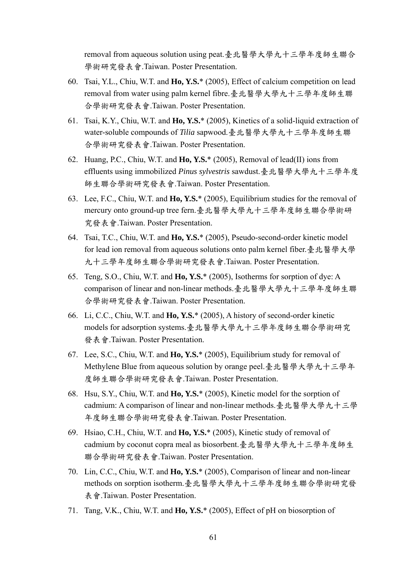removal from aqueous solution using peat.臺北醫學大學九十三學年度師生聯合 學術研究發表會.Taiwan. Poster Presentation.

- 60. Tsai, Y.L., Chiu, W.T. and **Ho, Y.S.**\* (2005), Effect of calcium competition on lead removal from water using palm kernel fibre.臺北醫學大學九十三學年度師生聯 合學術研究發表會.Taiwan. Poster Presentation.
- 61. Tsai, K.Y., Chiu, W.T. and **Ho, Y.S.**\* (2005), Kinetics of a solid-liquid extraction of water-soluble compounds of *Tilia* sapwood.臺北醫學大學九十三學年度師生聯 合學術研究發表會.Taiwan. Poster Presentation.
- 62. Huang, P.C., Chiu, W.T. and **Ho, Y.S.**\* (2005), Removal of lead(II) ions from effluents using immobilized *Pinus sylvestris* sawdust.臺北醫學大學九十三學年度 師生聯合學術研究發表會.Taiwan. Poster Presentation.
- 63. Lee, F.C., Chiu, W.T. and **Ho, Y.S.**\* (2005), Equilibrium studies for the removal of mercury onto ground-up tree fern.臺北醫學大學九十三學年度師生聯合學術研 究發表會.Taiwan. Poster Presentation.
- 64. Tsai, T.C., Chiu, W.T. and **Ho, Y.S.**\* (2005), Pseudo-second-order kinetic model for lead ion removal from aqueous solutions onto palm kernel fiber.臺北醫學大學 九十三學年度師生聯合學術研究發表會.Taiwan. Poster Presentation.
- 65. Teng, S.O., Chiu, W.T. and **Ho, Y.S.**\* (2005), Isotherms for sorption of dye: A comparison of linear and non-linear methods.臺北醫學大學九十三學年度師生聯 合學術研究發表會.Taiwan. Poster Presentation.
- 66. Li, C.C., Chiu, W.T. and **Ho, Y.S.**\* (2005), A history of second-order kinetic models for adsorption systems.臺北醫學大學九十三學年度師生聯合學術研究 發表會.Taiwan. Poster Presentation.
- 67. Lee, S.C., Chiu, W.T. and **Ho, Y.S.**\* (2005), Equilibrium study for removal of Methylene Blue from aqueous solution by orange peel.臺北醫學大學九十三學年 度師生聯合學術研究發表會.Taiwan. Poster Presentation.
- 68. Hsu, S.Y., Chiu, W.T. and **Ho, Y.S.**\* (2005), Kinetic model for the sorption of cadmium: A comparison of linear and non-linear methods.臺北醫學大學九十三學 年度師生聯合學術研究發表會.Taiwan. Poster Presentation.
- 69. Hsiao, C.H., Chiu, W.T. and **Ho, Y.S.**\* (2005), Kinetic study of removal of cadmium by coconut copra meal as biosorbent.臺北醫學大學九十三學年度師生 聯合學術研究發表會.Taiwan. Poster Presentation.
- 70. Lin, C.C., Chiu, W.T. and **Ho, Y.S.**\* (2005), Comparison of linear and non-linear methods on sorption isotherm.臺北醫學大學九十三學年度師生聯合學術研究發 表會.Taiwan. Poster Presentation.
- 71. Tang, V.K., Chiu, W.T. and **Ho, Y.S.**\* (2005), Effect of pH on biosorption of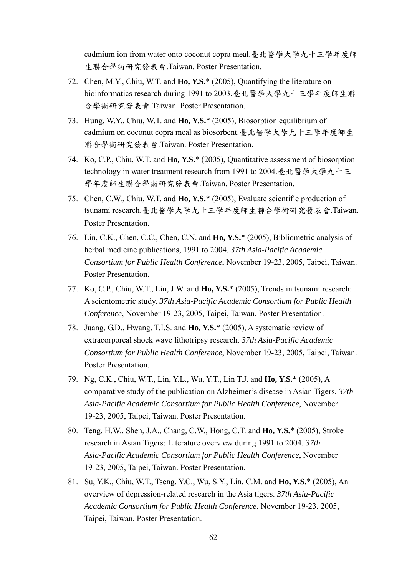cadmium ion from water onto coconut copra meal.臺北醫學大學九十三學年度師 生聯合學術研究發表會.Taiwan. Poster Presentation.

- 72. Chen, M.Y., Chiu, W.T. and **Ho, Y.S.**\* (2005), Quantifying the literature on bioinformatics research during 1991 to 2003.臺北醫學大學九十三學年度師生聯 合學術研究發表會.Taiwan. Poster Presentation.
- 73. Hung, W.Y., Chiu, W.T. and **Ho, Y.S.**\* (2005), Biosorption equilibrium of cadmium on coconut copra meal as biosorbent.臺北醫學大學九十三學年度師生 聯合學術研究發表會.Taiwan. Poster Presentation.
- 74. Ko, C.P., Chiu, W.T. and **Ho, Y.S.**\* (2005), Quantitative assessment of biosorption technology in water treatment research from 1991 to 2004.臺北醫學大學九十三 學年度師生聯合學術研究發表會.Taiwan. Poster Presentation.
- 75. Chen, C.W., Chiu, W.T. and **Ho, Y.S.**\* (2005), Evaluate scientific production of tsunami research.臺北醫學大學九十三學年度師生聯合學術研究發表會.Taiwan. Poster Presentation.
- 76. Lin, C.K., Chen, C.C., Chen, C.N. and **Ho, Y.S.**\* (2005), Bibliometric analysis of herbal medicine publications, 1991 to 2004. *37th Asia-Pacific Academic Consortium for Public Health Conference*, November 19-23, 2005, Taipei, Taiwan. Poster Presentation.
- 77. Ko, C.P., Chiu, W.T., Lin, J.W. and **Ho, Y.S.**\* (2005), Trends in tsunami research: A scientometric study. *37th Asia-Pacific Academic Consortium for Public Health Conference*, November 19-23, 2005, Taipei, Taiwan. Poster Presentation.
- 78. Juang, G.D., Hwang, T.I.S. and **Ho, Y.S.**\* (2005), A systematic review of extracorporeal shock wave lithotripsy research. *37th Asia-Pacific Academic Consortium for Public Health Conference*, November 19-23, 2005, Taipei, Taiwan. Poster Presentation.
- 79. Ng, C.K., Chiu, W.T., Lin, Y.L., Wu, Y.T., Lin T.J. and **Ho, Y.S.**\* (2005), A comparative study of the publication on Alzheimer's disease in Asian Tigers. *37th Asia-Pacific Academic Consortium for Public Health Conference*, November 19-23, 2005, Taipei, Taiwan. Poster Presentation.
- 80. Teng, H.W., Shen, J.A., Chang, C.W., Hong, C.T. and **Ho, Y.S.**\* (2005), Stroke research in Asian Tigers: Literature overview during 1991 to 2004. *37th Asia-Pacific Academic Consortium for Public Health Conference*, November 19-23, 2005, Taipei, Taiwan. Poster Presentation.
- 81. Su, Y.K., Chiu, W.T., Tseng, Y.C., Wu, S.Y., Lin, C.M. and **Ho, Y.S.**\* (2005), An overview of depression-related research in the Asia tigers. *37th Asia-Pacific Academic Consortium for Public Health Conference*, November 19-23, 2005, Taipei, Taiwan. Poster Presentation.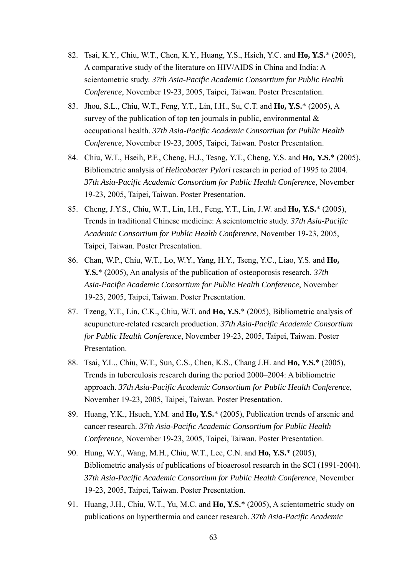- 82. Tsai, K.Y., Chiu, W.T., Chen, K.Y., Huang, Y.S., Hsieh, Y.C. and **Ho, Y.S.**\* (2005), A comparative study of the literature on HIV/AIDS in China and India: A scientometric study. *37th Asia-Pacific Academic Consortium for Public Health Conference*, November 19-23, 2005, Taipei, Taiwan. Poster Presentation.
- 83. Jhou, S.L., Chiu, W.T., Feng, Y.T., Lin, I.H., Su, C.T. and **Ho, Y.S.**\* (2005), A survey of the publication of top ten journals in public, environmental  $\&$ occupational health. *37th Asia-Pacific Academic Consortium for Public Health Conference*, November 19-23, 2005, Taipei, Taiwan. Poster Presentation.
- 84. Chiu, W.T., Hseih, P.F., Cheng, H.J., Tesng, Y.T., Cheng, Y.S. and **Ho, Y.S.**\* (2005), Bibliometric analysis of *Helicobacter Pylori* research in period of 1995 to 2004. *37th Asia-Pacific Academic Consortium for Public Health Conference*, November 19-23, 2005, Taipei, Taiwan. Poster Presentation.
- 85. Cheng, J.Y.S., Chiu, W.T., Lin, I.H., Feng, Y.T., Lin, J.W. and **Ho, Y.S.**\* (2005), Trends in traditional Chinese medicine: A scientometric study. *37th Asia-Pacific Academic Consortium for Public Health Conference*, November 19-23, 2005, Taipei, Taiwan. Poster Presentation.
- 86. Chan, W.P., Chiu, W.T., Lo, W.Y., Yang, H.Y., Tseng, Y.C., Liao, Y.S. and **Ho, Y.S.**\* (2005), An analysis of the publication of osteoporosis research. *37th Asia-Pacific Academic Consortium for Public Health Conference*, November 19-23, 2005, Taipei, Taiwan. Poster Presentation.
- 87. Tzeng, Y.T., Lin, C.K., Chiu, W.T. and **Ho, Y.S.**\* (2005), Bibliometric analysis of acupuncture-related research production. *37th Asia-Pacific Academic Consortium for Public Health Conference*, November 19-23, 2005, Taipei, Taiwan. Poster Presentation.
- 88. Tsai, Y.L., Chiu, W.T., Sun, C.S., Chen, K.S., Chang J.H. and **Ho, Y.S.**\* (2005), Trends in tuberculosis research during the period 2000–2004: A bibliometric approach. *37th Asia-Pacific Academic Consortium for Public Health Conference*, November 19-23, 2005, Taipei, Taiwan. Poster Presentation.
- 89. Huang, Y.K., Hsueh, Y.M. and **Ho, Y.S.**\* (2005), Publication trends of arsenic and cancer research. *37th Asia-Pacific Academic Consortium for Public Health Conference*, November 19-23, 2005, Taipei, Taiwan. Poster Presentation.
- 90. Hung, W.Y., Wang, M.H., Chiu, W.T., Lee, C.N. and **Ho, Y.S.**\* (2005), Bibliometric analysis of publications of bioaerosol research in the SCI (1991-2004). *37th Asia-Pacific Academic Consortium for Public Health Conference*, November 19-23, 2005, Taipei, Taiwan. Poster Presentation.
- 91. Huang, J.H., Chiu, W.T., Yu, M.C. and **Ho, Y.S.**\* (2005), A scientometric study on publications on hyperthermia and cancer research. *37th Asia-Pacific Academic*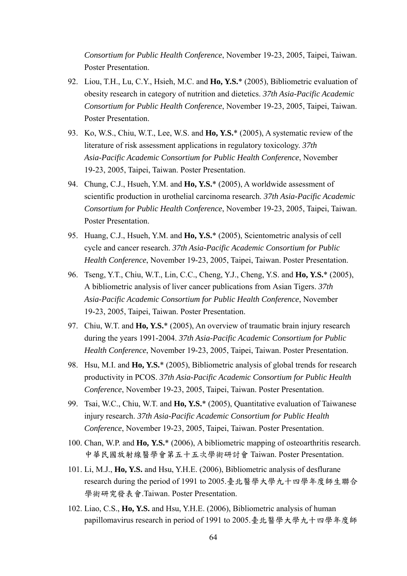*Consortium for Public Health Conference*, November 19-23, 2005, Taipei, Taiwan. Poster Presentation.

- 92. Liou, T.H., Lu, C.Y., Hsieh, M.C. and **Ho, Y.S.**\* (2005), Bibliometric evaluation of obesity research in category of nutrition and dietetics. *37th Asia-Pacific Academic Consortium for Public Health Conference*, November 19-23, 2005, Taipei, Taiwan. Poster Presentation.
- 93. Ko, W.S., Chiu, W.T., Lee, W.S. and **Ho, Y.S.**\* (2005), A systematic review of the literature of risk assessment applications in regulatory toxicology. *37th Asia-Pacific Academic Consortium for Public Health Conference*, November 19-23, 2005, Taipei, Taiwan. Poster Presentation.
- 94. Chung, C.J., Hsueh, Y.M. and **Ho, Y.S.**\* (2005), A worldwide assessment of scientific production in urothelial carcinoma research. *37th Asia-Pacific Academic Consortium for Public Health Conference*, November 19-23, 2005, Taipei, Taiwan. Poster Presentation.
- 95. Huang, C.J., Hsueh, Y.M. and **Ho, Y.S.**\* (2005), Scientometric analysis of cell cycle and cancer research. *37th Asia-Pacific Academic Consortium for Public Health Conference*, November 19-23, 2005, Taipei, Taiwan. Poster Presentation.
- 96. Tseng, Y.T., Chiu, W.T., Lin, C.C., Cheng, Y.J., Cheng, Y.S. and **Ho, Y.S.**\* (2005), A bibliometric analysis of liver cancer publications from Asian Tigers. *37th Asia-Pacific Academic Consortium for Public Health Conference*, November 19-23, 2005, Taipei, Taiwan. Poster Presentation.
- 97. Chiu, W.T. and **Ho, Y.S.**\* (2005), An overview of traumatic brain injury research during the years 1991-2004. *37th Asia-Pacific Academic Consortium for Public Health Conference*, November 19-23, 2005, Taipei, Taiwan. Poster Presentation.
- 98. Hsu, M.I. and **Ho, Y.S.**\* (2005), Bibliometric analysis of global trends for research productivity in PCOS. *37th Asia-Pacific Academic Consortium for Public Health Conference*, November 19-23, 2005, Taipei, Taiwan. Poster Presentation.
- 99. Tsai, W.C., Chiu, W.T. and **Ho, Y.S.**\* (2005), Quantitative evaluation of Taiwanese injury research. *37th Asia-Pacific Academic Consortium for Public Health Conference*, November 19-23, 2005, Taipei, Taiwan. Poster Presentation.
- 100. Chan, W.P. and **Ho, Y.S.**\* (2006), A bibliometric mapping of osteoarthritis research. 中華民國放射線醫學會第五十五次學術研討會 Taiwan. Poster Presentation.
- 101. Li, M.J., **Ho, Y.S.** and Hsu, Y.H.E. (2006), Bibliometric analysis of desflurane research during the period of 1991 to 2005.臺北醫學大學九十四學年度師生聯合 學術研究發表會.Taiwan. Poster Presentation.
- 102. Liao, C.S., **Ho, Y.S.** and Hsu, Y.H.E. (2006), Bibliometric analysis of human papillomavirus research in period of 1991 to 2005.臺北醫學大學九十四學年度師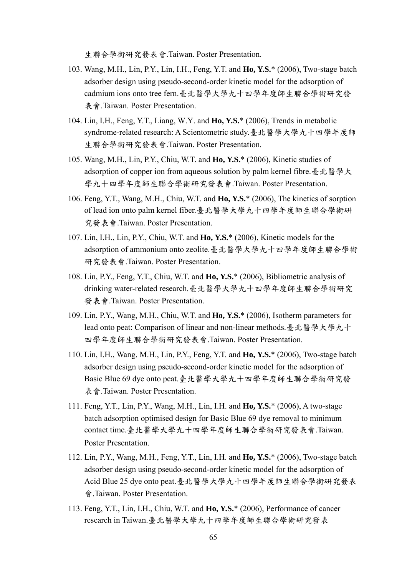生聯合學術研究發表會.Taiwan. Poster Presentation.

- 103. Wang, M.H., Lin, P.Y., Lin, I.H., Feng, Y.T. and **Ho, Y.S.**\* (2006), Two-stage batch adsorber design using pseudo-second-order kinetic model for the adsorption of cadmium ions onto tree fern.臺北醫學大學九十四學年度師生聯合學術研究發 表會.Taiwan. Poster Presentation.
- 104. Lin, I.H., Feng, Y.T., Liang, W.Y. and **Ho, Y.S.**\* (2006), Trends in metabolic syndrome-related research: A Scientometric study.臺北醫學大學九十四學年度師 生聯合學術研究發表會.Taiwan. Poster Presentation.
- 105. Wang, M.H., Lin, P.Y., Chiu, W.T. and **Ho, Y.S.**\* (2006), Kinetic studies of adsorption of copper ion from aqueous solution by palm kernel fibre.臺北醫學大 學九十四學年度師生聯合學術研究發表會.Taiwan. Poster Presentation.
- 106. Feng, Y.T., Wang, M.H., Chiu, W.T. and **Ho, Y.S.**\* (2006), The kinetics of sorption of lead ion onto palm kernel fiber.臺北醫學大學九十四學年度師生聯合學術研 究發表會.Taiwan. Poster Presentation.
- 107. Lin, I.H., Lin, P.Y., Chiu, W.T. and **Ho, Y.S.**\* (2006), Kinetic models for the adsorption of ammonium onto zeolite.臺北醫學大學九十四學年度師生聯合學術 研究發表會.Taiwan. Poster Presentation.
- 108. Lin, P.Y., Feng, Y.T., Chiu, W.T. and **Ho, Y.S.**\* (2006), Bibliometric analysis of drinking water-related research.臺北醫學大學九十四學年度師生聯合學術研究 發表會.Taiwan. Poster Presentation.
- 109. Lin, P.Y., Wang, M.H., Chiu, W.T. and **Ho, Y.S.**\* (2006), Isotherm parameters for lead onto peat: Comparison of linear and non-linear methods.臺北醫學大學九十 四學年度師生聯合學術研究發表會.Taiwan. Poster Presentation.
- 110. Lin, I.H., Wang, M.H., Lin, P.Y., Feng, Y.T. and **Ho, Y.S.**\* (2006), Two-stage batch adsorber design using pseudo-second-order kinetic model for the adsorption of Basic Blue 69 dye onto peat.臺北醫學大學九十四學年度師生聯合學術研究發 表會.Taiwan. Poster Presentation.
- 111. Feng, Y.T., Lin, P.Y., Wang, M.H., Lin, I.H. and **Ho, Y.S.**\* (2006), A two-stage batch adsorption optimised design for Basic Blue 69 dye removal to minimum contact time.臺北醫學大學九十四學年度師生聯合學術研究發表會.Taiwan. Poster Presentation.
- 112. Lin, P.Y., Wang, M.H., Feng, Y.T., Lin, I.H. and **Ho, Y.S.**\* (2006), Two-stage batch adsorber design using pseudo-second-order kinetic model for the adsorption of Acid Blue 25 dye onto peat.臺北醫學大學九十四學年度師生聯合學術研究發表 會.Taiwan. Poster Presentation.
- 113. Feng, Y.T., Lin, I.H., Chiu, W.T. and **Ho, Y.S.**\* (2006), Performance of cancer research in Taiwan.臺北醫學大學九十四學年度師生聯合學術研究發表